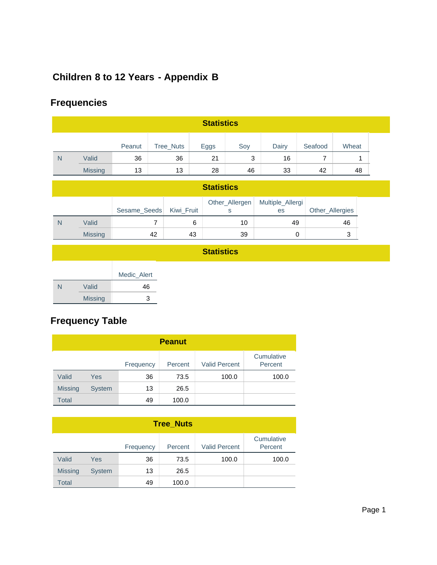# **Children 8 to 12 Years - Appendix B**

# **Frequencies**

|   | <b>Statistics</b> |        |           |      |     |       |         |       |  |  |
|---|-------------------|--------|-----------|------|-----|-------|---------|-------|--|--|
|   |                   | Peanut | Tree_Nuts | Eggs | Soy | Dairy | Seafood | Wheat |  |  |
| N | Valid             | 36     | 36        | 21   | 3   | 16    |         |       |  |  |
|   | <b>Missing</b>    | 13     | 13        | 28   | 46  | 33    | 42      | 48    |  |  |

| <b>Statistics</b> |                |                         |    |                |                        |                 |  |  |  |
|-------------------|----------------|-------------------------|----|----------------|------------------------|-----------------|--|--|--|
|                   |                | Sesame_Seeds Kiwi_Fruit |    | Other_Allergen | Multiple_Allergi<br>es | Other_Allergies |  |  |  |
| N                 | Valid          |                         |    | 10             | 49                     | 46              |  |  |  |
|                   | <b>Missing</b> | 42                      | 43 | 39             |                        | J               |  |  |  |

### **Statistics**

|   |                | Medic Alert |
|---|----------------|-------------|
| N | Valid          | 46          |
|   | <b>Missing</b> | 3           |

# **Frequency Table**

|                | <b>Peanut</b> |           |         |                      |                       |  |  |  |  |  |
|----------------|---------------|-----------|---------|----------------------|-----------------------|--|--|--|--|--|
|                |               | Frequency | Percent | <b>Valid Percent</b> | Cumulative<br>Percent |  |  |  |  |  |
| Valid          | Yes           | 36        | 73.5    | 100.0                | 100.0                 |  |  |  |  |  |
| <b>Missing</b> | <b>System</b> | 13        | 26.5    |                      |                       |  |  |  |  |  |
| Total          |               | 49        | 100.0   |                      |                       |  |  |  |  |  |

| <b>Tree Nuts</b> |               |           |         |                      |                       |  |  |  |
|------------------|---------------|-----------|---------|----------------------|-----------------------|--|--|--|
|                  |               | Frequency | Percent | <b>Valid Percent</b> | Cumulative<br>Percent |  |  |  |
| Valid            | Yes           | 36        | 73.5    | 100.0                | 100.0                 |  |  |  |
| <b>Missing</b>   | <b>System</b> | 13        | 26.5    |                      |                       |  |  |  |
| Total            |               | 49        | 100.0   |                      |                       |  |  |  |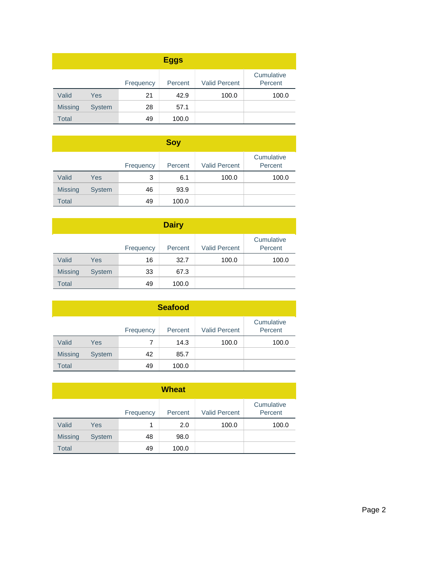| <b>Eggs</b>    |               |           |         |                      |                       |  |  |  |
|----------------|---------------|-----------|---------|----------------------|-----------------------|--|--|--|
|                |               | Frequency | Percent | <b>Valid Percent</b> | Cumulative<br>Percent |  |  |  |
| Valid          | Yes           | 21        | 42.9    | 100.0                | 100.0                 |  |  |  |
| <b>Missing</b> | <b>System</b> | 28        | 57.1    |                      |                       |  |  |  |
| <b>Total</b>   |               | 49        | 100.0   |                      |                       |  |  |  |

|                |               |           | Soy     |                      |                       |
|----------------|---------------|-----------|---------|----------------------|-----------------------|
|                |               | Frequency | Percent | <b>Valid Percent</b> | Cumulative<br>Percent |
| Valid          | Yes           | 3         | 6.1     | 100.0                | 100.0                 |
| <b>Missing</b> | <b>System</b> | 46        | 93.9    |                      |                       |
| <b>Total</b>   |               | 49        | 100.0   |                      |                       |

| <b>Dairy</b>   |               |           |         |                      |                       |  |  |  |
|----------------|---------------|-----------|---------|----------------------|-----------------------|--|--|--|
|                |               | Frequency | Percent | <b>Valid Percent</b> | Cumulative<br>Percent |  |  |  |
| Valid          | Yes           | 16        | 32.7    | 100.0                | 100.0                 |  |  |  |
| <b>Missing</b> | <b>System</b> | 33        | 67.3    |                      |                       |  |  |  |
| <b>Total</b>   |               | 49        | 100.0   |                      |                       |  |  |  |

| <b>Seafood</b> |               |           |         |                      |                       |  |  |  |  |
|----------------|---------------|-----------|---------|----------------------|-----------------------|--|--|--|--|
|                |               | Frequency | Percent | <b>Valid Percent</b> | Cumulative<br>Percent |  |  |  |  |
| Valid          | Yes           | 7         | 14.3    | 100.0                | 100.0                 |  |  |  |  |
| <b>Missing</b> | <b>System</b> | 42        | 85.7    |                      |                       |  |  |  |  |
| <b>Total</b>   |               | 49        | 100.0   |                      |                       |  |  |  |  |

| <b>Wheat</b>   |               |           |         |                      |                       |  |  |  |  |
|----------------|---------------|-----------|---------|----------------------|-----------------------|--|--|--|--|
|                |               | Frequency | Percent | <b>Valid Percent</b> | Cumulative<br>Percent |  |  |  |  |
| Valid          | Yes           | 1         | 2.0     | 100.0                | 100.0                 |  |  |  |  |
| <b>Missing</b> | <b>System</b> | 48        | 98.0    |                      |                       |  |  |  |  |
| <b>Total</b>   |               | 49        | 100.0   |                      |                       |  |  |  |  |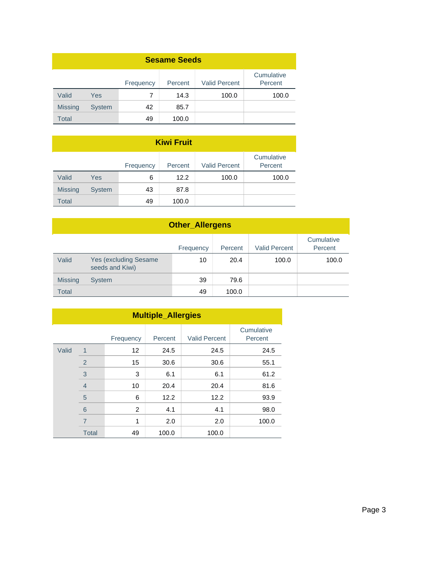| <b>Sesame Seeds</b> |               |           |         |                      |                       |  |  |  |
|---------------------|---------------|-----------|---------|----------------------|-----------------------|--|--|--|
|                     |               | Frequency | Percent | <b>Valid Percent</b> | Cumulative<br>Percent |  |  |  |
| Valid               | Yes           | 7         | 14.3    | 100.0                | 100.0                 |  |  |  |
| <b>Missing</b>      | <b>System</b> | 42        | 85.7    |                      |                       |  |  |  |
| Total               |               | 49        | 100.0   |                      |                       |  |  |  |

| <b>Kiwi Fruit</b> |               |           |         |                      |                       |  |  |  |  |
|-------------------|---------------|-----------|---------|----------------------|-----------------------|--|--|--|--|
|                   |               | Frequency | Percent | <b>Valid Percent</b> | Cumulative<br>Percent |  |  |  |  |
| Valid             | Yes           | 6         | 12.2    | 100.0                | 100.0                 |  |  |  |  |
| <b>Missing</b>    | <b>System</b> | 43        | 87.8    |                      |                       |  |  |  |  |
| <b>Total</b>      |               | 49        | 100.0   |                      |                       |  |  |  |  |

|                | <b>Other_Allergens</b>                    |           |         |                      |                       |  |  |
|----------------|-------------------------------------------|-----------|---------|----------------------|-----------------------|--|--|
|                |                                           | Frequency | Percent | <b>Valid Percent</b> | Cumulative<br>Percent |  |  |
| Valid          | Yes (excluding Sesame)<br>seeds and Kiwi) | 10        | 20.4    | 100.0                | 100.0                 |  |  |
| <b>Missing</b> | <b>System</b>                             | 39        | 79.6    |                      |                       |  |  |
| <b>Total</b>   |                                           | 49        | 100.0   |                      |                       |  |  |

|       | <b>Multiple_Allergies</b> |           |         |                      |                       |  |  |  |
|-------|---------------------------|-----------|---------|----------------------|-----------------------|--|--|--|
|       |                           | Frequency | Percent | <b>Valid Percent</b> | Cumulative<br>Percent |  |  |  |
| Valid | 1                         | 12        | 24.5    | 24.5                 | 24.5                  |  |  |  |
|       | $\overline{2}$            | 15        | 30.6    | 30.6                 | 55.1                  |  |  |  |
|       | 3                         | 3         | 6.1     | 6.1                  | 61.2                  |  |  |  |
|       | $\overline{4}$            | 10        | 20.4    | 20.4                 | 81.6                  |  |  |  |
|       | 5                         | 6         | 12.2    | 12.2                 | 93.9                  |  |  |  |
|       | 6                         | 2         | 4.1     | 4.1                  | 98.0                  |  |  |  |
|       | $\overline{7}$            | 1         | 2.0     | 2.0                  | 100.0                 |  |  |  |
|       | <b>Total</b>              | 49        | 100.0   | 100.0                |                       |  |  |  |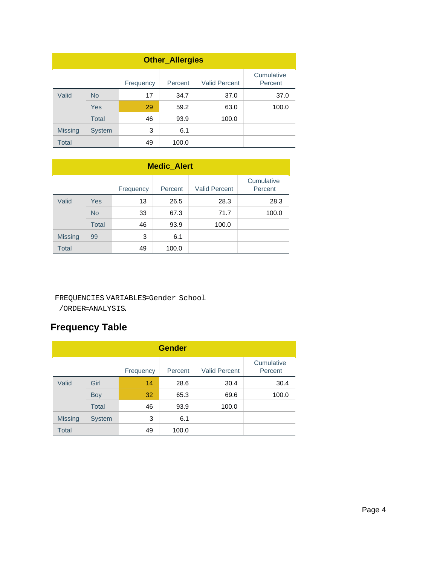| <b>Other_Allergies</b> |               |           |         |                      |                       |  |  |
|------------------------|---------------|-----------|---------|----------------------|-----------------------|--|--|
|                        |               | Frequency | Percent | <b>Valid Percent</b> | Cumulative<br>Percent |  |  |
| Valid                  | <b>No</b>     | 17        | 34.7    | 37.0                 | 37.0                  |  |  |
|                        | <b>Yes</b>    | 29        | 59.2    | 63.0                 | 100.0                 |  |  |
|                        | <b>Total</b>  | 46        | 93.9    | 100.0                |                       |  |  |
| <b>Missing</b>         | <b>System</b> | 3         | 6.1     |                      |                       |  |  |
| Total                  |               | 49        | 100.0   |                      |                       |  |  |

| <b>Medic_Alert</b> |              |           |         |                      |                       |  |
|--------------------|--------------|-----------|---------|----------------------|-----------------------|--|
|                    |              | Frequency | Percent | <b>Valid Percent</b> | Cumulative<br>Percent |  |
| Valid              | Yes          | 13        | 26.5    | 28.3                 | 28.3                  |  |
|                    | <b>No</b>    | 33        | 67.3    | 71.7                 | 100.0                 |  |
|                    | <b>Total</b> | 46        | 93.9    | 100.0                |                       |  |
| <b>Missing</b>     | 99           | 3         | 6.1     |                      |                       |  |
| <b>Total</b>       |              | 49        | 100.0   |                      |                       |  |

#### FREQUENCIES VARIABLES=Gender School

/ORDER=ANALYSIS.

# **Frequency Table**

| <b>Gender</b>  |               |           |         |                      |                       |  |  |
|----------------|---------------|-----------|---------|----------------------|-----------------------|--|--|
|                |               | Frequency | Percent | <b>Valid Percent</b> | Cumulative<br>Percent |  |  |
| Valid          | Girl          | 14        | 28.6    | 30.4                 | 30.4                  |  |  |
|                | <b>Boy</b>    | 32        | 65.3    | 69.6                 | 100.0                 |  |  |
|                | <b>Total</b>  | 46        | 93.9    | 100.0                |                       |  |  |
| <b>Missing</b> | <b>System</b> | 3         | 6.1     |                      |                       |  |  |
| <b>Total</b>   |               | 49        | 100.0   |                      |                       |  |  |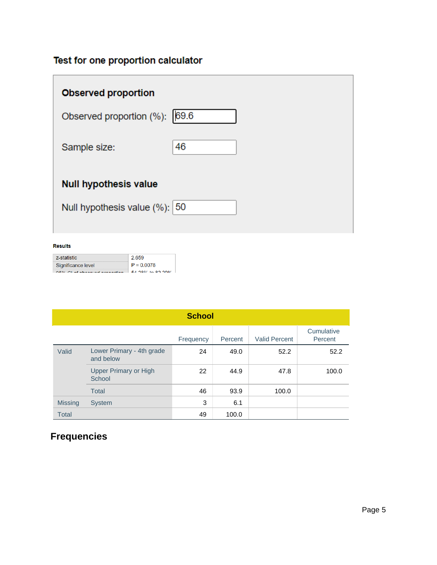# Test for one proportion calculator

| <b>Observed proportion</b>       |    |
|----------------------------------|----|
| Observed proportion (%): 69.6    |    |
| Sample size:                     | 46 |
| <b>Null hypothesis value</b>     |    |
| Null hypothesis value $(\%):$ 50 |    |

#### **Results**

| z-statistic                      | 2.659                         |
|----------------------------------|-------------------------------|
| Significance level               | $P = 0.0078$                  |
| $OEN/Cl$ of absorpted properties | $E A$ 000/ $A \cap B$ 00 000/ |

|                | <b>School</b>                          |           |         |                      |                       |  |  |  |
|----------------|----------------------------------------|-----------|---------|----------------------|-----------------------|--|--|--|
|                |                                        | Frequency | Percent | <b>Valid Percent</b> | Cumulative<br>Percent |  |  |  |
| Valid          | Lower Primary - 4th grade<br>and below | 24        | 49.0    | 52.2                 | 52.2                  |  |  |  |
|                | <b>Upper Primary or High</b><br>School | 22        | 44.9    | 47.8                 | 100.0                 |  |  |  |
|                | Total                                  | 46        | 93.9    | 100.0                |                       |  |  |  |
| <b>Missing</b> | <b>System</b>                          | 3         | 6.1     |                      |                       |  |  |  |
| <b>Total</b>   |                                        | 49        | 100.0   |                      |                       |  |  |  |

# **Frequencies**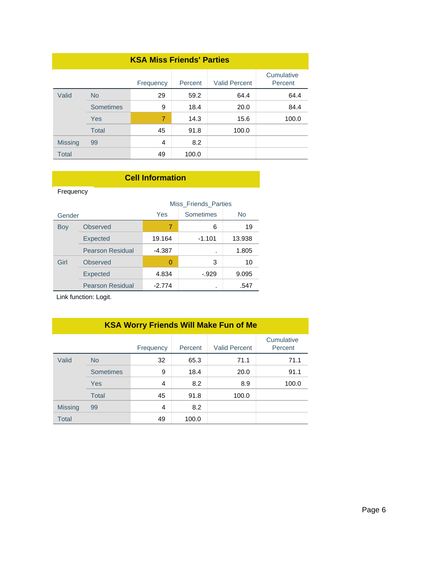| <b>KSA Miss Friends' Parties</b> |              |           |         |                      |                       |  |
|----------------------------------|--------------|-----------|---------|----------------------|-----------------------|--|
|                                  |              | Frequency | Percent | <b>Valid Percent</b> | Cumulative<br>Percent |  |
| Valid                            | <b>No</b>    | 29        | 59.2    | 64.4                 | 64.4                  |  |
|                                  | Sometimes    | 9         | 18.4    | 20.0                 | 84.4                  |  |
|                                  | Yes          | 7         | 14.3    | 15.6                 | 100.0                 |  |
|                                  | <b>Total</b> | 45        | 91.8    | 100.0                |                       |  |
| <b>Missing</b>                   | 99           | 4         | 8.2     |                      |                       |  |
| <b>Total</b>                     |              | 49        | 100.0   |                      |                       |  |

### **Cell Information**

Frequency Frequency

|        |                         |          | <b>Miss Friends Parties</b> |           |
|--------|-------------------------|----------|-----------------------------|-----------|
| Gender |                         | Yes      | <b>Sometimes</b>            | <b>No</b> |
| Boy    | <b>Observed</b>         | 7        | 6                           | 19        |
|        | <b>Expected</b>         | 19.164   | $-1.101$                    | 13.938    |
|        | <b>Pearson Residual</b> | $-4.387$ | ٠                           | 1.805     |
| Girl   | Observed                | 0        | 3                           | 10        |
|        | <b>Expected</b>         | 4.834    | $-0.929$                    | 9.095     |
|        | <b>Pearson Residual</b> | $-2.774$ |                             | .547      |

Link function: Logit.

# **KSA Worry Friends Will Make Fun of Me**

|                |                  | Frequency | Percent | <b>Valid Percent</b> | Cumulative<br>Percent |
|----------------|------------------|-----------|---------|----------------------|-----------------------|
| Valid          | <b>No</b>        | 32        | 65.3    | 71.1                 | 71.1                  |
|                | <b>Sometimes</b> | 9         | 18.4    | 20.0                 | 91.1                  |
|                | Yes              | 4         | 8.2     | 8.9                  | 100.0                 |
|                | <b>Total</b>     | 45        | 91.8    | 100.0                |                       |
| <b>Missing</b> | 99               | 4         | 8.2     |                      |                       |
| <b>Total</b>   |                  | 49        | 100.0   |                      |                       |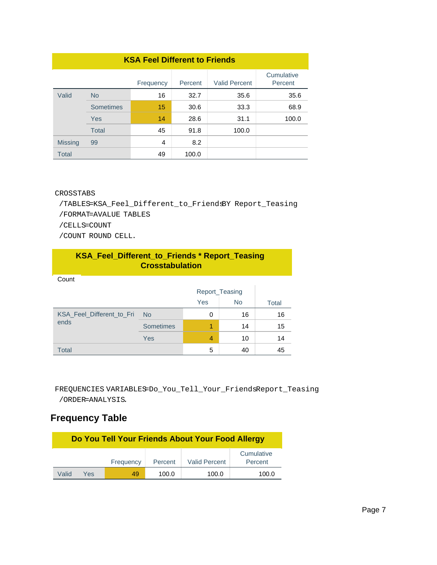| <b>KSA Feel Different to Friends</b> |                  |           |         |                      |                       |  |
|--------------------------------------|------------------|-----------|---------|----------------------|-----------------------|--|
|                                      |                  | Frequency | Percent | <b>Valid Percent</b> | Cumulative<br>Percent |  |
| Valid                                | <b>No</b>        | 16        | 32.7    | 35.6                 | 35.6                  |  |
|                                      | <b>Sometimes</b> | 15        | 30.6    | 33.3                 | 68.9                  |  |
|                                      | <b>Yes</b>       | 14        | 28.6    | 31.1                 | 100.0                 |  |
|                                      | Total            | 45        | 91.8    | 100.0                |                       |  |
| <b>Missing</b>                       | 99               | 4         | 8.2     |                      |                       |  |
| <b>Total</b>                         |                  | 49        | 100.0   |                      |                       |  |

#### CROSSTABS

 /TABLES=KSA\_Feel\_Different\_to\_FriendsBY Report\_Teasing /FORMAT=AVALUE TABLES /CELLS=COUNT

/COUNT ROUND CELL.

| KSA_Feel_Different_to_Friends * Report_Teasing<br><b>Crosstabulation</b> |           |     |                |       |  |
|--------------------------------------------------------------------------|-----------|-----|----------------|-------|--|
| Count                                                                    |           |     |                |       |  |
|                                                                          |           |     | Report Teasing |       |  |
|                                                                          |           | Yes | <b>No</b>      | Total |  |
| KSA Feel Different to Fri                                                | <b>No</b> | 0   | 16             | 16    |  |
| ends                                                                     | Sometimes | 1   | 14             | 15    |  |
|                                                                          | Yes       | 4   | 10             | 14    |  |
| <b>Total</b>                                                             |           | 5   | 40             | 45    |  |

FREQUENCIES VARIABLES=Do\_You\_Tell\_Your\_FriendsReport\_Teasing /ORDER=ANALYSIS.

# **Frequency Table**

| Do You Tell Your Friends About Your Food Allergy |     |           |         |                      |                       |
|--------------------------------------------------|-----|-----------|---------|----------------------|-----------------------|
|                                                  |     | Frequency | Percent | <b>Valid Percent</b> | Cumulative<br>Percent |
| Valid                                            | Yes | 49        | 100.0   | 100.0                | 100.0                 |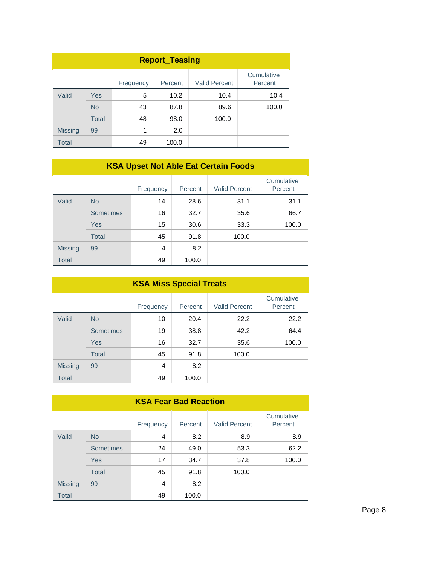| <b>Report_Teasing</b>                                                 |              |    |       |       |       |  |
|-----------------------------------------------------------------------|--------------|----|-------|-------|-------|--|
| Cumulative<br><b>Valid Percent</b><br>Percent<br>Percent<br>Frequency |              |    |       |       |       |  |
| Valid                                                                 | <b>Yes</b>   | 5  | 10.2  | 10.4  | 10.4  |  |
|                                                                       | <b>No</b>    | 43 | 87.8  | 89.6  | 100.0 |  |
|                                                                       | <b>Total</b> | 48 | 98.0  | 100.0 |       |  |
| <b>Missing</b>                                                        | 99           | 1  | 2.0   |       |       |  |
| <b>Total</b>                                                          |              | 49 | 100.0 |       |       |  |

## **KSA Upset Not Able Eat Certain Foods**

|                |                  | Frequency | Percent | <b>Valid Percent</b> | Cumulative<br>Percent |
|----------------|------------------|-----------|---------|----------------------|-----------------------|
| Valid          | <b>No</b>        | 14        | 28.6    | 31.1                 | 31.1                  |
|                | <b>Sometimes</b> | 16        | 32.7    | 35.6                 | 66.7                  |
|                | Yes              | 15        | 30.6    | 33.3                 | 100.0                 |
|                | <b>Total</b>     | 45        | 91.8    | 100.0                |                       |
| <b>Missing</b> | 99               | 4         | 8.2     |                      |                       |
| <b>Total</b>   |                  | 49        | 100.0   |                      |                       |

| <b>KSA Miss Special Treats</b> |                  |           |         |                      |                       |
|--------------------------------|------------------|-----------|---------|----------------------|-----------------------|
|                                |                  | Frequency | Percent | <b>Valid Percent</b> | Cumulative<br>Percent |
| Valid                          | <b>No</b>        | 10        | 20.4    | 22.2                 | 22.2                  |
|                                | <b>Sometimes</b> | 19        | 38.8    | 42.2                 | 64.4                  |
|                                | Yes              | 16        | 32.7    | 35.6                 | 100.0                 |
|                                | <b>Total</b>     | 45        | 91.8    | 100.0                |                       |
| <b>Missing</b>                 | 99               | 4         | 8.2     |                      |                       |
| <b>Total</b>                   |                  | 49        | 100.0   |                      |                       |

| <b>KSA Fear Bad Reaction</b> |                  |           |         |                      |                       |
|------------------------------|------------------|-----------|---------|----------------------|-----------------------|
|                              |                  | Frequency | Percent | <b>Valid Percent</b> | Cumulative<br>Percent |
| Valid                        | <b>No</b>        | 4         | 8.2     | 8.9                  | 8.9                   |
|                              | <b>Sometimes</b> | 24        | 49.0    | 53.3                 | 62.2                  |
|                              | Yes              | 17        | 34.7    | 37.8                 | 100.0                 |
|                              | <b>Total</b>     | 45        | 91.8    | 100.0                |                       |
| <b>Missing</b>               | 99               | 4         | 8.2     |                      |                       |
| <b>Total</b>                 |                  | 49        | 100.0   |                      |                       |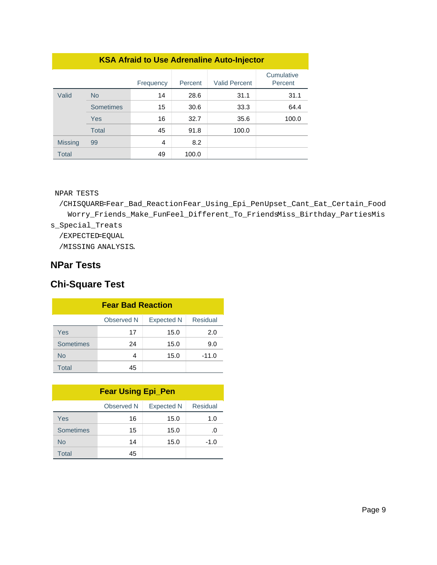| <b>KSA Afraid to Use Adrenaline Auto-Injector</b> |              |           |         |                      |                       |
|---------------------------------------------------|--------------|-----------|---------|----------------------|-----------------------|
|                                                   |              | Frequency | Percent | <b>Valid Percent</b> | Cumulative<br>Percent |
| Valid                                             | <b>No</b>    | 14        | 28.6    | 31.1                 | 31.1                  |
|                                                   | Sometimes    | 15        | 30.6    | 33.3                 | 64.4                  |
|                                                   | Yes          | 16        | 32.7    | 35.6                 | 100.0                 |
|                                                   | <b>Total</b> | 45        | 91.8    | 100.0                |                       |
| <b>Missing</b>                                    | 99           | 4         | 8.2     |                      |                       |
| <b>Total</b>                                      |              | 49        | 100.0   |                      |                       |

#### NPAR TESTS

 /CHISQUARE=Fear\_Bad\_ReactionFear\_Using\_Epi\_PenUpset\_Cant\_Eat\_Certain\_Food Worry\_Friends\_Make\_FunFeel\_Different\_To\_FriendsMiss\_Birthday\_PartiesMis s\_Special\_Treats /EXPECTED=EQUAL

/MISSING ANALYSIS.

## **NPar Tests**

# **Chi-Square Test**

| <b>Fear Bad Reaction</b>                    |    |      |         |  |  |
|---------------------------------------------|----|------|---------|--|--|
| Residual<br>Observed N<br><b>Expected N</b> |    |      |         |  |  |
| Yes                                         | 17 | 15.0 | 2.0     |  |  |
| <b>Sometimes</b>                            | 24 | 15.0 | 9.0     |  |  |
| <b>No</b>                                   | 4  | 15.0 | $-11.0$ |  |  |
| Total                                       | 45 |      |         |  |  |

| <b>Fear Using Epi_Pen</b>                   |    |      |        |  |  |
|---------------------------------------------|----|------|--------|--|--|
| Residual<br>Observed N<br><b>Expected N</b> |    |      |        |  |  |
| Yes                                         | 16 | 15.0 | 1.0    |  |  |
| Sometimes                                   | 15 | 15.0 | .0     |  |  |
| <b>No</b>                                   | 14 | 15.0 | $-1.0$ |  |  |
| Total                                       | 45 |      |        |  |  |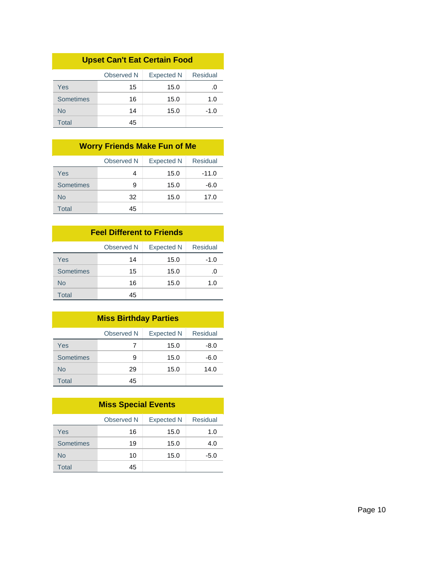| <b>Upset Can't Eat Certain Food</b>         |    |      |        |  |  |  |
|---------------------------------------------|----|------|--------|--|--|--|
| Residual<br>Observed N<br><b>Expected N</b> |    |      |        |  |  |  |
| Yes                                         | 15 | 15.0 | .0     |  |  |  |
| Sometimes                                   | 16 | 15.0 | 1.0    |  |  |  |
| Nο                                          | 14 | 15.0 | $-1.0$ |  |  |  |
| Total                                       | 45 |      |        |  |  |  |

# **Worry Friends Make Fun of Me**

|           | Observed N | <b>Expected N</b> | Residual |
|-----------|------------|-------------------|----------|
| Yes       | 4          | 15.0              | $-11.0$  |
| Sometimes | 9          | 15.0              | -6.0     |
| <b>No</b> | 32         | 15.0              | 17.0     |
| Total     | 45         |                   |          |

#### **Feel Different to Friends**

|           | Observed N | <b>Expected N</b> | Residual |
|-----------|------------|-------------------|----------|
| Yes       | 14         | 15.0              | $-1.0$   |
| Sometimes | 15         | 15.0              | .O       |
| No        | 16         | 15.0              | 1.0      |
| Total     | 45         |                   |          |

| <b>Miss Birthday Parties</b>                       |    |      |      |  |  |
|----------------------------------------------------|----|------|------|--|--|
| <b>Residual</b><br>Observed N<br><b>Expected N</b> |    |      |      |  |  |
| Yes                                                | 7  | 15.0 | -8.0 |  |  |
| Sometimes                                          | 9  | 15.0 | -6.0 |  |  |
| <b>No</b>                                          | 29 | 15.0 | 14.0 |  |  |
| Total                                              | 45 |      |      |  |  |

| <b>Miss Special Events</b>                         |    |      |        |  |  |
|----------------------------------------------------|----|------|--------|--|--|
| <b>Residual</b><br>Observed N<br><b>Expected N</b> |    |      |        |  |  |
| Yes                                                | 16 | 15.0 | 1.0    |  |  |
| Sometimes                                          | 19 | 15.0 | 4.0    |  |  |
| <b>No</b>                                          | 10 | 15.0 | $-5.0$ |  |  |
| Total                                              | 45 |      |        |  |  |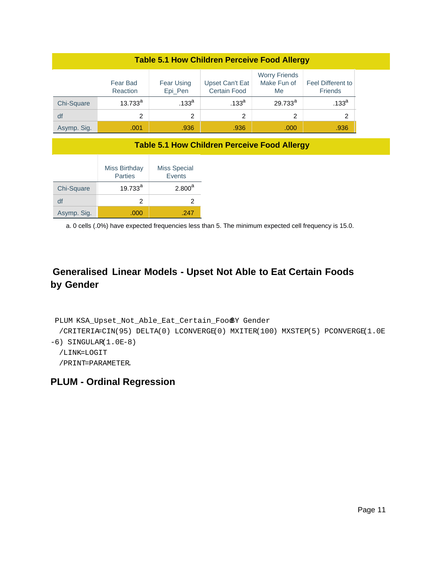| <b>Table 5.1 How Children Perceive Food Allergy</b> |                      |                       |                                        |                                           |                                     |
|-----------------------------------------------------|----------------------|-----------------------|----------------------------------------|-------------------------------------------|-------------------------------------|
|                                                     | Fear Bad<br>Reaction | Fear Using<br>Epi_Pen | Upset Can't Eat<br><b>Certain Food</b> | <b>Worry Friends</b><br>Make Fun of<br>Me | Feel Different to<br><b>Friends</b> |
| Chi-Square                                          | $13.733^{a}$         | .133 <sup>a</sup>     | .133 <sup>a</sup>                      | $29.733^{a}$                              | .133 <sup>a</sup>                   |
| df                                                  | 2                    | 2                     | 2                                      | 2                                         | 2                                   |
| Asymp. Sig.                                         | .001                 | .936                  | .936                                   | .000                                      | .936                                |

#### **Table 5.1 How Children Perceive Food Allergy**

|             | Miss Birthday<br><b>Parties</b> | <b>Miss Special</b><br>Events |
|-------------|---------------------------------|-------------------------------|
| Chi-Square  | $19.733^{a}$                    | $2.800^a$                     |
| df          | 2                               |                               |
| Asymp. Sig. | .000                            | -247                          |

a. 0 cells (.0%) have expected frequencies less than 5. The minimum expected cell frequency is 15.0.

# **Generalised Linear Models - Upset Not Able to Eat Certain Foods by Gender**

```
PLUM KSA_Upset_Not_Able_Eat_Certain_FoodBY Gender
  /CRITERIA=CIN(95) DELTA(0) LCONVERGE(0) MXITER(100) MXSTEP(5) PCONVERGE(1.0E
-6) SINGULAR(1.0E-8)
  /LINK=LOGIT
  /PRINT=PARAMETER.
```
## **PLUM - Ordinal Regression**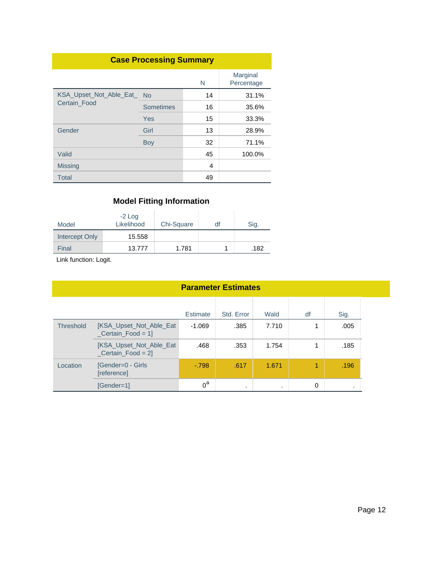| <b>Case Processing Summary</b> |           |    |                        |  |
|--------------------------------|-----------|----|------------------------|--|
|                                |           | N  | Marginal<br>Percentage |  |
| KSA_Upset_Not_Able_Eat_ No     |           | 14 | 31.1%                  |  |
| Certain_Food                   | Sometimes | 16 | 35.6%                  |  |
|                                | Yes       | 15 | 33.3%                  |  |
| Gender                         | Girl      | 13 | 28.9%                  |  |
|                                | Boy       | 32 | 71.1%                  |  |
| Valid                          |           | 45 | 100.0%                 |  |
| <b>Missing</b>                 |           | 4  |                        |  |
| Total                          |           | 49 |                        |  |

| Model          | $-2$ Log<br>Likelihood | Chi-Square | df | Sig. |
|----------------|------------------------|------------|----|------|
| Intercept Only | 15.558                 |            |    |      |
| Final          | 13.777                 | 1.781      |    | .182 |

| <b>Parameter Estimates</b> |                                                      |          |            |         |    |         |  |
|----------------------------|------------------------------------------------------|----------|------------|---------|----|---------|--|
|                            |                                                      | Estimate | Std. Error | Wald    | df | Sig.    |  |
| <b>Threshold</b>           | <b>IKSA Upset Not Able Eat</b><br>$Certain_Food = 1$ | $-1.069$ | .385       | 7.710   | 1  | .005    |  |
|                            | [KSA_Upset_Not_Able_Eat<br>$Certain_Food = 2$        | .468     | .353       | 1.754   | 1  | .185    |  |
| Location                   | [Gender=0 - Girls<br>[reference]                     | $-798$   | .617       | 1.671   | 1  | .196    |  |
|                            | $[Gender=1]$                                         | $0^a$    | ٠          | $\cdot$ | 0  | $\cdot$ |  |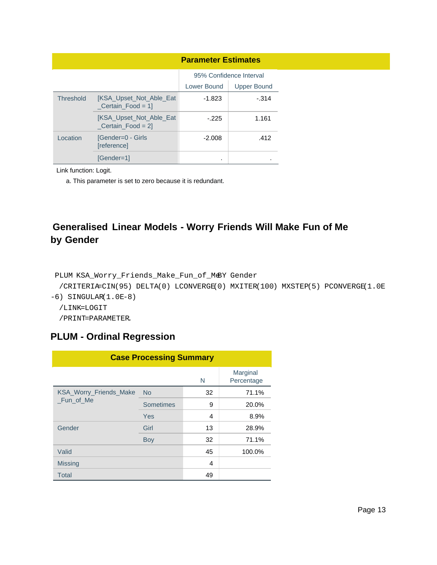|                  |                                                      | <b>Parameter Estimates</b> |                         |
|------------------|------------------------------------------------------|----------------------------|-------------------------|
|                  |                                                      |                            | 95% Confidence Interval |
|                  |                                                      | Lower Bound                | Upper Bound             |
| <b>Threshold</b> | <b>IKSA Upset Not Able Eat</b><br>$Certain_Food = 1$ | -1.823                     | $-.314$                 |
|                  | <b>IKSA Upset Not Able Eat</b><br>$Certain_Food = 2$ | $-225$                     | 1.161                   |
| Location         | [Gender=0 - Girls<br>[reference]                     | $-2.008$                   | .412                    |
|                  | [Gender=1]                                           | ٠                          |                         |

Link function: Logit.

a. This parameter is set to zero because it is redundant.

# **Generalised Linear Models - Worry Friends Will Make Fun of Me by Gender**

```
PLUM KSA_Worry_Friends_Make_Fun_of_MeBY Gender
```

```
 /CRITERIA=CIN(95) DELTA(0) LCONVERGE(0) MXITER(100) MXSTEP(5) PCONVERGE(1.0E
```
 $-6$ ) SINGULAR $(1.0E-8)$ 

```
 /LINK=LOGIT
```
/PRINT=PARAMETER.

# **PLUM - Ordinal Regression**

| <b>Case Processing Summary</b>             |           |    |                        |  |
|--------------------------------------------|-----------|----|------------------------|--|
|                                            |           | N  | Marginal<br>Percentage |  |
| <b>KSA Worry Friends Make</b><br>Fun of Me | <b>No</b> | 32 | 71.1%                  |  |
|                                            | Sometimes | 9  | 20.0%                  |  |
|                                            | Yes       | 4  | 8.9%                   |  |
| Gender                                     | Girl      | 13 | 28.9%                  |  |
|                                            | Boy       | 32 | 71.1%                  |  |
| Valid                                      |           | 45 | 100.0%                 |  |
| <b>Missing</b>                             |           | 4  |                        |  |
| <b>Total</b>                               |           | 49 |                        |  |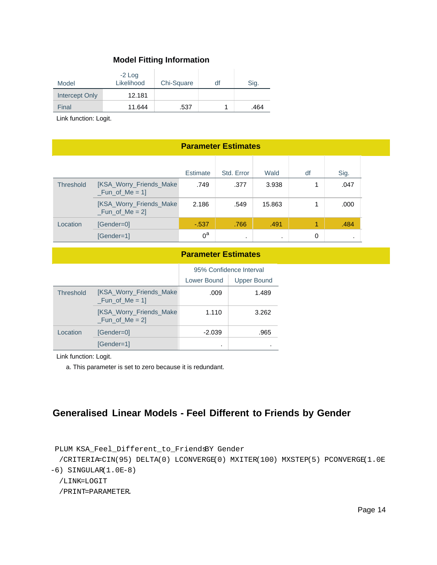| Model          | $-2$ Log<br>Likelihood | Chi-Square | df | Sig. |
|----------------|------------------------|------------|----|------|
| Intercept Only | 12.181                 |            |    |      |
| Final          | 11.644                 | .537       |    | .464 |

Link function: Logit.

#### **Parameter Estimates** Estimate Std. Error Wald df Sig. Threshold [KSA\_Worry\_Friends\_Make  $_Fun_of_Me = 1$ ] [KSA\_Worry\_Friends\_Make  $_Fun_of_Me = 2$ Location [Gender=0] [Gender=1] .749 .377 .3.938 .047 2.186 .549 15.863 1 .000 -.537 .766 .491 .491 .484 .537 .484 .537 .484 .491 .484 .484 .484 .484 .484 .484 .  $0^a$ . . 0 . .

#### **Parameter Estimates**

|                  |                                                    | 95% Confidence Interval |                    |
|------------------|----------------------------------------------------|-------------------------|--------------------|
|                  |                                                    | Lower Bound             | <b>Upper Bound</b> |
| <b>Threshold</b> | <b>IKSA Worry Friends Make</b><br>$_Fun_of_Me = 1$ | .009                    | 1.489              |
|                  | [KSA_Worry_Friends_Make<br>$_Fun_of_Me = 2$        | 1.110                   | 3.262              |
| Location         | [Gender=0]                                         | $-2.039$                | .965               |
|                  | [Gender=1]                                         | ٠                       |                    |

Link function: Logit.

a. This parameter is set to zero because it is redundant.

## **Generalised Linear Models - Feel Different to Friends by Gender**

PLUM KSA\_Feel\_Different\_to\_FriendsBY Gender

 /CRITERIA=CIN(95) DELTA(0) LCONVERGE(0) MXITER(100) MXSTEP(5) PCONVERGE(1.0E -6) SINGULAR(1.0E-8)

/LINK=LOGIT

/PRINT=PARAMETER.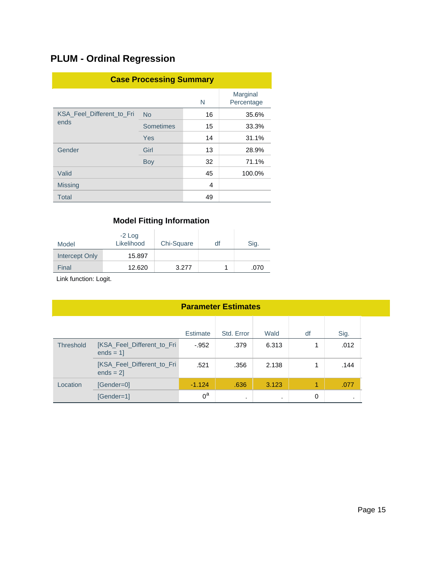# **PLUM - Ordinal Regression**

| <b>Case Processing Summary</b> |                  |    |                        |  |
|--------------------------------|------------------|----|------------------------|--|
|                                |                  | N  | Marginal<br>Percentage |  |
| KSA Feel Different to Fri      | <b>No</b>        | 16 | 35.6%                  |  |
| ends                           | <b>Sometimes</b> | 15 | 33.3%                  |  |
|                                | Yes              | 14 | 31.1%                  |  |
| Gender                         | Girl             | 13 | 28.9%                  |  |
|                                | Boy              | 32 | 71.1%                  |  |
| Valid                          |                  | 45 | 100.0%                 |  |
| <b>Missing</b>                 |                  | 4  |                        |  |
| <b>Total</b>                   |                  | 49 |                        |  |

## **Model Fitting Information**

| Model          | $-2$ Log<br>Likelihood | Chi-Square | df | Sig. |
|----------------|------------------------|------------|----|------|
| Intercept Only | 15.897                 |            |    |      |
| Final          | 12.620                 | 3.277      |    | .070 |

| <b>Parameter Estimates</b>                   |                                          |          |         |           |   |         |  |
|----------------------------------------------|------------------------------------------|----------|---------|-----------|---|---------|--|
| Std. Error<br>Sig.<br>Wald<br>df<br>Estimate |                                          |          |         |           |   |         |  |
| <b>Threshold</b>                             | [KSA_Feel_Different_to_Fri<br>$ends = 1$ | $-952$   | .379    | 6.313     | 1 | .012    |  |
|                                              | [KSA_Feel_Different_to_Fri<br>$ends = 2$ | .521     | .356    | 2.138     | 1 | .144    |  |
| Location                                     | [Gender=0]                               | $-1.124$ | .636    | 3.123     | 1 | .077    |  |
|                                              | [Gender=1]                               | $0^a$    | $\cdot$ | $\bullet$ | 0 | $\cdot$ |  |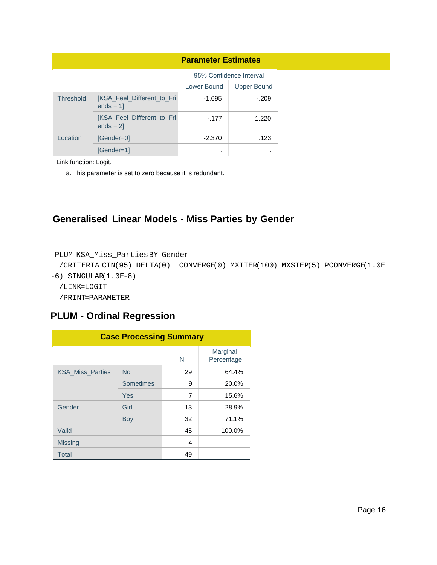|                  |                                          | <b>Parameter Estimates</b>        |                         |  |  |  |
|------------------|------------------------------------------|-----------------------------------|-------------------------|--|--|--|
|                  |                                          |                                   | 95% Confidence Interval |  |  |  |
|                  |                                          | Lower Bound<br><b>Upper Bound</b> |                         |  |  |  |
| <b>Threshold</b> | [KSA_Feel_Different_to_Fri<br>$ends = 1$ | $-1.695$                          | $-.209$                 |  |  |  |
|                  | [KSA_Feel_Different_to_Fri<br>$ends = 2$ | $-.177$                           | 1.220                   |  |  |  |
| Location         | [Gender=0]                               | $-2.370$                          | .123                    |  |  |  |
|                  | [Gender=1]                               | ٠                                 |                         |  |  |  |

Link function: Logit.

a. This parameter is set to zero because it is redundant.

## **Generalised Linear Models - Miss Parties by Gender**

```
PLUM KSA_Miss_PartiesBY Gender
```

```
 /CRITERIA=CIN(95) DELTA(0) LCONVERGE(0) MXITER(100) MXSTEP(5) PCONVERGE(1.0E
-6) SINGULAR(1.0E-8)
```

```
 /LINK=LOGIT
```

```
 /PRINT=PARAMETER.
```
## **PLUM - Ordinal Regression**

| <b>Case Processing Summary</b> |                  |    |                        |  |  |  |
|--------------------------------|------------------|----|------------------------|--|--|--|
|                                |                  | N  | Marginal<br>Percentage |  |  |  |
| <b>KSA Miss Parties</b>        | <b>No</b>        | 29 | 64.4%                  |  |  |  |
|                                | <b>Sometimes</b> | 9  | 20.0%                  |  |  |  |
|                                | Yes              | 7  | 15.6%                  |  |  |  |
| Gender                         | Girl             | 13 | 28.9%                  |  |  |  |
|                                | Boy              | 32 | 71.1%                  |  |  |  |
| Valid                          |                  | 45 | 100.0%                 |  |  |  |
| <b>Missing</b>                 |                  | 4  |                        |  |  |  |
| <b>Total</b>                   |                  | 49 |                        |  |  |  |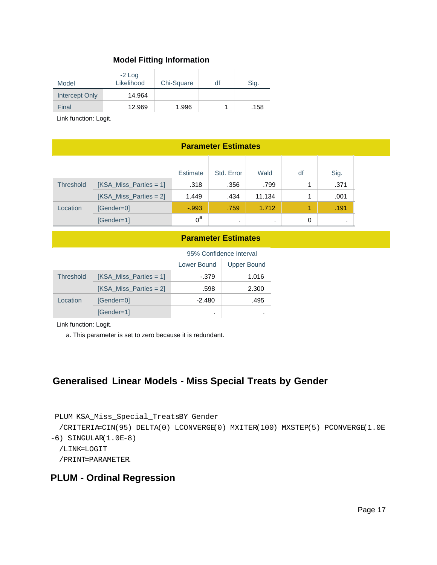| Model          | $-2$ Log<br>Likelihood | Chi-Square | df | Sig. |
|----------------|------------------------|------------|----|------|
| Intercept Only | 14.964                 |            |    |      |
| Final          | 12.969                 | 1.996      |    | .158 |

Link function: Logit.

| <b>Parameter Estimates</b>                   |                          |         |         |           |   |      |
|----------------------------------------------|--------------------------|---------|---------|-----------|---|------|
| Std. Error<br>Estimate<br>Wald<br>df<br>Sig. |                          |         |         |           |   |      |
| <b>Threshold</b>                             | $[KSA_Miss_Parties = 1]$ | .318    | .356    | .799      |   | .371 |
|                                              | $[KSA_Miss_Parties = 2]$ | 1.449   | .434    | 11.134    |   | .001 |
| Location                                     | [Gender=0]               | $-.993$ | .759    | 1.712     | 1 | .191 |
|                                              | [Gender=1]               | $0^a$   | $\cdot$ | $\bullet$ | 0 |      |

#### **Parameter Estimates**

|                  |                          | 95% Confidence Interval |                    |  |
|------------------|--------------------------|-------------------------|--------------------|--|
|                  |                          | Lower Bound             | <b>Upper Bound</b> |  |
| <b>Threshold</b> | $[KSA_Miss_Parties = 1]$ | -.379                   | 1.016              |  |
|                  | $[KSA_Miss_Parties = 2]$ | .598                    | 2.300              |  |
| Location         | [Gender=0]               | $-2.480$                | .495               |  |
|                  | [Gender=1]               | ٠                       |                    |  |

Link function: Logit.

a. This parameter is set to zero because it is redundant.

### **Generalised Linear Models - Miss Special Treats by Gender**

```
PLUM KSA_Miss_Special_TreatsBY Gender
  /CRITERIA=CIN(95) DELTA(0) LCONVERGE(0) MXITER(100) MXSTEP(5) PCONVERGE(1.0E
-6) SINGULAR(1.0E-8) /LINK=LOGIT
   /PRINT=PARAMETER.
```
### **PLUM - Ordinal Regression**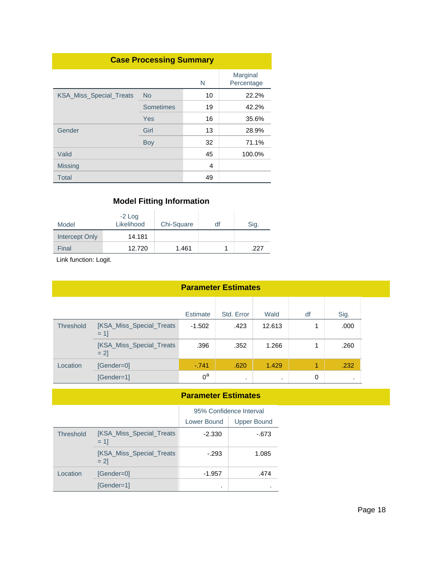| <b>Case Processing Summary</b> |           |    |                        |  |  |  |
|--------------------------------|-----------|----|------------------------|--|--|--|
|                                |           | N  | Marginal<br>Percentage |  |  |  |
| KSA_Miss_Special_Treats        | <b>No</b> | 10 | 22.2%                  |  |  |  |
|                                | Sometimes | 19 | 42.2%                  |  |  |  |
|                                | Yes       | 16 | 35.6%                  |  |  |  |
| Gender                         | Girl      | 13 | 28.9%                  |  |  |  |
|                                | Boy       | 32 | 71.1%                  |  |  |  |
| Valid                          |           | 45 | 100.0%                 |  |  |  |
| <b>Missing</b>                 |           | 4  |                        |  |  |  |
| <b>Total</b>                   |           | 49 |                        |  |  |  |

| Model          | $-2$ Log<br>Likelihood | Chi-Square | df | Sig. |
|----------------|------------------------|------------|----|------|
| Intercept Only | 14.181                 |            |    |      |
| Final          | 12.720                 | 1.461      |    | 227  |

Link function: Logit.

| <b>Parameter Estimates</b> |  |
|----------------------------|--|
|----------------------------|--|

|           |                                    | <b>Estimate</b> | Std. Error | Wald   | df | Sig. |
|-----------|------------------------------------|-----------------|------------|--------|----|------|
| Threshold | [KSA_Miss_Special_Treats<br>$= 11$ | $-1.502$        | .423       | 12.613 |    | .000 |
|           | [KSA_Miss_Special_Treats<br>$= 21$ | .396            | .352       | 1.266  |    | .260 |
| Location  | [Gender=0]                         | $-741$          | .620       | 1.429  | 1  | .232 |
|           | [Gender=1]                         | $0^a$           | $\cdot$    |        | 0  | ٠    |

#### **Parameter Estimates**

|                  |                                    | 95% Confidence Interval |             |  |
|------------------|------------------------------------|-------------------------|-------------|--|
|                  |                                    | Lower Bound             | Upper Bound |  |
| <b>Threshold</b> | [KSA_Miss_Special_Treats<br>$= 11$ | $-2.330$                | -.673       |  |
|                  | [KSA_Miss_Special_Treats<br>$= 21$ | $-293$                  | 1.085       |  |
| Location         | [Gender=0]                         | -1.957                  | .474        |  |
|                  | [Gender=1]                         | ٠                       |             |  |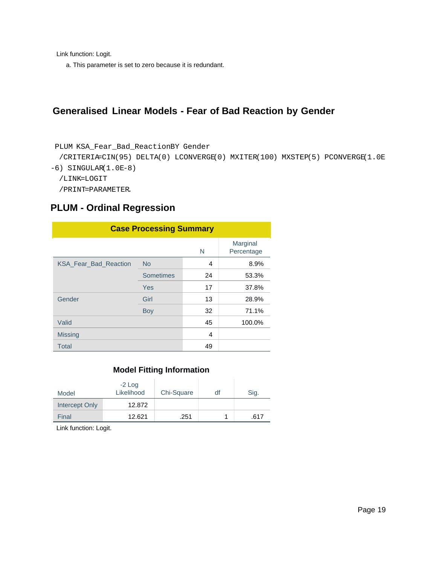Link function: Logit.

a. This parameter is set to zero because it is redundant.

### **Generalised Linear Models - Fear of Bad Reaction by Gender**

```
PLUM KSA_Fear_Bad_ReactionBY Gender
```

```
 /CRITERIA=CIN(95) DELTA(0) LCONVERGE(0) MXITER(100) MXSTEP(5) PCONVERGE(1.0E
-6) SINGULAR(1.0E-8)
```

```
 /LINK=LOGIT
```
/PRINT=PARAMETER.

### **PLUM - Ordinal Regression**

| <b>Case Processing Summary</b> |           |    |                        |  |  |
|--------------------------------|-----------|----|------------------------|--|--|
|                                |           | N  | Marginal<br>Percentage |  |  |
| <b>KSA Fear Bad Reaction</b>   | <b>No</b> | 4  | 8.9%                   |  |  |
|                                | Sometimes | 24 | 53.3%                  |  |  |
|                                | Yes       | 17 | 37.8%                  |  |  |
| Gender                         | Girl      | 13 | 28.9%                  |  |  |
|                                | Boy       | 32 | 71.1%                  |  |  |
| Valid                          |           | 45 | 100.0%                 |  |  |
| <b>Missing</b>                 |           | 4  |                        |  |  |
| <b>Total</b>                   |           | 49 |                        |  |  |

#### **Model Fitting Information**

| Model          | $-2$ Log<br>Likelihood | Chi-Square | df | Sig. |
|----------------|------------------------|------------|----|------|
| Intercept Only | 12.872                 |            |    |      |
| Final          | 12.621                 | .251       |    | .617 |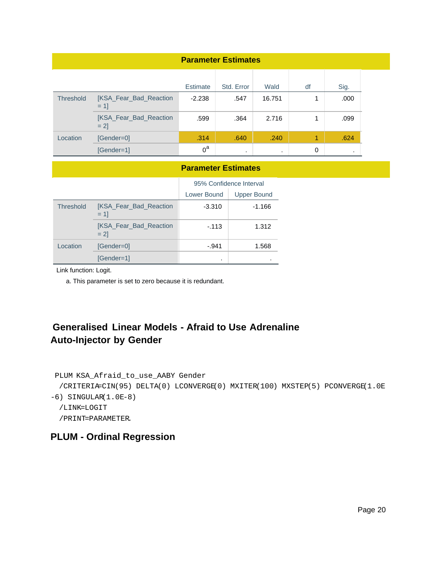| <b>Parameter Estimates</b> |                                   |          |            |         |    |           |
|----------------------------|-----------------------------------|----------|------------|---------|----|-----------|
|                            |                                   | Estimate | Std. Error | Wald    | df | Sig.      |
| Threshold                  | [KSA_Fear_Bad_Reaction<br>$= 11$  | $-2.238$ | .547       | 16.751  |    | .000      |
|                            | [KSA_Fear_Bad_Reaction<br>$= 2$ ] | .599     | .364       | 2.716   | 1  | .099      |
| Location                   | [Gender=0]                        | .314     | .640       | .240    | 1  | .624      |
|                            | [Gender=1]                        | $0^a$    | $\bullet$  | $\cdot$ | 0  | $\bullet$ |

#### **Parameter Estimates**

|                  |                                         | 95% Confidence Interval |                    |  |
|------------------|-----------------------------------------|-------------------------|--------------------|--|
|                  |                                         | Lower Bound             | <b>Upper Bound</b> |  |
| <b>Threshold</b> | <b>IKSA Fear Bad Reaction</b><br>$= 11$ | $-3.310$                | $-1.166$           |  |
|                  | [KSA_Fear_Bad_Reaction<br>$= 21$        | $-113$                  | 1.312              |  |
| Location         | [Gender=0]                              | $-.941$                 | 1.568              |  |
|                  | [Gender=1]                              | ٠                       |                    |  |

Link function: Logit.

a. This parameter is set to zero because it is redundant.

# **Generalised Linear Models - Afraid to Use Adrenaline Auto-Injector by Gender**

```
PLUM KSA_Afraid_to_use_AABY Gender
   /CRITERIA=CIN(95) DELTA(0) LCONVERGE(0) MXITER(100) MXSTEP(5) PCONVERGE(1.0E
-6) SINGULAR(1.0E-8)
   /LINK=LOGIT
   /PRINT=PARAMETER.
```
### **PLUM - Ordinal Regression**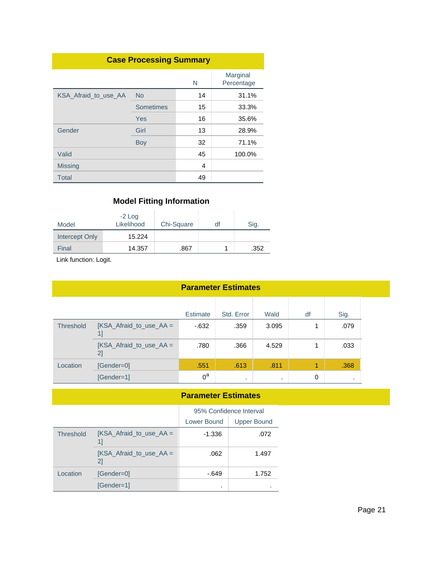| <b>Case Processing Summary</b> |           |    |                        |  |  |
|--------------------------------|-----------|----|------------------------|--|--|
|                                |           | N  | Marginal<br>Percentage |  |  |
| KSA Afraid to use AA           | <b>No</b> | 14 | 31.1%                  |  |  |
|                                | Sometimes | 15 | 33.3%                  |  |  |
|                                | Yes       | 16 | 35.6%                  |  |  |
| Gender                         | Girl      | 13 | 28.9%                  |  |  |
|                                | Boy       | 32 | 71.1%                  |  |  |
| Valid                          |           | 45 | 100.0%                 |  |  |
| Missing                        |           | 4  |                        |  |  |
| Total                          |           | 49 |                        |  |  |

| Model          | $-2$ Log<br>Likelihood | Chi-Square | dt | Sig. |
|----------------|------------------------|------------|----|------|
| Intercept Only | 15.224                 |            |    |      |
| Final          | 14.357                 | .867       |    | .352 |

Link function: Logit.

| <b>Parameter Estimates</b> |  |
|----------------------------|--|
|----------------------------|--|

|           |                                  | <b>Estimate</b> | Std. Error | Wald  | df | Sig. |
|-----------|----------------------------------|-----------------|------------|-------|----|------|
| Threshold | [KSA_Afraid_to_use_AA =          | $-632$          | .359       | 3.095 |    | .079 |
|           | $KSA_A$ Afraid_to_use_AA =<br>2] | .780            | .366       | 4.529 |    | .033 |
| Location  | [Gender=0]                       | .551            | .613       | .811  | 1  | .368 |
|           | [Gender=1]                       | $0^a$           |            | ٠     | 0  | ٠    |

#### **Parameter Estimates**

|                  |                                 | 95% Confidence Interval |                    |
|------------------|---------------------------------|-------------------------|--------------------|
|                  |                                 | Lower Bound             | <b>Upper Bound</b> |
| <b>Threshold</b> | [KSA Afraid to use $AA =$       | $-1.336$                | .072               |
|                  | [KSA Afraid to use $AA =$<br>21 | .062                    | 1.497              |
| Location         | $[Gender = 0]$                  | $-649$                  | 1.752              |
|                  | [Gender=1]                      | ٠                       |                    |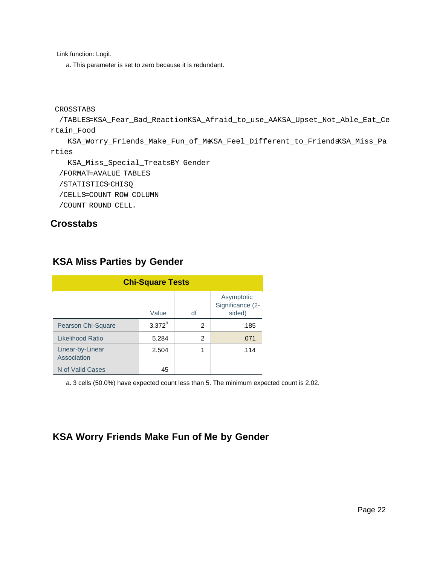Link function: Logit.

a. This parameter is set to zero because it is redundant.

```
CROSSTABS
```

```
 /TABLES=KSA_Fear_Bad_ReactionKSA_Afraid_to_use_AAKSA_Upset_Not_Able_Eat_Ce
rtain_Food
```

```
 KSA_Worry_Friends_Make_Fun_of_MeKSA_Feel_Different_to_FriendsKSA_Miss_Pa
rties
```
 KSA\_Miss\_Special\_TreatsBY Gender /FORMAT=AVALUE TABLES

```
/STATISTICS=CHISQ
```
/CELLS=COUNT ROW COLUMN

/COUNT ROUND CELL.

### **Crosstabs**

| <b>Chi-Square Tests</b>         |           |                |                                          |  |  |  |
|---------------------------------|-----------|----------------|------------------------------------------|--|--|--|
|                                 | Value     | df             | Asymptotic<br>Significance (2-<br>sided) |  |  |  |
| Pearson Chi-Square              | $3.372^a$ | $\mathfrak{p}$ | .185                                     |  |  |  |
| Likelihood Ratio                | 5.284     | 2              | .071                                     |  |  |  |
| Linear-by-Linear<br>Association | 2.504     | 1              | .114                                     |  |  |  |
| N of Valid Cases                | 45        |                |                                          |  |  |  |

### **KSA Miss Parties by Gender**

a. 3 cells (50.0%) have expected count less than 5. The minimum expected count is 2.02.

# **KSA Worry Friends Make Fun of Me by Gender**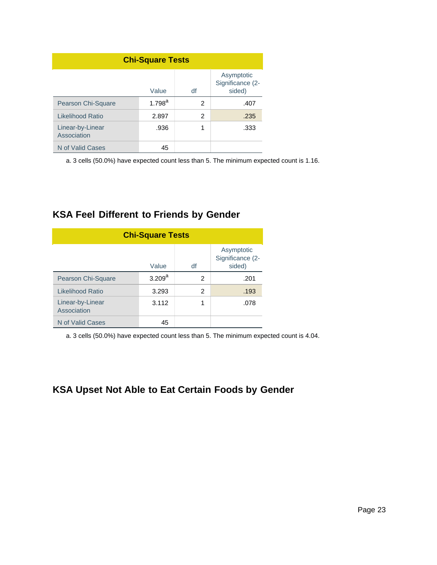| <b>Chi-Square Tests</b>         |           |    |                                          |  |  |  |
|---------------------------------|-----------|----|------------------------------------------|--|--|--|
|                                 | Value     | df | Asymptotic<br>Significance (2-<br>sided) |  |  |  |
| Pearson Chi-Square              | $1.798^a$ | 2  | .407                                     |  |  |  |
| <b>Likelihood Ratio</b>         | 2.897     | 2  | .235                                     |  |  |  |
| Linear-by-Linear<br>Association | .936      | 1  | .333                                     |  |  |  |
| N of Valid Cases                | 45        |    |                                          |  |  |  |

a. 3 cells (50.0%) have expected count less than 5. The minimum expected count is 1.16.

## **KSA Feel Different to Friends by Gender**

| <b>Chi-Square Tests</b>         |             |    |                                          |  |  |  |
|---------------------------------|-------------|----|------------------------------------------|--|--|--|
|                                 | Value       | df | Asymptotic<br>Significance (2-<br>sided) |  |  |  |
| Pearson Chi-Square              | $3.209^{a}$ | 2  | .201                                     |  |  |  |
| Likelihood Ratio                | 3.293       | 2  | .193                                     |  |  |  |
| Linear-by-Linear<br>Association | 3.112       |    | .078                                     |  |  |  |
| N of Valid Cases                | 45          |    |                                          |  |  |  |

a. 3 cells (50.0%) have expected count less than 5. The minimum expected count is 4.04.

## **KSA Upset Not Able to Eat Certain Foods by Gender**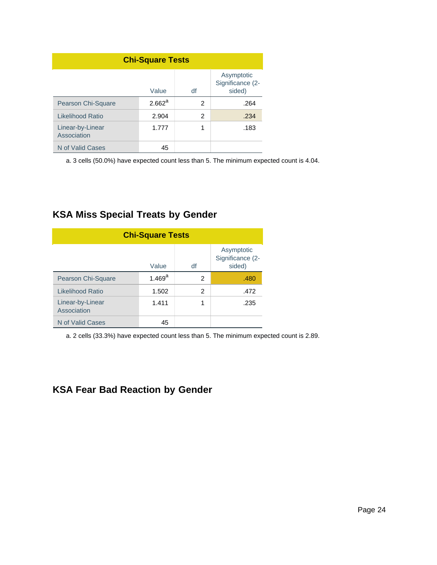| <b>Chi-Square Tests</b>         |           |                |                                          |  |
|---------------------------------|-----------|----------------|------------------------------------------|--|
|                                 | Value     | df             | Asymptotic<br>Significance (2-<br>sided) |  |
| Pearson Chi-Square              | $2.662^a$ | $\overline{2}$ | .264                                     |  |
| Likelihood Ratio                | 2.904     | 2              | .234                                     |  |
| Linear-by-Linear<br>Association | 1.777     | 1              | .183                                     |  |
| N of Valid Cases                | 45        |                |                                          |  |

a. 3 cells (50.0%) have expected count less than 5. The minimum expected count is 4.04.

## **KSA Miss Special Treats by Gender**

| <b>Chi-Square Tests</b>         |                 |    |                                          |  |
|---------------------------------|-----------------|----|------------------------------------------|--|
|                                 | Value           | df | Asymptotic<br>Significance (2-<br>sided) |  |
| Pearson Chi-Square              | $1.469^{\rm a}$ | 2  | .480                                     |  |
| Likelihood Ratio                | 1.502           | 2  | .472                                     |  |
| Linear-by-Linear<br>Association | 1.411           | 1  | .235                                     |  |
| N of Valid Cases                | 45              |    |                                          |  |

a. 2 cells (33.3%) have expected count less than 5. The minimum expected count is 2.89.

## **KSA Fear Bad Reaction by Gender**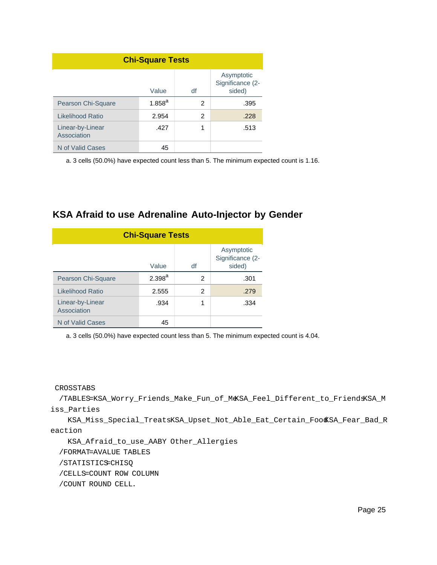| <b>Chi-Square Tests</b>         |             |    |                                          |  |
|---------------------------------|-------------|----|------------------------------------------|--|
|                                 | Value       | df | Asymptotic<br>Significance (2-<br>sided) |  |
| Pearson Chi-Square              | $1.858^{a}$ | 2  | .395                                     |  |
| Likelihood Ratio                | 2.954       | 2  | .228                                     |  |
| Linear-by-Linear<br>Association | .427        | 1  | .513                                     |  |
| N of Valid Cases                | 45          |    |                                          |  |

a. 3 cells (50.0%) have expected count less than 5. The minimum expected count is 1.16.

### **KSA Afraid to use Adrenaline Auto-Injector by Gender**

| <b>Chi-Square Tests</b>         |             |    |                                          |  |
|---------------------------------|-------------|----|------------------------------------------|--|
|                                 | Value       | df | Asymptotic<br>Significance (2-<br>sided) |  |
| Pearson Chi-Square              | $2.398^{a}$ | 2  | .301                                     |  |
| Likelihood Ratio                | 2.555       | 2  | .279                                     |  |
| Linear-by-Linear<br>Association | .934        | 1  | .334                                     |  |
| N of Valid Cases                | 45          |    |                                          |  |

a. 3 cells (50.0%) have expected count less than 5. The minimum expected count is 4.04.

CROSSTABS

 /TABLES=KSA\_Worry\_Friends\_Make\_Fun\_of\_MeKSA\_Feel\_Different\_to\_FriendsKSA\_M iss\_Parties

 KSA\_Miss\_Special\_TreatsKSA\_Upset\_Not\_Able\_Eat\_Certain\_FoodKSA\_Fear\_Bad\_R eaction

KSA\_Afraid\_to\_use\_AABY Other\_Allergies

/FORMAT=AVALUE TABLES

/STATISTICS=CHISQ

/CELLS=COUNT ROW COLUMN

/COUNT ROUND CELL.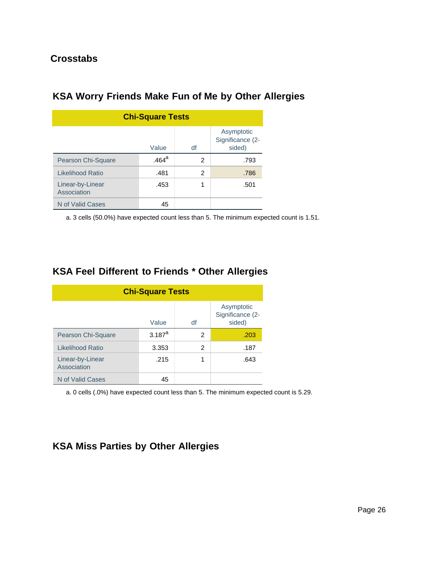### **Crosstabs**

| <b>Chi-Square Tests</b>         |                   |    |                                          |  |
|---------------------------------|-------------------|----|------------------------------------------|--|
|                                 | Value             | df | Asymptotic<br>Significance (2-<br>sided) |  |
| Pearson Chi-Square              | .464 <sup>a</sup> | 2  | .793                                     |  |
| Likelihood Ratio                | .481              | 2  | .786                                     |  |
| Linear-by-Linear<br>Association | .453              | 1  | .501                                     |  |
| N of Valid Cases                | 45                |    |                                          |  |

# **KSA Worry Friends Make Fun of Me by Other Allergies**

a. 3 cells (50.0%) have expected count less than 5. The minimum expected count is 1.51.

|  |  | <b>KSA Feel Different to Friends * Other Allergies</b> |  |  |
|--|--|--------------------------------------------------------|--|--|
|--|--|--------------------------------------------------------|--|--|

| <b>Chi-Square Tests</b>         |             |    |                                          |  |
|---------------------------------|-------------|----|------------------------------------------|--|
|                                 | Value       | df | Asymptotic<br>Significance (2-<br>sided) |  |
| Pearson Chi-Square              | $3.187^{a}$ | 2  | .203                                     |  |
| <b>Likelihood Ratio</b>         | 3.353       | 2  | .187                                     |  |
| Linear-by-Linear<br>Association | .215        | 1  | .643                                     |  |
| N of Valid Cases                | 45          |    |                                          |  |

a. 0 cells (.0%) have expected count less than 5. The minimum expected count is 5.29.

## **KSA Miss Parties by Other Allergies**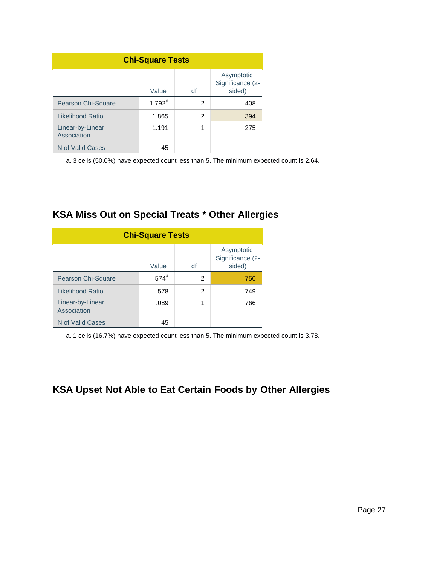| <b>Chi-Square Tests</b>         |                    |    |                                          |  |
|---------------------------------|--------------------|----|------------------------------------------|--|
|                                 | Value              | df | Asymptotic<br>Significance (2-<br>sided) |  |
| Pearson Chi-Square              | $1.792^{\text{a}}$ | 2  | .408                                     |  |
| <b>Likelihood Ratio</b>         | 1.865              | 2  | .394                                     |  |
| Linear-by-Linear<br>Association | 1.191              | 1  | .275                                     |  |
| N of Valid Cases                | 45                 |    |                                          |  |

a. 3 cells (50.0%) have expected count less than 5. The minimum expected count is 2.64.

## **KSA Miss Out on Special Treats \* Other Allergies**

| <b>Chi-Square Tests</b>         |          |    |                                          |  |
|---------------------------------|----------|----|------------------------------------------|--|
|                                 | Value    | df | Asymptotic<br>Significance (2-<br>sided) |  |
| Pearson Chi-Square              | $.574^a$ | 2  | .750                                     |  |
| Likelihood Ratio                | .578     | 2  | .749                                     |  |
| Linear-by-Linear<br>Association | .089     |    | .766                                     |  |
| N of Valid Cases                | 45       |    |                                          |  |

a. 1 cells (16.7%) have expected count less than 5. The minimum expected count is 3.78.

## **KSA Upset Not Able to Eat Certain Foods by Other Allergies**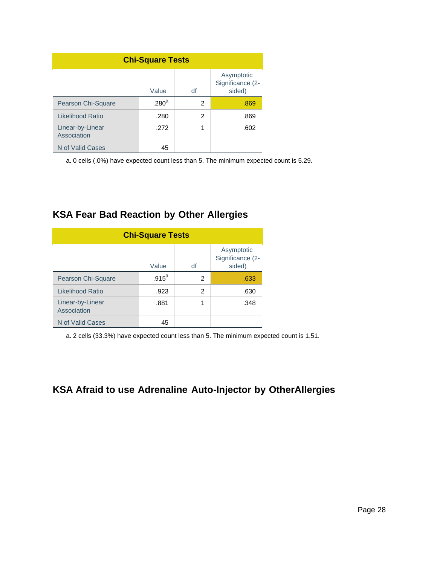| <b>Chi-Square Tests</b>         |                   |    |                                          |  |
|---------------------------------|-------------------|----|------------------------------------------|--|
|                                 | Value             | df | Asymptotic<br>Significance (2-<br>sided) |  |
| Pearson Chi-Square              | .280 <sup>a</sup> | 2  | .869                                     |  |
| <b>Likelihood Ratio</b>         | .280              | 2  | .869                                     |  |
| Linear-by-Linear<br>Association | .272              | 1  | .602                                     |  |
| N of Valid Cases                | 45                |    |                                          |  |

a. 0 cells (.0%) have expected count less than 5. The minimum expected count is 5.29.

## **KSA Fear Bad Reaction by Other Allergies**

| <b>Chi-Square Tests</b>         |          |    |                                          |  |
|---------------------------------|----------|----|------------------------------------------|--|
|                                 | Value    | df | Asymptotic<br>Significance (2-<br>sided) |  |
| <b>Pearson Chi-Square</b>       | $.915^a$ | 2  | .633                                     |  |
| Likelihood Ratio                | .923     | 2  | .630                                     |  |
| Linear-by-Linear<br>Association | .881     | 1  | .348                                     |  |
| N of Valid Cases                | 45       |    |                                          |  |

a. 2 cells (33.3%) have expected count less than 5. The minimum expected count is 1.51.

## **KSA Afraid to use Adrenaline Auto-Injector by OtherAllergies**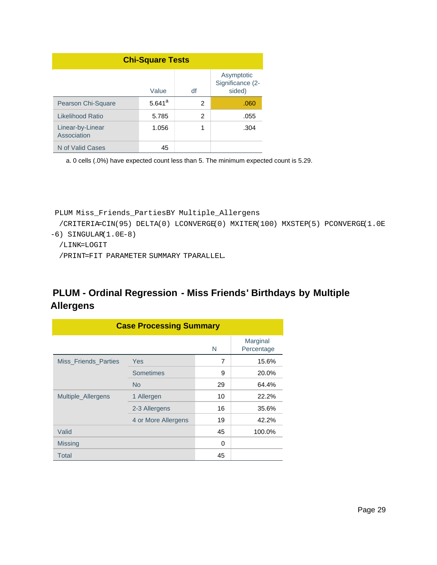| <b>Chi-Square Tests</b>         |             |    |                                          |  |
|---------------------------------|-------------|----|------------------------------------------|--|
|                                 | Value       | df | Asymptotic<br>Significance (2-<br>sided) |  |
| Pearson Chi-Square              | $5.641^{a}$ | 2  | .060                                     |  |
| Likelihood Ratio                | 5.785       | 2  | .055                                     |  |
| Linear-by-Linear<br>Association | 1.056       | 1  | .304                                     |  |
| N of Valid Cases                | 45          |    |                                          |  |

a. 0 cells (.0%) have expected count less than 5. The minimum expected count is 5.29.

```
PLUM Miss_Friends_PartiesBY Multiple_Allergens
```

```
 /CRITERIA=CIN(95) DELTA(0) LCONVERGE(0) MXITER(100) MXSTEP(5) PCONVERGE(1.0E
-6) SINGULAR(1.0E-8)
```

```
 /LINK=LOGIT
```
/PRINT=FIT PARAMETER SUMMARY TPARALLEL.

# **PLUM - Ordinal Regression - Miss Friends' Birthdays by Multiple Allergens**

| <b>Case Processing Summary</b> |                     |    |                        |  |
|--------------------------------|---------------------|----|------------------------|--|
|                                |                     | N  | Marginal<br>Percentage |  |
| <b>Miss Friends Parties</b>    | Yes                 | 7  | 15.6%                  |  |
|                                | <b>Sometimes</b>    | 9  | 20.0%                  |  |
|                                | <b>No</b>           | 29 | 64.4%                  |  |
| Multiple Allergens             | 1 Allergen          | 10 | 22.2%                  |  |
|                                | 2-3 Allergens       | 16 | 35.6%                  |  |
|                                | 4 or More Allergens | 19 | 42.2%                  |  |
| Valid                          |                     | 45 | 100.0%                 |  |
| <b>Missing</b>                 |                     | 0  |                        |  |
| <b>Total</b>                   |                     | 45 |                        |  |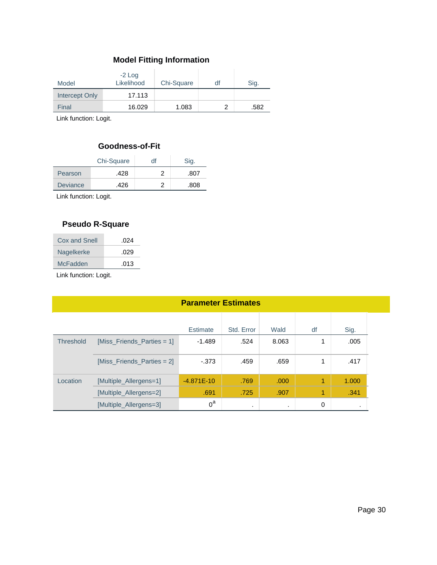| Model          | $-2$ Log<br>Likelihood | Chi-Square | df | Sig. |
|----------------|------------------------|------------|----|------|
| Intercept Only | 17.113                 |            |    |      |
| Final          | 16.029                 | 1.083      |    | .582 |

Link function: Logit.

#### **Goodness-of-Fit**

| Chi-Square      |      | df | Sig. |
|-----------------|------|----|------|
| Pearson         | .428 |    | .807 |
| <b>Deviance</b> | .426 |    | .808 |

Link function: Logit.

### **Pseudo R-Square**

| Cox and Snell | .024 |
|---------------|------|
| Nagelkerke    | .029 |
| McFadden      | .013 |
|               |      |

|                  | <b>Parameter Estimates</b>   |              |            |       |    |       |
|------------------|------------------------------|--------------|------------|-------|----|-------|
|                  |                              | Estimate     | Std. Error | Wald  | df | Sig.  |
| <b>Threshold</b> | $[Miss_Friends_Parties = 1]$ | $-1.489$     | .524       | 8.063 |    | .005  |
|                  | $[Miss_Friends_Parties = 2]$ | $-373$       | .459       | .659  | 1  | .417  |
| Location         | [Multiple_Allergens=1]       | $-4.871E-10$ | .769       | .000  | 1  | 1.000 |
|                  | [Multiple_Allergens=2]       | .691         | .725       | .907  | 1  | .341  |
|                  | [Multiple_Allergens=3]       | $0^a$        | $\cdot$    |       | 0  | . .   |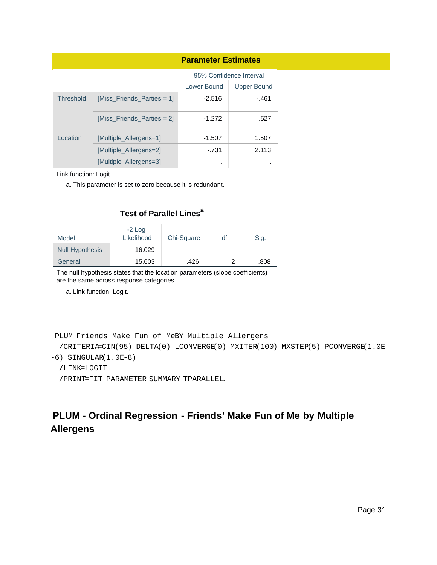|                  |                            | <b>Parameter Estimates</b> |                         |
|------------------|----------------------------|----------------------------|-------------------------|
|                  |                            |                            | 95% Confidence Interval |
|                  |                            | Lower Bound                | <b>Upper Bound</b>      |
| <b>Threshold</b> | [Miss_Friends_Parties = 1] | $-2.516$                   | -.461                   |
|                  | [Miss Friends Parties = 2] | $-1.272$                   | .527                    |
| Location         | [Multiple Allergens=1]     | $-1.507$                   | 1.507                   |
|                  | [Multiple Allergens=2]     | $-731$                     | 2.113                   |
|                  | [Multiple Allergens=3]     | ٠                          |                         |

Link function: Logit.

a. This parameter is set to zero because it is redundant.

#### **Test of Parallel Lines<sup>a</sup>**

| Model                  | $-2$ Log<br>Likelihood | Chi-Square | df | Sig. |
|------------------------|------------------------|------------|----|------|
| <b>Null Hypothesis</b> | 16.029                 |            |    |      |
| General                | 15.603                 | .426       | っ  | .808 |

The null hypothesis states that the location parameters (slope coefficients) are the same across response categories.

a. Link function: Logit.

```
PLUM Friends_Make_Fun_of_MeBY Multiple_Allergens
```
/CRITERIA=CIN(95) DELTA(0) LCONVERGE(0) MXITER(100) MXSTEP(5) PCONVERGE(1.0E

-6) SINGULAR(1.0E-8)

```
 /LINK=LOGIT
```
/PRINT=FIT PARAMETER SUMMARY TPARALLEL.

## **PLUM - Ordinal Regression - Friends' Make Fun of Me by Multiple Allergens**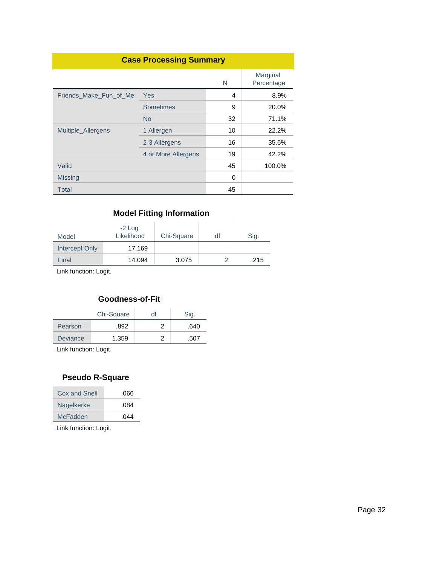|                        | <b>Case Processing Summary</b> |    |                        |
|------------------------|--------------------------------|----|------------------------|
|                        |                                | N  | Marginal<br>Percentage |
| Friends Make Fun of Me | Yes                            | 4  | 8.9%                   |
|                        | <b>Sometimes</b>               | 9  | 20.0%                  |
|                        | <b>No</b>                      | 32 | 71.1%                  |
| Multiple_Allergens     | 1 Allergen                     | 10 | 22.2%                  |
|                        | 2-3 Allergens                  | 16 | 35.6%                  |
|                        | 4 or More Allergens            | 19 | 42.2%                  |
| Valid                  |                                | 45 | 100.0%                 |
| <b>Missing</b>         |                                | 0  |                        |
| Total                  |                                | 45 |                        |

| Model          | $-2$ Log<br>Likelihood | Chi-Square | df | Sig. |
|----------------|------------------------|------------|----|------|
| Intercept Only | 17.169                 |            |    |      |
| Final          | 14.094                 | 3.075      |    | .215 |

Link function: Logit.

#### **Goodness-of-Fit**

|                 | Chi-Square | df | Sig. |
|-----------------|------------|----|------|
| Pearson         | .892       |    | .640 |
| <b>Deviance</b> | 1.359      |    | .507 |

Link function: Logit.

#### **Pseudo R-Square**

| .044 |
|------|
| .084 |
| .066 |
|      |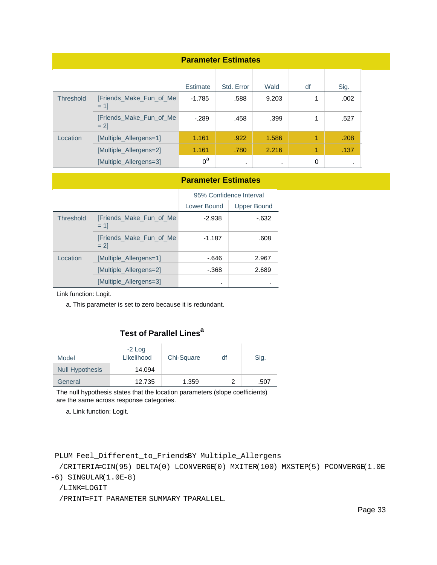| <b>Parameter Estimates</b> |                                   |                 |            |           |    |           |
|----------------------------|-----------------------------------|-----------------|------------|-----------|----|-----------|
|                            |                                   | <b>Estimate</b> | Std. Error | Wald      | df | Sig.      |
| <b>Threshold</b>           | [Friends_Make_Fun_of_Me<br>$= 11$ | $-1.785$        | .588       | 9.203     | 1  | .002      |
|                            | [Friends_Make_Fun_of_Me<br>$= 21$ | $-.289$         | .458       | .399      | 1  | .527      |
| Location                   | [Multiple_Allergens=1]            | 1.161           | .922       | 1.586     | 1  | .208      |
|                            | [Multiple_Allergens=2]            | 1.161           | .780       | 2.216     | 1  | .137      |
|                            | [Multiple_Allergens=3]            | $0^a$           | $\cdot$    | $\bullet$ | 0  | $\bullet$ |

#### **Parameter Estimates**

|                  |                                   | 95% Confidence Interval |                    |
|------------------|-----------------------------------|-------------------------|--------------------|
|                  |                                   | Lower Bound             | <b>Upper Bound</b> |
| <b>Threshold</b> | [Friends Make Fun of Me<br>$= 11$ | $-2.938$                | -.632              |
|                  | [Friends Make Fun of Me<br>$= 21$ | $-1.187$                | .608               |
| Location         | [Multiple Allergens=1]            | $-646$                  | 2.967              |
|                  | [Multiple Allergens=2]            | - 368                   | 2.689              |
|                  | [Multiple Allergens=3]            | ٠                       |                    |

Link function: Logit.

a. This parameter is set to zero because it is redundant.

### **Test of Parallel Lines<sup>a</sup>**

| Model                  | $-2$ Log<br>Likelihood | Chi-Square | df | Sig. |
|------------------------|------------------------|------------|----|------|
| <b>Null Hypothesis</b> | 14.094                 |            |    |      |
| General                | 12.735                 | 1.359      |    | .507 |

The null hypothesis states that the location parameters (slope coefficients) are the same across response categories.

a. Link function: Logit.

```
PLUM Feel_Different_to_FriendsBY Multiple_Allergens
```
 /CRITERIA=CIN(95) DELTA(0) LCONVERGE(0) MXITER(100) MXSTEP(5) PCONVERGE(1.0E -6) SINGULAR(1.0E-8)

/LINK=LOGIT

/PRINT=FIT PARAMETER SUMMARY TPARALLEL.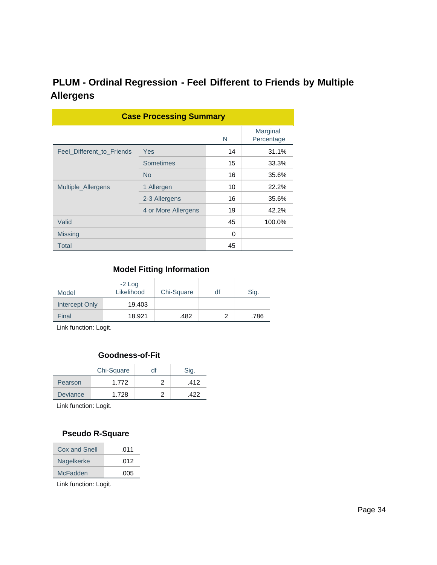# **PLUM - Ordinal Regression - Feel Different to Friends by Multiple Allergens**

| <b>Case Processing Summary</b> |                     |    |                        |  |  |
|--------------------------------|---------------------|----|------------------------|--|--|
|                                |                     | N  | Marginal<br>Percentage |  |  |
| Feel Different to Friends      | Yes                 | 14 | 31.1%                  |  |  |
|                                | <b>Sometimes</b>    | 15 | 33.3%                  |  |  |
|                                | <b>No</b>           | 16 | 35.6%                  |  |  |
| Multiple Allergens             | 1 Allergen          | 10 | 22.2%                  |  |  |
|                                | 2-3 Allergens       | 16 | 35.6%                  |  |  |
|                                | 4 or More Allergens | 19 | 42.2%                  |  |  |
| Valid                          |                     | 45 | 100.0%                 |  |  |
| <b>Missing</b>                 |                     | 0  |                        |  |  |
| <b>Total</b>                   |                     | 45 |                        |  |  |

### **Model Fitting Information**

| Model          | $-2$ Log<br>Likelihood | Chi-Square | df | Sig. |
|----------------|------------------------|------------|----|------|
| Intercept Only | 19.403                 |            |    |      |
| Final          | 18.921                 | .482       |    | .786 |

Link function: Logit.

#### **Goodness-of-Fit**

|                 | Chi-Square | df | Sig. |
|-----------------|------------|----|------|
| Pearson         | 1.772      |    | .412 |
| <b>Deviance</b> | 1.728      |    | 422  |

Link function: Logit.

#### **Pseudo R-Square**

| Cox and Snell | .011 |
|---------------|------|
| Nagelkerke    | .012 |
| McFadden      | .005 |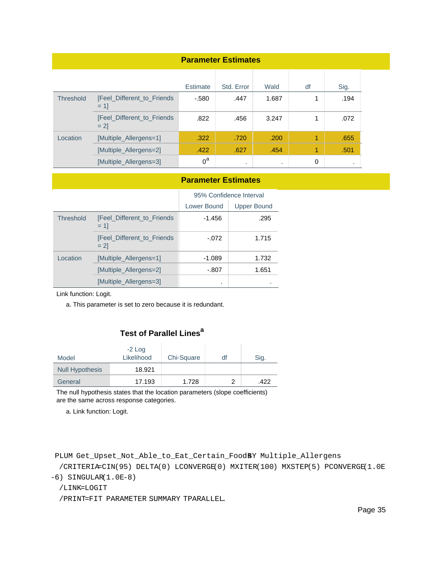| <b>Parameter Estimates</b> |                                      |                 |            |           |    |         |
|----------------------------|--------------------------------------|-----------------|------------|-----------|----|---------|
|                            |                                      | <b>Estimate</b> | Std. Error | Wald      | df | Sig.    |
| <b>Threshold</b>           | [Feel_Different_to_Friends<br>$= 11$ | $-580$          | .447       | 1.687     | 1  | .194    |
|                            | [Feel_Different_to_Friends<br>$= 21$ | .822            | .456       | 3.247     | 1  | .072    |
| Location                   | [Multiple_Allergens=1]               | .322            | .720       | .200      | 1  | .655    |
|                            | [Multiple_Allergens=2]               | .422            | .627       | .454      | 1  | .501    |
|                            | [Multiple_Allergens=3]               | $0^a$           | $\cdot$    | $\bullet$ | 0  | $\cdot$ |

#### **Parameter Estimates**

|                  |                                      | 95% Confidence Interval |                    |
|------------------|--------------------------------------|-------------------------|--------------------|
|                  |                                      | Lower Bound             | <b>Upper Bound</b> |
| <b>Threshold</b> | [Feel Different to Friends<br>$= 11$ | $-1.456$                | .295               |
|                  | [Feel_Different_to_Friends<br>$= 21$ | $-.072$                 | 1.715              |
| Location         | [Multiple Allergens=1]               | $-1.089$                | 1.732              |
|                  | [Multiple Allergens=2]               | $-.807$                 | 1.651              |
|                  | [Multiple Allergens=3]               | ٠                       |                    |

Link function: Logit.

a. This parameter is set to zero because it is redundant.

#### **Test of Parallel Lines<sup>a</sup>**

| Model                  | $-2$ Log<br>Likelihood | Chi-Square | df | Sig. |
|------------------------|------------------------|------------|----|------|
| <b>Null Hypothesis</b> | 18.921                 |            |    |      |
| General                | 17.193                 | 1.728      |    | .422 |

The null hypothesis states that the location parameters (slope coefficients) are the same across response categories.

a. Link function: Logit.

```
PLUM Get_Upset_Not_Able_to_Eat_Certain_FoodBY Multiple_Allergens
```
 /CRITERIA=CIN(95) DELTA(0) LCONVERGE(0) MXITER(100) MXSTEP(5) PCONVERGE(1.0E -6) SINGULAR(1.0E-8)

/LINK=LOGIT

/PRINT=FIT PARAMETER SUMMARY TPARALLEL.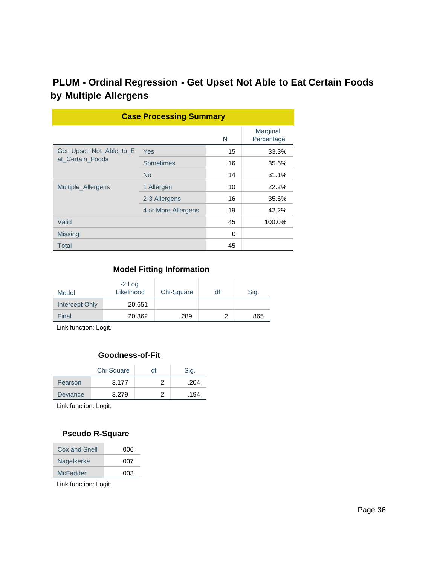# **PLUM - Ordinal Regression - Get Upset Not Able to Eat Certain Foods by Multiple Allergens**

| <b>Case Processing Summary</b> |                     |    |                        |  |  |
|--------------------------------|---------------------|----|------------------------|--|--|
|                                |                     | N  | Marginal<br>Percentage |  |  |
| Get_Upset_Not_Able_to_E        | Yes                 | 15 | 33.3%                  |  |  |
| at Certain Foods               | Sometimes           | 16 | 35.6%                  |  |  |
|                                | <b>No</b>           | 14 | 31.1%                  |  |  |
| Multiple Allergens             | 1 Allergen          | 10 | 22.2%                  |  |  |
|                                | 2-3 Allergens       | 16 | 35.6%                  |  |  |
|                                | 4 or More Allergens | 19 | 42.2%                  |  |  |
| Valid                          |                     | 45 | 100.0%                 |  |  |
| <b>Missing</b>                 |                     | 0  |                        |  |  |
| Total                          |                     | 45 |                        |  |  |

# **Model Fitting Information**

| Model          | $-2$ Log<br>Likelihood | Chi-Square | df | Sig. |
|----------------|------------------------|------------|----|------|
| Intercept Only | 20.651                 |            |    |      |
| Final          | 20.362                 | .289       |    | .865 |

Link function: Logit.

#### **Goodness-of-Fit**

|                 | Chi-Square | df | Sig. |
|-----------------|------------|----|------|
| Pearson         | 3.177      |    | .204 |
| <b>Deviance</b> | 3.279      |    | .194 |

Link function: Logit.

#### **Pseudo R-Square**

| Cox and Snell | .006 |
|---------------|------|
| Nagelkerke    | .007 |
| McFadden      | .003 |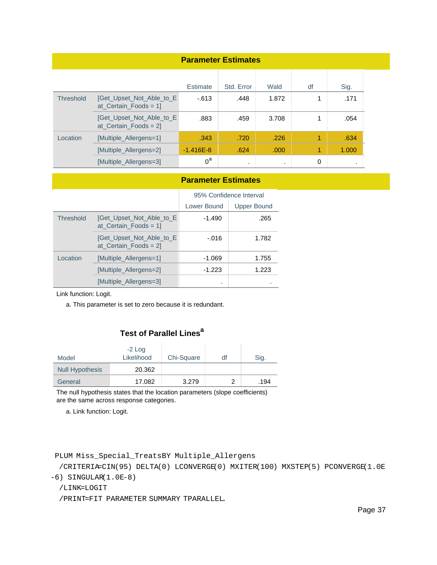| <b>Parameter Estimates</b> |                                                      |               |            |       |    |           |
|----------------------------|------------------------------------------------------|---------------|------------|-------|----|-----------|
|                            |                                                      | Estimate      | Std. Error | Wald  | df | Sig.      |
| <b>Threshold</b>           | [Get_Upset_Not_Able_to_E<br>at Certain Foods = $1$ ] | $-613$        | .448       | 1.872 | 1  | .171      |
|                            | [Get_Upset_Not_Able_to_E<br>$at_Certain_Foods = 2$   | .883          | .459       | 3.708 | 1  | .054      |
| Location                   | [Multiple_Allergens=1]                               | .343          | .720       | .226  | 1  | .634      |
|                            | [Multiple_Allergens=2]                               | $-1.416E - 8$ | .624       | .000  | 1  | 1.000     |
|                            | [Multiple Allergens=3]                               | $0^a$         | $\bullet$  |       | 0  | $\bullet$ |

#### **Parameter Estimates**

|           |                                                    | 95% Confidence Interval |                    |
|-----------|----------------------------------------------------|-------------------------|--------------------|
|           |                                                    | Lower Bound             | <b>Upper Bound</b> |
| Threshold | [Get Upset Not Able to E<br>$at_Certain_Foods = 1$ | $-1.490$                | .265               |
|           | [Get Upset Not Able to E<br>$at_Certain_Foods = 2$ | $-.016$                 | 1.782              |
| Location  | [Multiple Allergens=1]                             | $-1.069$                | 1.755              |
|           | [Multiple Allergens=2]                             | $-1.223$                | 1.223              |
|           | [Multiple Allergens=3]                             |                         |                    |

Link function: Logit.

a. This parameter is set to zero because it is redundant.

## **Test of Parallel Lines<sup>a</sup>**

| Model                  | $-2$ Log<br>Likelihood | Chi-Square | df | Sig. |
|------------------------|------------------------|------------|----|------|
| <b>Null Hypothesis</b> | 20.362                 |            |    |      |
| General                | 17.082                 | 3.279      |    | .194 |

The null hypothesis states that the location parameters (slope coefficients) are the same across response categories.

a. Link function: Logit.

```
PLUM Miss_Special_TreatsBY Multiple_Allergens
```
 /CRITERIA=CIN(95) DELTA(0) LCONVERGE(0) MXITER(100) MXSTEP(5) PCONVERGE(1.0E -6) SINGULAR(1.0E-8)

/LINK=LOGIT

/PRINT=FIT PARAMETER SUMMARY TPARALLEL.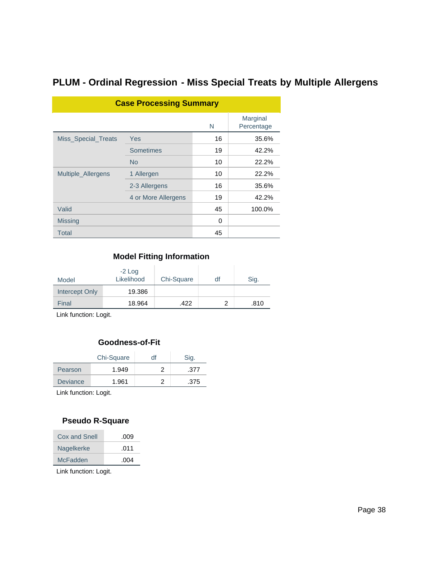## **PLUM - Ordinal Regression - Miss Special Treats by Multiple Allergens**

| <b>Case Processing Summary</b> |                     |    |                        |  |  |  |
|--------------------------------|---------------------|----|------------------------|--|--|--|
|                                |                     | N  | Marginal<br>Percentage |  |  |  |
| Miss_Special_Treats            | Yes                 | 16 | 35.6%                  |  |  |  |
|                                | <b>Sometimes</b>    | 19 | 42.2%                  |  |  |  |
|                                | <b>No</b>           | 10 | 22.2%                  |  |  |  |
| Multiple_Allergens             | 1 Allergen          | 10 | 22.2%                  |  |  |  |
|                                | 2-3 Allergens       | 16 | 35.6%                  |  |  |  |
|                                | 4 or More Allergens | 19 | 42.2%                  |  |  |  |
| Valid                          |                     | 45 | 100.0%                 |  |  |  |
| <b>Missing</b>                 |                     | 0  |                        |  |  |  |
| Total                          |                     | 45 |                        |  |  |  |

#### **Model Fitting Information**

| Model          | $-2$ Log<br>Likelihood | Chi-Square | df | Sig. |
|----------------|------------------------|------------|----|------|
| Intercept Only | 19.386                 |            |    |      |
| Final          | 18.964                 | .422       | 2  | .810 |

Link function: Logit.

#### **Goodness-of-Fit**

|                 | Chi-Square | df | Sig. |
|-----------------|------------|----|------|
| Pearson         | 1.949      |    | .377 |
| <b>Deviance</b> | 1.961      |    | .375 |

Link function: Logit.

#### **Pseudo R-Square**

| Cox and Snell | .009 |
|---------------|------|
| Nagelkerke    | .011 |
| McFadden      | .004 |
|               |      |

Link function: Logit.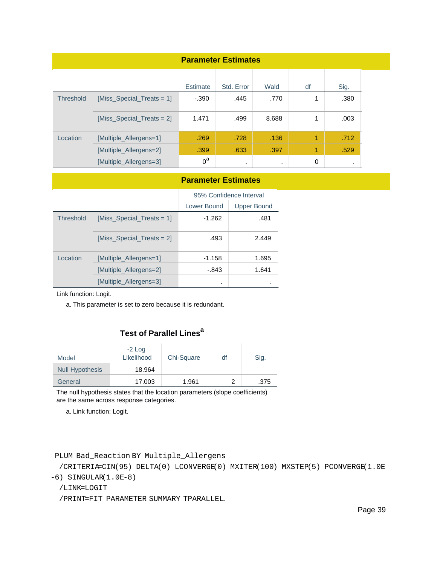| <b>Parameter Estimates</b> |                               |          |            |         |    |      |
|----------------------------|-------------------------------|----------|------------|---------|----|------|
|                            |                               | Estimate | Std. Error | Wald    | df | Sig. |
| <b>Threshold</b>           | [Miss_Special_Treats = 1]     | $-.390$  | .445       | .770    | 1  | .380 |
|                            | $[Miss\_Special\_Treats = 2]$ | 1.471    | .499       | 8.688   | 1  | .003 |
| Location                   | [Multiple_Allergens=1]        | .269     | .728       | .136    | 1  | .712 |
|                            | [Multiple_Allergens=2]        | .399     | .633       | .397    | 1  | .529 |
|                            | [Multiple_Allergens=3]        | $0^a$    | $\cdot$    | $\cdot$ | 0  |      |

#### **Parameter Estimates**

|                  |                              | 95% Confidence Interval |                    |  |
|------------------|------------------------------|-------------------------|--------------------|--|
|                  |                              | Lower Bound             | <b>Upper Bound</b> |  |
| <b>Threshold</b> | [Miss Special Treats = $1$ ] | $-1.262$                | .481               |  |
|                  | [Miss_Special_Treats = 2]    | .493                    | 2.449              |  |
| Location         | [Multiple Allergens=1]       | $-1.158$                | 1.695              |  |
|                  | [Multiple Allergens=2]       | - 843                   | 1.641              |  |
|                  | [Multiple Allergens=3]       | ٠                       |                    |  |

Link function: Logit.

a. This parameter is set to zero because it is redundant.

## **Test of Parallel Lines<sup>a</sup>**

| Model                  | $-2$ Log<br>Likelihood | Chi-Square | df | Sig. |
|------------------------|------------------------|------------|----|------|
| <b>Null Hypothesis</b> | 18.964                 |            |    |      |
| General                | 17.003                 | 1.961      |    | .375 |

The null hypothesis states that the location parameters (slope coefficients) are the same across response categories.

a. Link function: Logit.

#### PLUM Bad\_Reaction BY Multiple\_Allergens

 /CRITERIA=CIN(95) DELTA(0) LCONVERGE(0) MXITER(100) MXSTEP(5) PCONVERGE(1.0E -6) SINGULAR(1.0E-8)

/LINK=LOGIT

/PRINT=FIT PARAMETER SUMMARY TPARALLEL.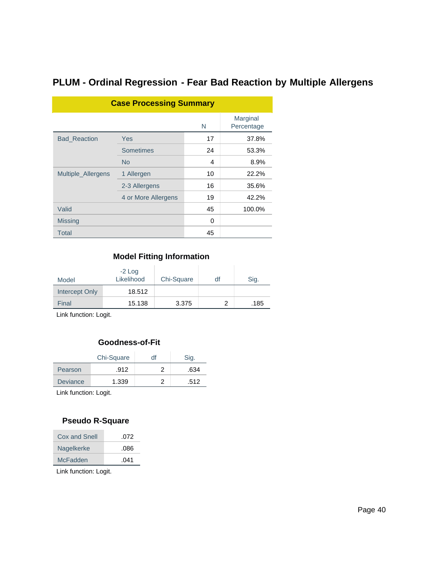## **PLUM - Ordinal Regression - Fear Bad Reaction by Multiple Allergens**

| <b>Case Processing Summary</b> |                     |    |                        |  |  |
|--------------------------------|---------------------|----|------------------------|--|--|
|                                |                     | N  | Marginal<br>Percentage |  |  |
| <b>Bad_Reaction</b>            | <b>Yes</b>          | 17 | 37.8%                  |  |  |
|                                | Sometimes           | 24 | 53.3%                  |  |  |
|                                | <b>No</b>           | 4  | 8.9%                   |  |  |
| Multiple_Allergens             | 1 Allergen          | 10 | 22.2%                  |  |  |
|                                | 2-3 Allergens       | 16 | 35.6%                  |  |  |
|                                | 4 or More Allergens | 19 | 42.2%                  |  |  |
| Valid                          |                     | 45 | 100.0%                 |  |  |
| <b>Missing</b>                 |                     | 0  |                        |  |  |
| Total                          |                     | 45 |                        |  |  |

#### **Model Fitting Information**

| Model          | $-2$ Log<br>Likelihood | Chi-Square | df | Sig. |
|----------------|------------------------|------------|----|------|
| Intercept Only | 18.512                 |            |    |      |
| Final          | 15.138                 | 3.375      |    | .185 |

Link function: Logit.

#### **Goodness-of-Fit**

|                 | Chi-Square | df | Sig. |
|-----------------|------------|----|------|
| Pearson         | .912       |    | .634 |
| <b>Deviance</b> | 1.339      |    | .512 |

Link function: Logit.

### **Pseudo R-Square**

| Cox and Snell | .072 |
|---------------|------|
| Nagelkerke    | .086 |
| McFadden      | .041 |
|               |      |

Link function: Logit.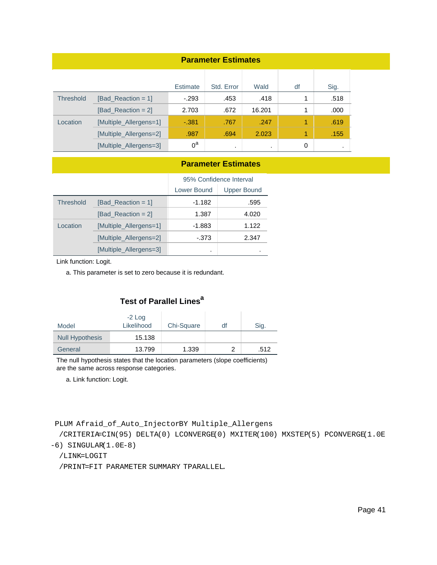| <b>Parameter Estimates</b> |                        |                 |            |        |    |           |
|----------------------------|------------------------|-----------------|------------|--------|----|-----------|
|                            |                        | <b>Estimate</b> | Std. Error | Wald   | df | Sig.      |
| <b>Threshold</b>           | [Bad Reaction = $1$ ]  | $-293$          | .453       | .418   |    | .518      |
|                            | $[Bad\_Reaction = 2]$  | 2.703           | .672       | 16.201 | 1  | .000      |
| Location                   | [Multiple_Allergens=1] | $-0.381$        | .767       | .247   | 1  | .619      |
|                            | [Multiple_Allergens=2] | .987            | .694       | 2.023  | 1  | .155      |
|                            | [Multiple_Allergens=3] | $0^a$           | $\cdot$    |        | 0  | $\bullet$ |

#### **Parameter Estimates**

|                  |                        | 95% Confidence Interval           |       |  |
|------------------|------------------------|-----------------------------------|-------|--|
|                  |                        | Lower Bound<br><b>Upper Bound</b> |       |  |
| <b>Threshold</b> | [Bad Reaction = $1$ ]  | $-1.182$                          | .595  |  |
|                  | [Bad Reaction = $2$ ]  | 1.387                             | 4.020 |  |
| Location         | [Multiple Allergens=1] | -1.883                            | 1.122 |  |
|                  | [Multiple Allergens=2] | -.373                             | 2.347 |  |
|                  | [Multiple_Allergens=3] | ٠                                 |       |  |

Link function: Logit.

a. This parameter is set to zero because it is redundant.

### **Test of Parallel Lines<sup>a</sup>**

| Model                  | $-2$ Log<br>Likelihood | Chi-Square | df | Sig. |
|------------------------|------------------------|------------|----|------|
| <b>Null Hypothesis</b> | 15.138                 |            |    |      |
| General                | 13.799                 | 1.339      |    | .512 |

The null hypothesis states that the location parameters (slope coefficients) are the same across response categories.

a. Link function: Logit.

PLUM Afraid\_of\_Auto\_InjectorBY Multiple\_Allergens

/CRITERIA=CIN(95) DELTA(0) LCONVERGE(0) MXITER(100) MXSTEP(5) PCONVERGE(1.0E

-6) SINGULAR(1.0E-8)

```
 /LINK=LOGIT
```
/PRINT=FIT PARAMETER SUMMARY TPARALLEL.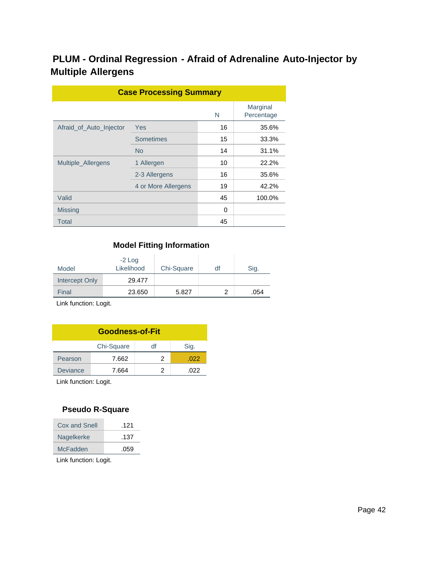## **PLUM - Ordinal Regression - Afraid of Adrenaline Auto-Injector by Multiple Allergens**

| <b>Case Processing Summary</b> |                     |    |                        |  |  |  |  |
|--------------------------------|---------------------|----|------------------------|--|--|--|--|
|                                |                     | N  | Marginal<br>Percentage |  |  |  |  |
| Afraid of Auto Injector        | Yes                 | 16 | 35.6%                  |  |  |  |  |
|                                | <b>Sometimes</b>    | 15 | 33.3%                  |  |  |  |  |
|                                | <b>No</b>           | 14 | 31.1%                  |  |  |  |  |
| Multiple_Allergens             | 1 Allergen          | 10 | 22.2%                  |  |  |  |  |
|                                | 2-3 Allergens       | 16 | 35.6%                  |  |  |  |  |
|                                | 4 or More Allergens | 19 | 42.2%                  |  |  |  |  |
| Valid                          |                     | 45 | 100.0%                 |  |  |  |  |
| <b>Missing</b>                 |                     | 0  |                        |  |  |  |  |
| Total                          |                     | 45 |                        |  |  |  |  |

### **Model Fitting Information**

| Model                 | $-2$ Log<br>Likelihood | Chi-Square | df | Sig. |
|-----------------------|------------------------|------------|----|------|
| <b>Intercept Only</b> | 29.477                 |            |    |      |
| Final                 | 23.650                 | 5.827      | າ  | .054 |

Link function: Logit.

| <b>Goodness-of-Fit</b>   |       |   |      |  |  |  |  |
|--------------------------|-------|---|------|--|--|--|--|
| Chi-Square<br>Sig.<br>df |       |   |      |  |  |  |  |
| Pearson                  | 7.662 | 2 | .022 |  |  |  |  |
| <b>Deviance</b>          | 7.664 |   | .022 |  |  |  |  |

Link function: Logit.

#### **Pseudo R-Square**

| Cox and Snell | .121 |
|---------------|------|
| Nagelkerke    | .137 |
| McFadden      | .059 |
|               |      |

Link function: Logit.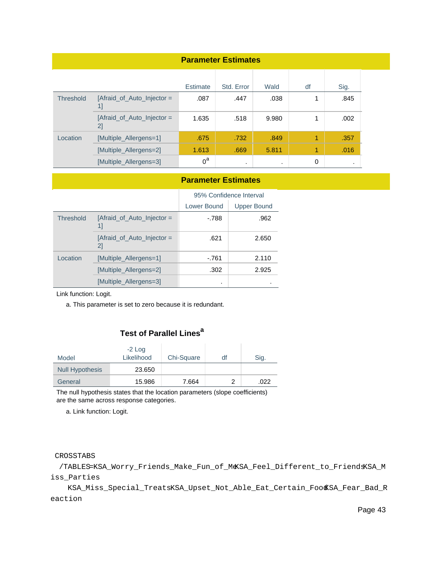| <b>Parameter Estimates</b> |                                  |                 |            |         |    |           |
|----------------------------|----------------------------------|-----------------|------------|---------|----|-----------|
|                            |                                  | <b>Estimate</b> | Std. Error | Wald    | df | Sig.      |
| <b>Threshold</b>           | [Afraid_of_Auto_Injector =<br>1] | .087            | .447       | .038    | 1  | .845      |
|                            | [Afraid_of_Auto_Injector =<br>2] | 1.635           | .518       | 9.980   | 1  | .002      |
| Location                   | [Multiple_Allergens=1]           | .675            | .732       | .849    | 1  | .357      |
|                            | [Multiple_Allergens=2]           | 1.613           | .669       | 5.811   | 1  | .016      |
|                            | [Multiple_Allergens=3]           | $0^a$           | $\cdot$    | $\cdot$ | 0  | $\bullet$ |

#### **Parameter Estimates**

|           |                                  | 95% Confidence Interval |                    |  |
|-----------|----------------------------------|-------------------------|--------------------|--|
|           |                                  | Lower Bound             | <b>Upper Bound</b> |  |
| Threshold | [Afraid_of_Auto_Injector =<br>11 | $-.788$                 | .962               |  |
|           | [Afraid of Auto Injector =<br>21 | .621                    | 2.650              |  |
| Location  | [Multiple Allergens=1]           | -.761                   | 2.110              |  |
|           | [Multiple Allergens=2]           | .302                    | 2.925              |  |
|           | [Multiple Allergens=3]           |                         |                    |  |

Link function: Logit.

a. This parameter is set to zero because it is redundant.

## **Test of Parallel Lines<sup>a</sup>**

| Model                  | $-2$ Log<br>Likelihood | Chi-Square | df | Sig. |
|------------------------|------------------------|------------|----|------|
| <b>Null Hypothesis</b> | 23.650                 |            |    |      |
| General                | 15.986                 | 7.664      |    | .022 |

The null hypothesis states that the location parameters (slope coefficients) are the same across response categories.

a. Link function: Logit.

#### CROSSTABS

 /TABLES=KSA\_Worry\_Friends\_Make\_Fun\_of\_MeKSA\_Feel\_Different\_to\_FriendsKSA\_M iss\_Parties

 KSA\_Miss\_Special\_TreatsKSA\_Upset\_Not\_Able\_Eat\_Certain\_FoodKSA\_Fear\_Bad\_R eaction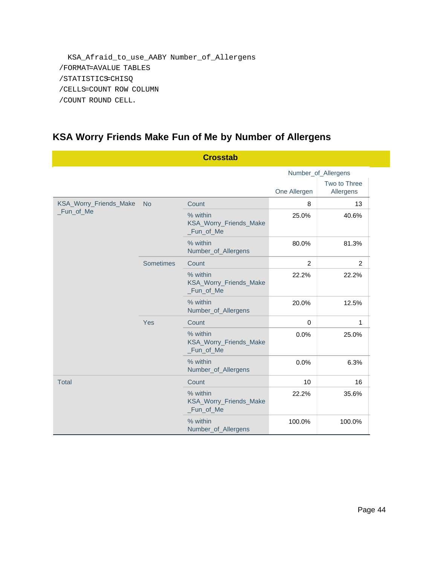KSA\_Afraid\_to\_use\_AABY Number\_of\_Allergens /FORMAT=AVALUE TABLES /STATISTICS=CHISQ /CELLS=COUNT ROW COLUMN /COUNT ROUND CELL.

## **KSA Worry Friends Make Fun of Me by Number of Allergens**

|                        |                  | <b>Crosstab</b>                                  |                |                           |
|------------------------|------------------|--------------------------------------------------|----------------|---------------------------|
|                        |                  |                                                  |                | Number_of_Allergens       |
|                        |                  |                                                  | One Allergen   | Two to Three<br>Allergens |
| KSA_Worry_Friends_Make | <b>No</b>        | Count                                            | 8              | 13                        |
| _Fun_of_Me             |                  | % within<br>KSA_Worry_Friends_Make<br>_Fun_of_Me | 25.0%          | 40.6%                     |
|                        |                  | % within<br>Number_of_Allergens                  | 80.0%          | 81.3%                     |
|                        | <b>Sometimes</b> | Count                                            | $\overline{2}$ | 2                         |
|                        |                  | % within<br>KSA_Worry_Friends_Make<br>_Fun_of_Me | 22.2%          | 22.2%                     |
|                        |                  | % within<br>Number_of_Allergens                  | 20.0%          | 12.5%                     |
|                        | Yes              | Count                                            | $\mathbf 0$    | 1                         |
|                        |                  | % within<br>KSA_Worry_Friends_Make<br>_Fun_of_Me | 0.0%           | 25.0%                     |
|                        |                  | % within<br>Number_of_Allergens                  | 0.0%           | 6.3%                      |
| <b>Total</b>           |                  | Count                                            | 10             | 16                        |
|                        |                  | % within<br>KSA_Worry_Friends_Make<br>_Fun_of_Me | 22.2%          | 35.6%                     |
|                        |                  | % within<br>Number_of_Allergens                  | 100.0%         | 100.0%                    |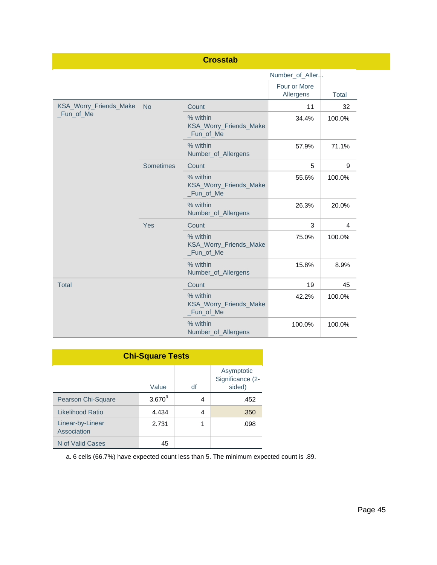|                        |                  | <b>Crosstab</b>                                  |                           |        |
|------------------------|------------------|--------------------------------------------------|---------------------------|--------|
|                        |                  |                                                  | Number_of_Aller           |        |
|                        |                  |                                                  | Four or More<br>Allergens | Total  |
| KSA_Worry_Friends_Make | <b>No</b>        | Count                                            | 11                        | 32     |
| _Fun_of_Me             |                  | % within<br>KSA_Worry_Friends_Make<br>_Fun_of_Me | 34.4%                     | 100.0% |
|                        |                  | % within<br>Number_of_Allergens                  | 57.9%                     | 71.1%  |
|                        | <b>Sometimes</b> | Count                                            | 5                         | 9      |
|                        |                  | % within<br>KSA_Worry_Friends_Make<br>_Fun_of_Me | 55.6%                     | 100.0% |
|                        |                  | % within<br>Number_of_Allergens                  | 26.3%                     | 20.0%  |
|                        | Yes              | Count                                            | 3                         | 4      |
|                        |                  | % within<br>KSA_Worry_Friends_Make<br>_Fun_of_Me | 75.0%                     | 100.0% |
|                        |                  | % within<br>Number_of_Allergens                  | 15.8%                     | 8.9%   |
| <b>Total</b>           |                  | Count                                            | 19                        | 45     |
|                        |                  | % within<br>KSA_Worry_Friends_Make<br>_Fun_of_Me | 42.2%                     | 100.0% |
|                        |                  | % within<br>Number_of_Allergens                  | 100.0%                    | 100.0% |

| <b>Chi-Square Tests</b>         |             |    |                                          |  |
|---------------------------------|-------------|----|------------------------------------------|--|
|                                 | Value       | df | Asymptotic<br>Significance (2-<br>sided) |  |
| Pearson Chi-Square              | $3.670^{a}$ | 4  | .452                                     |  |
| Likelihood Ratio                | 4.434       | 4  | .350                                     |  |
| Linear-by-Linear<br>Association | 2.731       | 1  | .098                                     |  |
| N of Valid Cases                | 45          |    |                                          |  |

a. 6 cells (66.7%) have expected count less than 5. The minimum expected count is .89.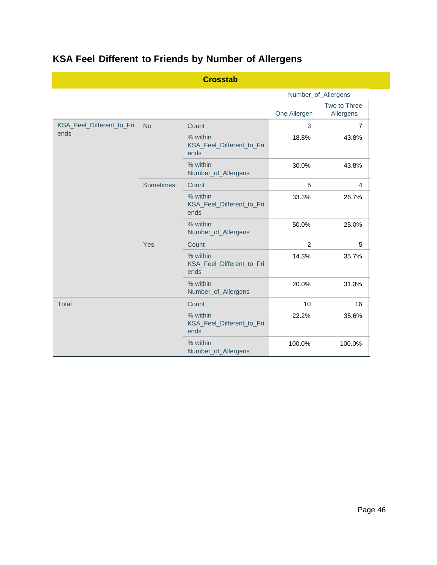# **KSA Feel Different to Friends by Number of Allergens**

|                           |           | <b>Crosstab</b>                               |              |                           |
|---------------------------|-----------|-----------------------------------------------|--------------|---------------------------|
|                           |           |                                               |              | Number_of_Allergens       |
|                           |           |                                               | One Allergen | Two to Three<br>Allergens |
| KSA_Feel_Different_to_Fri | <b>No</b> | Count                                         | 3            | $\overline{7}$            |
| ends                      |           | % within<br>KSA_Feel_Different_to_Fri<br>ends | 18.8%        | 43.8%                     |
|                           |           | % within<br>Number_of_Allergens               | 30.0%        | 43.8%                     |
|                           | Sometimes | Count                                         | 5            | $\overline{4}$            |
|                           |           | % within<br>KSA_Feel_Different_to_Fri<br>ends | 33.3%        | 26.7%                     |
|                           |           | % within<br>Number_of_Allergens               | 50.0%        | 25.0%                     |
|                           | Yes       | Count                                         | 2            | 5                         |
|                           |           | % within<br>KSA_Feel_Different_to_Fri<br>ends | 14.3%        | 35.7%                     |
|                           |           | % within<br>Number_of_Allergens               | 20.0%        | 31.3%                     |
| <b>Total</b>              |           | Count                                         | 10           | 16                        |
|                           |           | % within<br>KSA_Feel_Different_to_Fri<br>ends | 22.2%        | 35.6%                     |
|                           |           | % within<br>Number_of_Allergens               | 100.0%       | 100.0%                    |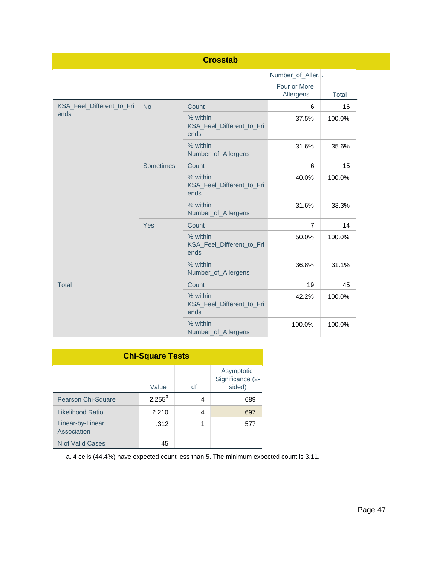|                           |           | <b>Crosstab</b>                               |                           |              |
|---------------------------|-----------|-----------------------------------------------|---------------------------|--------------|
|                           |           |                                               | Number_of_Aller           |              |
|                           |           |                                               | Four or More<br>Allergens | <b>Total</b> |
| KSA_Feel_Different_to_Fri | <b>No</b> | Count                                         | 6                         | 16           |
| ends                      |           | % within<br>KSA_Feel_Different_to_Fri<br>ends | 37.5%                     | 100.0%       |
|                           |           | % within<br>Number_of_Allergens               | 31.6%                     | 35.6%        |
|                           | Sometimes | Count                                         | 6                         | 15           |
|                           |           | % within<br>KSA_Feel_Different_to_Fri<br>ends | 40.0%                     | 100.0%       |
|                           |           | % within<br>Number_of_Allergens               | 31.6%                     | 33.3%        |
|                           | Yes       | Count                                         | $\overline{7}$            | 14           |
|                           |           | % within<br>KSA_Feel_Different_to_Fri<br>ends | 50.0%                     | 100.0%       |
|                           |           | % within<br>Number_of_Allergens               | 36.8%                     | 31.1%        |
| <b>Total</b>              |           | Count                                         | 19                        | 45           |
|                           |           | % within<br>KSA_Feel_Different_to_Fri<br>ends | 42.2%                     | 100.0%       |
|                           |           | % within<br>Number_of_Allergens               | 100.0%                    | 100.0%       |

| <b>Chi-Square Tests</b>         |                    |    |                                          |  |  |
|---------------------------------|--------------------|----|------------------------------------------|--|--|
|                                 | Value              | df | Asymptotic<br>Significance (2-<br>sided) |  |  |
| Pearson Chi-Square              | $2.255^{\text{a}}$ | 4  | .689                                     |  |  |
| Likelihood Ratio                | 2.210              | 4  | .697                                     |  |  |
| Linear-by-Linear<br>Association | .312               | 1  | .577                                     |  |  |
| N of Valid Cases                | 45                 |    |                                          |  |  |

a. 4 cells (44.4%) have expected count less than 5. The minimum expected count is 3.11.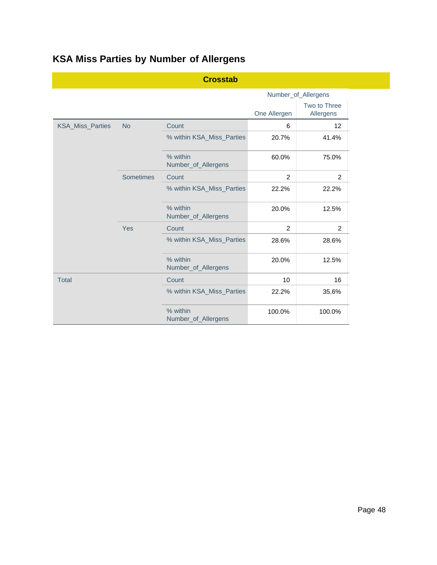|                         |                  | <b>Crosstab</b>                 |                     |                           |  |
|-------------------------|------------------|---------------------------------|---------------------|---------------------------|--|
|                         |                  |                                 | Number_of_Allergens |                           |  |
|                         |                  |                                 | One Allergen        | Two to Three<br>Allergens |  |
| <b>KSA_Miss_Parties</b> | <b>No</b>        | Count                           | 6                   | 12                        |  |
|                         |                  | % within KSA_Miss_Parties       | 20.7%               | 41.4%                     |  |
|                         |                  | % within<br>Number_of_Allergens | 60.0%               | 75.0%                     |  |
|                         | <b>Sometimes</b> | Count                           | $\overline{2}$      | $\overline{2}$            |  |
|                         |                  | % within KSA_Miss_Parties       | 22.2%               | 22.2%                     |  |
|                         |                  | % within<br>Number_of_Allergens | 20.0%               | 12.5%                     |  |
|                         | Yes              | Count                           | $\overline{2}$      | 2                         |  |
|                         |                  | % within KSA_Miss_Parties       | 28.6%               | 28.6%                     |  |
|                         |                  | % within<br>Number_of_Allergens | 20.0%               | 12.5%                     |  |
| <b>Total</b>            |                  | Count                           | 10                  | 16                        |  |
|                         |                  | % within KSA_Miss_Parties       | 22.2%               | 35.6%                     |  |
|                         |                  | % within<br>Number_of_Allergens | 100.0%              | 100.0%                    |  |

# **KSA Miss Parties by Number of Allergens**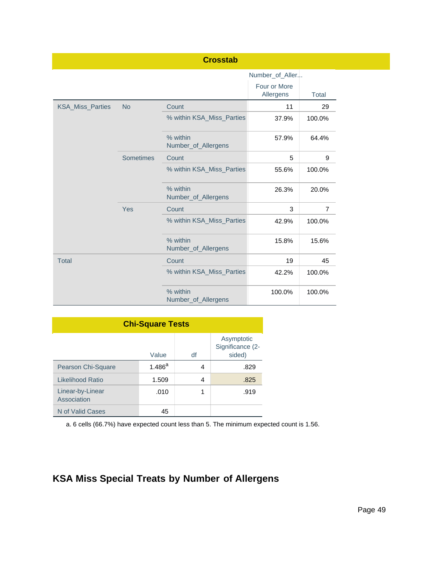|                         |                  | <b>Crosstab</b>                 |                           |              |
|-------------------------|------------------|---------------------------------|---------------------------|--------------|
|                         |                  |                                 | Number_of_Aller           |              |
|                         |                  |                                 | Four or More<br>Allergens | <b>Total</b> |
| <b>KSA Miss Parties</b> | <b>No</b>        | Count                           | 11                        | 29           |
|                         |                  | % within KSA_Miss_Parties       | 37.9%                     | 100.0%       |
|                         |                  | % within<br>Number_of_Allergens | 57.9%                     | 64.4%        |
|                         | <b>Sometimes</b> | Count                           | 5                         | 9            |
|                         |                  | % within KSA_Miss_Parties       | 55.6%                     | 100.0%       |
|                         |                  | % within<br>Number_of_Allergens | 26.3%                     | 20.0%        |
|                         | Yes              | Count                           | 3                         | 7            |
|                         |                  | % within KSA_Miss_Parties       | 42.9%                     | 100.0%       |
|                         |                  | % within<br>Number_of_Allergens | 15.8%                     | 15.6%        |
| <b>Total</b>            |                  | Count                           | 19                        | 45           |
|                         |                  | % within KSA_Miss_Parties       | 42.2%                     | 100.0%       |
|                         |                  | % within<br>Number_of_Allergens | 100.0%                    | 100.0%       |

| <b>Chi-Square Tests</b>         |             |    |                                          |  |  |
|---------------------------------|-------------|----|------------------------------------------|--|--|
|                                 | Value       | df | Asymptotic<br>Significance (2-<br>sided) |  |  |
| Pearson Chi-Square              | $1.486^{a}$ | 4  | .829                                     |  |  |
| Likelihood Ratio                | 1.509       | 4  | .825                                     |  |  |
| Linear-by-Linear<br>Association | .010        | 1  | .919                                     |  |  |
| N of Valid Cases                | 45          |    |                                          |  |  |

a. 6 cells (66.7%) have expected count less than 5. The minimum expected count is 1.56.

## **KSA Miss Special Treats by Number of Allergens**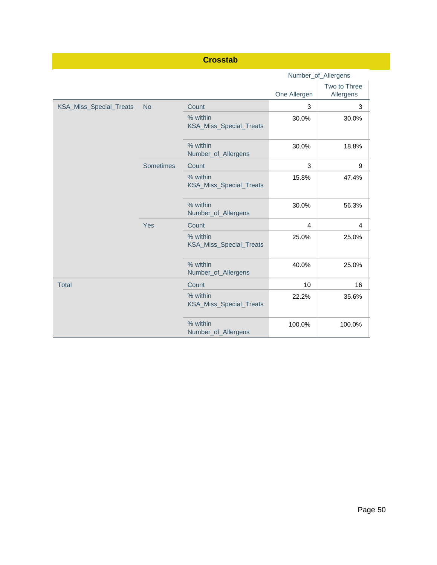|                         |                  | <b>Crosstab</b>                            |                |                           |
|-------------------------|------------------|--------------------------------------------|----------------|---------------------------|
|                         |                  |                                            |                | Number_of_Allergens       |
|                         |                  |                                            | One Allergen   | Two to Three<br>Allergens |
| KSA_Miss_Special_Treats | <b>No</b>        | Count                                      | 3              | 3                         |
|                         |                  | % within<br><b>KSA_Miss_Special_Treats</b> | 30.0%          | 30.0%                     |
|                         |                  | % within<br>Number_of_Allergens            | 30.0%          | 18.8%                     |
|                         | <b>Sometimes</b> | Count                                      | 3              | 9                         |
|                         |                  | % within<br>KSA_Miss_Special_Treats        | 15.8%          | 47.4%                     |
|                         |                  | % within<br>Number_of_Allergens            | 30.0%          | 56.3%                     |
|                         | Yes              | Count                                      | $\overline{4}$ | $\overline{4}$            |
|                         |                  | % within<br>KSA_Miss_Special_Treats        | 25.0%          | 25.0%                     |
|                         |                  | % within<br>Number_of_Allergens            | 40.0%          | 25.0%                     |
| <b>Total</b>            |                  | Count                                      | 10             | 16                        |
|                         |                  | % within<br>KSA_Miss_Special_Treats        | 22.2%          | 35.6%                     |
|                         |                  | % within<br>Number_of_Allergens            | 100.0%         | 100.0%                    |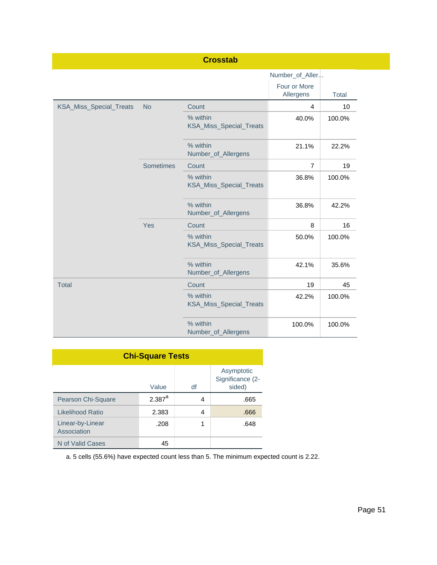|                         |                  | <b>Crosstab</b>                     |                           |        |
|-------------------------|------------------|-------------------------------------|---------------------------|--------|
|                         |                  |                                     | Number_of_Aller           |        |
|                         |                  |                                     | Four or More<br>Allergens | Total  |
| KSA_Miss_Special_Treats | <b>No</b>        | Count                               | 4                         | 10     |
|                         |                  | % within<br>KSA_Miss_Special_Treats | 40.0%                     | 100.0% |
|                         |                  | % within<br>Number_of_Allergens     | 21.1%                     | 22.2%  |
|                         | <b>Sometimes</b> | Count                               | $\overline{7}$            | 19     |
|                         |                  | % within<br>KSA_Miss_Special_Treats | 36.8%                     | 100.0% |
|                         |                  | % within<br>Number_of_Allergens     | 36.8%                     | 42.2%  |
|                         | Yes              | Count                               | 8                         | 16     |
|                         |                  | % within<br>KSA_Miss_Special_Treats | 50.0%                     | 100.0% |
|                         |                  | % within<br>Number_of_Allergens     | 42.1%                     | 35.6%  |
| <b>Total</b>            |                  | Count                               | 19                        | 45     |
|                         |                  | % within<br>KSA_Miss_Special_Treats | 42.2%                     | 100.0% |
|                         |                  | % within<br>Number_of_Allergens     | 100.0%                    | 100.0% |

| <b>Chi-Square Tests</b>         |             |    |                                          |  |  |
|---------------------------------|-------------|----|------------------------------------------|--|--|
|                                 | Value       | df | Asymptotic<br>Significance (2-<br>sided) |  |  |
| Pearson Chi-Square              | $2.387^{a}$ | 4  | .665                                     |  |  |
| Likelihood Ratio                | 2.383       | 4  | .666                                     |  |  |
| Linear-by-Linear<br>Association | .208        | 1  | .648                                     |  |  |
| N of Valid Cases                | 45          |    |                                          |  |  |

a. 5 cells (55.6%) have expected count less than 5. The minimum expected count is 2.22.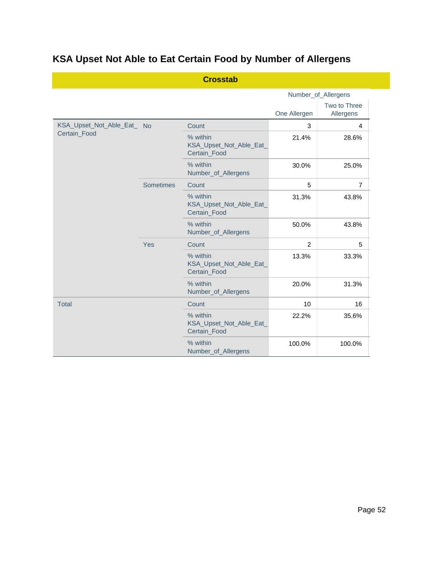# **KSA Upset Not Able to Eat Certain Food by Number of Allergens**

|                            |           | <b>Crosstab</b>                                     |                |                           |
|----------------------------|-----------|-----------------------------------------------------|----------------|---------------------------|
|                            |           |                                                     |                | Number_of_Allergens       |
|                            |           |                                                     | One Allergen   | Two to Three<br>Allergens |
| KSA_Upset_Not_Able_Eat_ No |           | Count                                               | 3              | $\overline{4}$            |
| Certain_Food               |           | % within<br>KSA_Upset_Not_Able_Eat_<br>Certain_Food | 21.4%          | 28.6%                     |
|                            |           | % within<br>Number_of_Allergens                     | 30.0%          | 25.0%                     |
|                            | Sometimes | Count                                               | 5              | $\overline{7}$            |
|                            |           | % within<br>KSA_Upset_Not_Able_Eat_<br>Certain_Food | 31.3%          | 43.8%                     |
|                            |           | % within<br>Number_of_Allergens                     | 50.0%          | 43.8%                     |
|                            | Yes       | Count                                               | $\overline{2}$ | 5                         |
|                            |           | % within<br>KSA_Upset_Not_Able_Eat_<br>Certain_Food | 13.3%          | 33.3%                     |
|                            |           | % within<br>Number_of_Allergens                     | 20.0%          | 31.3%                     |
| <b>Total</b>               |           | Count                                               | 10             | 16                        |
|                            |           | % within<br>KSA_Upset_Not_Able_Eat_<br>Certain_Food | 22.2%          | 35.6%                     |
|                            |           | % within<br>Number_of_Allergens                     | 100.0%         | 100.0%                    |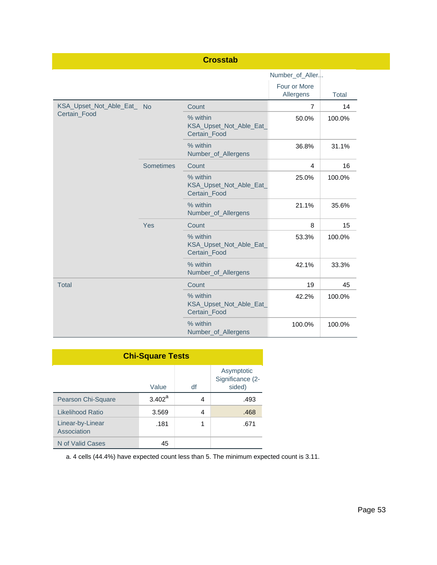|                                            |           | <b>Crosstab</b>                                     |                           |              |
|--------------------------------------------|-----------|-----------------------------------------------------|---------------------------|--------------|
|                                            |           |                                                     | Number_of_Aller           |              |
|                                            |           |                                                     | Four or More<br>Allergens | <b>Total</b> |
| KSA_Upset_Not_Able_Eat_ No<br>Certain_Food |           | Count                                               | $\overline{7}$            | 14           |
|                                            |           | % within<br>KSA_Upset_Not_Able_Eat_<br>Certain_Food | 50.0%                     | 100.0%       |
|                                            |           | % within<br>Number_of_Allergens                     | 36.8%                     | 31.1%        |
|                                            | Sometimes | Count                                               | 4                         | 16           |
|                                            |           | % within<br>KSA_Upset_Not_Able_Eat_<br>Certain_Food | 25.0%                     | 100.0%       |
|                                            |           | % within<br>Number_of_Allergens                     | 21.1%                     | 35.6%        |
|                                            | Yes       | Count                                               | 8                         | 15           |
|                                            |           | % within<br>KSA_Upset_Not_Able_Eat_<br>Certain_Food | 53.3%                     | 100.0%       |
|                                            |           | % within<br>Number_of_Allergens                     | 42.1%                     | 33.3%        |
| <b>Total</b>                               |           | Count                                               | 19                        | 45           |
|                                            |           | % within<br>KSA_Upset_Not_Able_Eat_<br>Certain_Food | 42.2%                     | 100.0%       |
|                                            |           | % within<br>Number_of_Allergens                     | 100.0%                    | 100.0%       |

| <b>Chi-Square Tests</b>         |                    |    |                                          |  |  |
|---------------------------------|--------------------|----|------------------------------------------|--|--|
|                                 | Value              | df | Asymptotic<br>Significance (2-<br>sided) |  |  |
| Pearson Chi-Square              | $3.402^{\text{a}}$ | 4  | .493                                     |  |  |
| Likelihood Ratio                | 3.569              | 4  | .468                                     |  |  |
| Linear-by-Linear<br>Association | .181               | 1  | .671                                     |  |  |
| N of Valid Cases                | 45                 |    |                                          |  |  |

a. 4 cells (44.4%) have expected count less than 5. The minimum expected count is 3.11.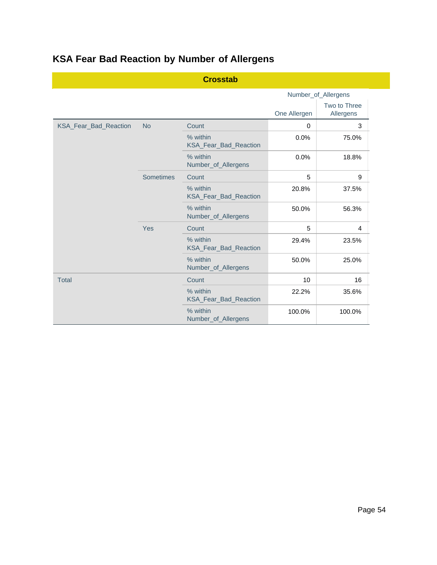|                       |           | <b>Crosstab</b>                   |              |                           |
|-----------------------|-----------|-----------------------------------|--------------|---------------------------|
|                       |           |                                   |              | Number_of_Allergens       |
|                       |           |                                   | One Allergen | Two to Three<br>Allergens |
| KSA_Fear_Bad_Reaction | <b>No</b> | Count                             | $\Omega$     | 3                         |
|                       |           | % within<br>KSA_Fear_Bad_Reaction | 0.0%         | 75.0%                     |
|                       |           | % within<br>Number_of_Allergens   | 0.0%         | 18.8%                     |
|                       | Sometimes | Count                             | 5            | 9                         |
|                       |           | % within<br>KSA_Fear_Bad_Reaction | 20.8%        | 37.5%                     |
|                       |           | % within<br>Number_of_Allergens   | 50.0%        | 56.3%                     |
|                       | Yes       | Count                             | 5            | 4                         |
|                       |           | % within<br>KSA_Fear_Bad_Reaction | 29.4%        | 23.5%                     |
|                       |           | % within<br>Number_of_Allergens   | 50.0%        | 25.0%                     |
| <b>Total</b>          |           | Count                             | 10           | 16                        |
|                       |           | % within                          | 22.2%        | 35.6%                     |

KSA\_Fear\_Bad\_Reaction

Number\_of\_Allergens

% within

# **KSA Fear Bad Reaction by Number of Allergens**

100.0% 100.0% 100.0%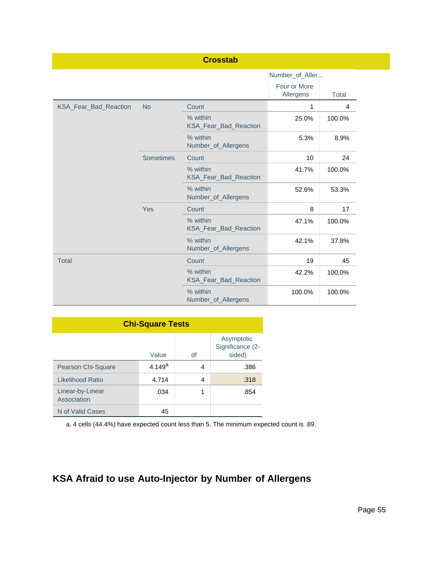|                       |                  | <b>Crosstab</b>                          |                           |                |
|-----------------------|------------------|------------------------------------------|---------------------------|----------------|
|                       |                  |                                          | Number_of_Aller           |                |
|                       |                  |                                          | Four or More<br>Allergens | <b>Total</b>   |
| KSA_Fear_Bad_Reaction | <b>No</b>        | Count                                    | 1                         | $\overline{4}$ |
|                       |                  | % within<br><b>KSA Fear Bad Reaction</b> | 25.0%                     | 100.0%         |
|                       |                  | % within<br>Number_of_Allergens          | 5.3%                      | 8.9%           |
|                       | <b>Sometimes</b> | Count                                    | 10                        | 24             |
|                       |                  | % within<br>KSA_Fear_Bad_Reaction        | 41.7%                     | 100.0%         |
|                       |                  | % within<br>Number_of_Allergens          | 52.6%                     | 53.3%          |
|                       | Yes              | Count                                    | 8                         | 17             |
|                       |                  | % within<br>KSA_Fear_Bad_Reaction        | 47.1%                     | 100.0%         |
|                       |                  | % within<br>Number_of_Allergens          | 42.1%                     | 37.8%          |
| <b>Total</b>          |                  | Count                                    | 19                        | 45             |
|                       |                  | % within<br>KSA_Fear_Bad_Reaction        | 42.2%                     | 100.0%         |
|                       |                  | % within<br>Number_of_Allergens          | 100.0%                    | 100.0%         |

| <b>Chi-Square Tests</b>         |             |    |                                          |  |  |
|---------------------------------|-------------|----|------------------------------------------|--|--|
|                                 | Value       | df | Asymptotic<br>Significance (2-<br>sided) |  |  |
| Pearson Chi-Square              | $4.149^{a}$ | 4  | .386                                     |  |  |
| Likelihood Ratio                | 4.714       | 4  | .318                                     |  |  |
| Linear-by-Linear<br>Association | .034        | 1  | .854                                     |  |  |
| N of Valid Cases                | 45          |    |                                          |  |  |

a. 4 cells (44.4%) have expected count less than 5. The minimum expected count is .89.

# **KSA Afraid to use Auto-Injector by Number of Allergens**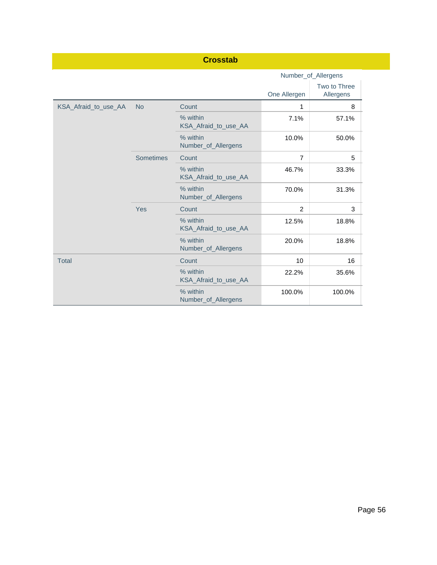|                      |                  | <b>Crosstab</b>                  |                |                           |
|----------------------|------------------|----------------------------------|----------------|---------------------------|
|                      |                  |                                  |                | Number_of_Allergens       |
|                      |                  |                                  | One Allergen   | Two to Three<br>Allergens |
| KSA_Afraid_to_use_AA | <b>No</b>        | Count                            | 1              | 8                         |
|                      |                  | % within<br>KSA_Afraid_to_use_AA | 7.1%           | 57.1%                     |
|                      |                  | % within<br>Number_of_Allergens  | 10.0%          | 50.0%                     |
|                      | <b>Sometimes</b> | Count                            | $\overline{7}$ | 5                         |
|                      |                  | % within<br>KSA_Afraid_to_use_AA | 46.7%          | 33.3%                     |
|                      |                  | % within<br>Number_of_Allergens  | 70.0%          | 31.3%                     |
|                      | Yes              | Count                            | $\overline{2}$ | 3                         |
|                      |                  | % within<br>KSA_Afraid_to_use_AA | 12.5%          | 18.8%                     |
|                      |                  | % within<br>Number_of_Allergens  | 20.0%          | 18.8%                     |
| <b>Total</b>         |                  | Count                            | 10             | 16                        |
|                      |                  | % within<br>KSA_Afraid_to_use_AA | 22.2%          | 35.6%                     |
|                      |                  | % within<br>Number_of_Allergens  | 100.0%         | 100.0%                    |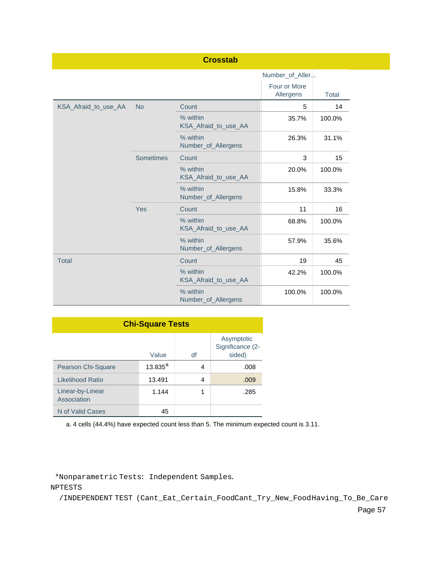|                      |                  | <b>Crosstab</b>                  |                           |        |
|----------------------|------------------|----------------------------------|---------------------------|--------|
|                      |                  |                                  | Number_of_Aller           |        |
|                      |                  |                                  | Four or More<br>Allergens | Total  |
| KSA Afraid to use AA | <b>No</b>        | Count                            | 5                         | 14     |
|                      |                  | % within<br>KSA_Afraid_to_use_AA | 35.7%                     | 100.0% |
|                      |                  | % within<br>Number_of_Allergens  | 26.3%                     | 31.1%  |
|                      | <b>Sometimes</b> | Count                            | 3                         | 15     |
|                      |                  | % within<br>KSA Afraid to use AA | 20.0%                     | 100.0% |
|                      |                  | % within<br>Number_of_Allergens  | 15.8%                     | 33.3%  |
|                      | Yes              | Count                            | 11                        | 16     |
|                      |                  | % within<br>KSA_Afraid_to_use_AA | 68.8%                     | 100.0% |
|                      |                  | % within<br>Number_of_Allergens  | 57.9%                     | 35.6%  |
| <b>Total</b>         |                  | Count                            | 19                        | 45     |
|                      |                  | % within<br>KSA_Afraid_to_use_AA | 42.2%                     | 100.0% |
|                      |                  | % within<br>Number_of_Allergens  | 100.0%                    | 100.0% |

| <b>Chi-Square Tests</b>         |            |    |                                          |  |
|---------------------------------|------------|----|------------------------------------------|--|
|                                 | Value      | df | Asymptotic<br>Significance (2-<br>sided) |  |
| Pearson Chi-Square              | $13.835^a$ | 4  | .008                                     |  |
| Likelihood Ratio                | 13.491     | 4  | .009                                     |  |
| Linear-by-Linear<br>Association | 1.144      | 1  | .285                                     |  |
| N of Valid Cases                | 45         |    |                                          |  |

a. 4 cells (44.4%) have expected count less than 5. The minimum expected count is 3.11.

\*Nonparametric Tests: Independent Samples.

NPTESTS

/INDEPENDENT TEST (Cant\_Eat\_Certain\_FoodCant\_Try\_New\_FoodHaving\_To\_Be\_Care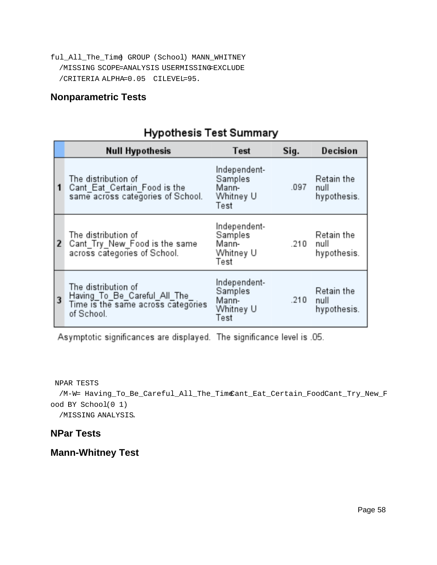ful\_All\_The\_Time) GROUP (School) MANN\_WHITNEY /MISSING SCOPE=ANALYSIS USERMISSING=EXCLUDE /CRITERIA ALPHA=0.05 CILEVEL=95.

### **Nonparametric Tests**

# Hypothesis Test Summary

|              | <b>Null Hypothesis</b>                                                                                   | Test                                                  | Sig. | Decision                          |
|--------------|----------------------------------------------------------------------------------------------------------|-------------------------------------------------------|------|-----------------------------------|
| $\mathbf{1}$ | The distribution of<br>Cant_Eat_Certain_Food is the<br>same across categories of School.                 | Independent-<br>Samples<br>Mann-<br>Whitney U<br>Test | .097 | Retain the<br>null<br>hypothesis. |
| <b>2</b>     | The distribution of<br>Cant Try New Food is the same<br>across categories of School.                     | Independent-<br>Samples<br>Mann-<br>Whitney U<br>Test | .210 | Retain the<br>null<br>hypothesis. |
| 3            | The distribution of<br>Having To_Be_Careful_All_The_<br>Time is the same across categories<br>of School. | Independent-<br>Samples<br>Mann-<br>Whitney U<br>Test | .210 | Retain the<br>null<br>hypothesis. |

Asymptotic significances are displayed. The significance level is .05.

NPAR TESTS

/M-W= Having\_To\_Be\_Careful\_All\_The\_Tim@ant\_Eat\_Certain\_FoodCant\_Try\_New\_F ood BY School(0 1)

/MISSING ANALYSIS.

#### **NPar Tests**

## **Mann-Whitney Test**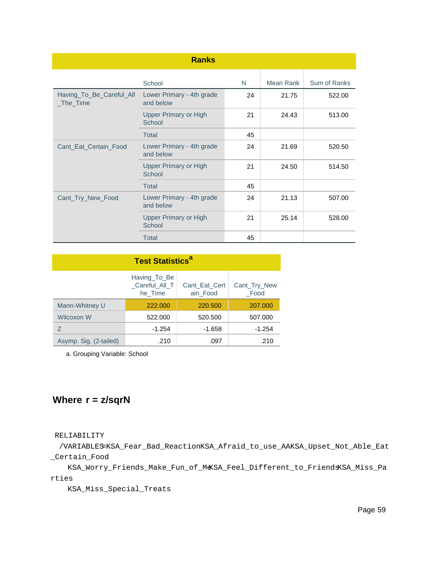|                                       | <b>Ranks</b>                           |    |           |              |
|---------------------------------------|----------------------------------------|----|-----------|--------------|
|                                       | School                                 | N  | Mean Rank | Sum of Ranks |
| Having_To_Be_Careful_All<br>_The_Time | Lower Primary - 4th grade<br>and below | 24 | 21.75     | 522.00       |
|                                       | <b>Upper Primary or High</b><br>School | 21 | 24.43     | 513.00       |
|                                       | <b>Total</b>                           | 45 |           |              |
| Cant_Eat_Certain_Food                 | Lower Primary - 4th grade<br>and below | 24 | 21.69     | 520.50       |
|                                       | <b>Upper Primary or High</b><br>School | 21 | 24.50     | 514.50       |
|                                       | <b>Total</b>                           | 45 |           |              |
| Cant_Try_New_Food                     | Lower Primary - 4th grade<br>and below | 24 | 21.13     | 507.00       |
|                                       | <b>Upper Primary or High</b><br>School | 21 | 25.14     | 528.00       |
|                                       | <b>Total</b>                           | 45 |           |              |

| <b>Test Statistics<sup>a</sup></b> |                                          |                           |                      |  |  |
|------------------------------------|------------------------------------------|---------------------------|----------------------|--|--|
|                                    | Having To Be<br>Careful All T<br>he Time | Cant Eat Cert<br>ain Food | Cant_Try_New<br>Food |  |  |
| Mann-Whitney U                     | 222,000                                  | 220,500                   | 207.000              |  |  |
| <b>Wilcoxon W</b>                  | 522,000                                  | 520,500                   | 507.000              |  |  |
| 7                                  | $-1.254$                                 | -1.658                    | $-1.254$             |  |  |
| Asymp. Sig. (2-tailed)             | .210                                     | .097                      | .210                 |  |  |

a. Grouping Variable: School

## **Where r = z/sqrN**

RELIABILITY

 /VARIABLES=KSA\_Fear\_Bad\_ReactionKSA\_Afraid\_to\_use\_AAKSA\_Upset\_Not\_Able\_Eat \_Certain\_Food

 KSA\_Worry\_Friends\_Make\_Fun\_of\_MeKSA\_Feel\_Different\_to\_FriendsKSA\_Miss\_Pa rties

KSA\_Miss\_Special\_Treats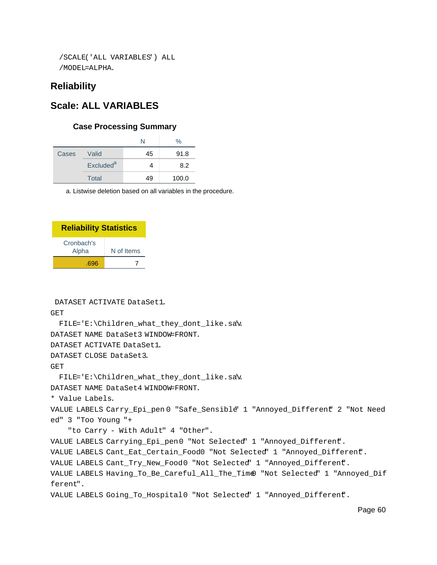```
 /SCALE('ALL VARIABLES') ALL
 /MODEL=ALPHA.
```
#### **Reliability**

### **Scale: ALL VARIABLES**

#### **Case Processing Summary**

|       |                       | N  | $\%$  |
|-------|-----------------------|----|-------|
| Cases | Valid                 | 45 | 91.8  |
|       | Excluded <sup>a</sup> |    | 8.2   |
|       | Total                 | 49 | 100.0 |

a. Listwise deletion based on all variables in the procedure.

| <b>Reliability Statistics</b> |            |  |  |  |
|-------------------------------|------------|--|--|--|
| Cronbach's<br>Alpha           | N of Items |  |  |  |
| .696                          |            |  |  |  |

DATASET ACTIVATE DataSet1.

GET

FILE='E:\Children\_what\_they\_dont\_like.sav'.

DATASET NAME DataSet3 WINDOW=FRONT.

DATASET ACTIVATE DataSet1.

DATASET CLOSE DataSet3.

GET

```
 FILE='E:\Children_what_they_dont_like.sav'.
```
DATASET NAME DataSet4 WINDOW=FRONT.

\* Value Labels.

VALUE LABELS Carry\_Epi\_pen 0 "Safe\_Sensible" 1 "Annoyed\_Different" 2 "Not Need ed" 3 "Too Young "+

"to Carry - With Adult" 4 "Other".

VALUE LABELS Carrying\_Epi\_pen0 "Not Selected" 1 "Annoyed\_Different".

VALUE LABELS Cant\_Eat\_Certain\_Food0 "Not Selected" 1 "Annoyed\_Different".

VALUE LABELS Cant\_Try\_New\_Food0 "Not Selected" 1 "Annoyed\_Different.

VALUE LABELS Having\_To\_Be\_Careful\_All\_The\_Time0 "Not Selected" 1 "Annoyed\_Dif ferent".

```
VALUE LABELS Going_To_Hospital0 "Not Selected" 1 "Annoyed_Different.
```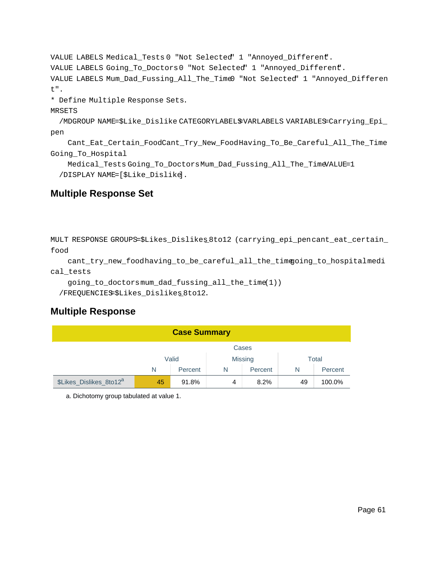```
VALUE LABELS Medical_Tests 0 "Not Selected" 1 "Annoyed_Different.
VALUE LABELS Going_To_Doctors0 "Not Selected" 1 "Annoyed_Different".
VALUE LABELS Mum_Dad_Fussing_All_The_Time0 "Not Selected" 1 "Annoyed_Differen
t".
* Define Multiple Response Sets.
MRSETS
  /MDGROUP NAME=$Like_Dislike CATEGORYLABELS=VARLABELS VARIABLES=Carrying_Epi_
pen
     Cant_Eat_Certain_FoodCant_Try_New_FoodHaving_To_Be_Careful_All_The_Time
Going_To_Hospital
```
 Medical\_Tests Going\_To\_DoctorsMum\_Dad\_Fussing\_All\_The\_TimeVALUE=1 /DISPLAY NAME=[\$Like\_Dislike].

## **Multiple Response Set**

```
MULT RESPONSE GROUPS=$Likes_Dislikes_8to12 (carrying_epi_pencant_eat_certain_
food
```

```
 cant_try_new_foodhaving_to_be_careful_all_the_timegoing_to_hospitalmedi
cal_tests
```

```
 going_to_doctorsmum_dad_fussing_all_the_time(1))
```
/FREQUENCIES=\$Likes\_Dislikes\_8to12.

## **Multiple Response**

| <b>Case Summary</b>                 |                                   |       |                |      |       |         |
|-------------------------------------|-----------------------------------|-------|----------------|------|-------|---------|
| Cases                               |                                   |       |                |      |       |         |
|                                     | Valid                             |       | <b>Missing</b> |      | Total |         |
|                                     | N<br>N<br>Percent<br>Percent<br>N |       |                |      |       | Percent |
| \$Likes_Dislikes_8to12 <sup>a</sup> | 45                                | 91.8% | 4              | 8.2% | 49    | 100.0%  |

a. Dichotomy group tabulated at value 1.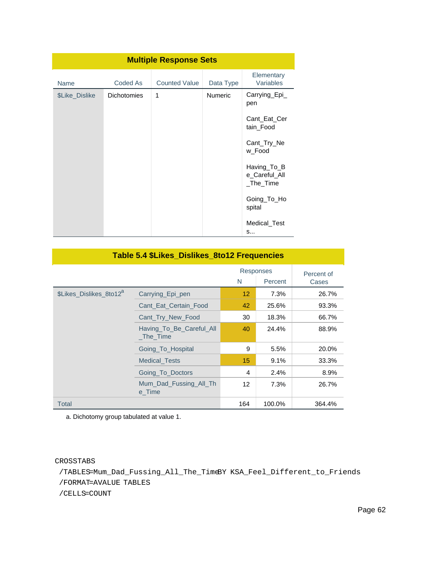| <b>Multiple Response Sets</b> |                    |                      |                |                                               |  |
|-------------------------------|--------------------|----------------------|----------------|-----------------------------------------------|--|
| <b>Name</b>                   | Coded As           | <b>Counted Value</b> | Data Type      | Elementary<br>Variables                       |  |
| \$Like_Dislike                | <b>Dichotomies</b> | 1                    | <b>Numeric</b> | Carrying_Epi_<br>pen                          |  |
|                               |                    |                      |                | Cant_Eat_Cer<br>tain_Food                     |  |
|                               |                    |                      |                | Cant_Try_Ne<br>w_Food                         |  |
|                               |                    |                      |                | Having To B<br>e_Careful_All<br>$\_The\_Time$ |  |
|                               |                    |                      |                | Going_To_Ho<br>spital                         |  |
|                               |                    |                      |                | Medical Test<br>S                             |  |

| Table 5.4 \$Likes_Dislikes_8to12 Frequencies |                                           |     |                      |                     |  |  |
|----------------------------------------------|-------------------------------------------|-----|----------------------|---------------------|--|--|
|                                              |                                           | N   | Responses<br>Percent | Percent of<br>Cases |  |  |
| \$Likes Dislikes 8to12 <sup>a</sup>          | Carrying_Epi_pen                          | 12  | 7.3%                 | 26.7%               |  |  |
|                                              | Cant_Eat_Certain_Food                     | 42  | 25.6%                | 93.3%               |  |  |
|                                              | Cant Try New Food                         | 30  | 18.3%                | 66.7%               |  |  |
|                                              | Having_To_Be_Careful_All<br>$\_The\_Time$ | 40  | 24.4%                | 88.9%               |  |  |
|                                              | Going To Hospital                         | 9   | 5.5%                 | 20.0%               |  |  |
|                                              | <b>Medical Tests</b>                      | 15  | 9.1%                 | 33.3%               |  |  |
|                                              | Going To Doctors                          | 4   | 2.4%                 | 8.9%                |  |  |
|                                              | Mum Dad Fussing All Th<br>e Time          | 12  | 7.3%                 | 26.7%               |  |  |
| Total                                        |                                           | 164 | 100.0%               | 364.4%              |  |  |

a. Dichotomy group tabulated at value 1.

CROSSTABS

/TABLES=Mum\_Dad\_Fussing\_All\_The\_TimeBY KSA\_Feel\_Different\_to\_Friends

/FORMAT=AVALUE TABLES

/CELLS=COUNT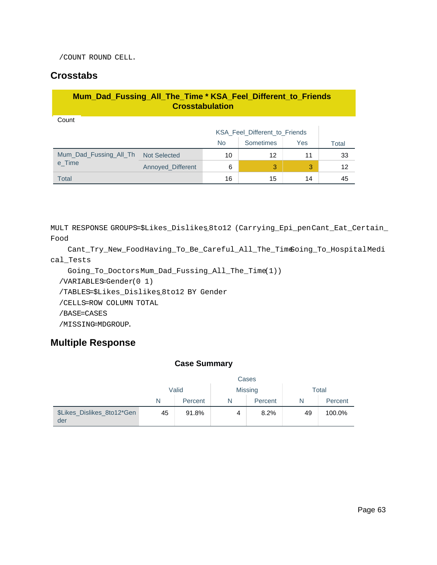/COUNT ROUND CELL.

### **Crosstabs**

| Mum_Dad_Fussing_All_The_Time * KSA_Feel_Different_to_Friends<br><b>Crosstabulation</b> |                                      |           |           |     |       |
|----------------------------------------------------------------------------------------|--------------------------------------|-----------|-----------|-----|-------|
| Count                                                                                  |                                      |           |           |     |       |
|                                                                                        | <b>KSA Feel Different to Friends</b> |           |           |     |       |
|                                                                                        |                                      | <b>No</b> | Sometimes | Yes | Total |
| Mum Dad Fussing All Th                                                                 | <b>Not Selected</b>                  | 10        | 12        | 11  | 33    |
| e Time                                                                                 | Annoyed_Different                    | 6         | 3         | 3   | 12    |
| <b>Total</b>                                                                           |                                      | 16        | 15        | 14  | 45    |

MULT RESPONSE GROUPS=\$Likes\_Dislikes\_8to12 (Carrying\_Epi\_penCant\_Eat\_Certain\_ Food

 Cant\_Try\_New\_FoodHaving\_To\_Be\_Careful\_All\_The\_TimeGoing\_To\_HospitalMedi cal\_Tests

```
 Going_To_DoctorsMum_Dad_Fussing_All_The_Time(1))
```
/VARIABLES=Gender(0 1)

/TABLES=\$Likes\_Dislikes\_8to12 BY Gender

/CELLS=ROW COLUMN TOTAL

/BASE=CASES

/MISSING=MDGROUP.

## **Multiple Response**

#### **Case Summary**

|                                   | Cases |         |                |         |       |         |
|-----------------------------------|-------|---------|----------------|---------|-------|---------|
|                                   | Valid |         | <b>Missing</b> |         | Total |         |
|                                   | N     | Percent | N              | Percent | N     | Percent |
| \$Likes_Dislikes_8to12*Gen<br>der | 45    | 91.8%   | 4              | 8.2%    | 49    | 100.0%  |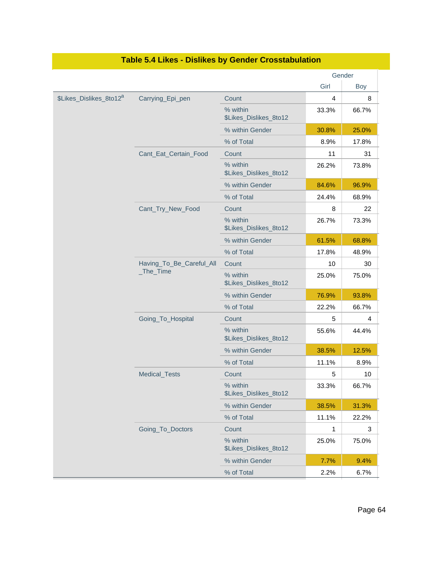|                                     |                                           |                                    |       | Gender |
|-------------------------------------|-------------------------------------------|------------------------------------|-------|--------|
|                                     |                                           |                                    | Girl  | Boy    |
| \$Likes_Dislikes_8to12 <sup>a</sup> | Carrying_Epi_pen                          | Count                              | 4     | 8      |
|                                     |                                           | % within<br>\$Likes_Dislikes_8to12 | 33.3% | 66.7%  |
|                                     |                                           | % within Gender                    | 30.8% | 25.0%  |
|                                     |                                           | % of Total                         | 8.9%  | 17.8%  |
|                                     | Cant_Eat_Certain_Food                     | Count                              | 11    | 31     |
|                                     |                                           | % within<br>\$Likes_Dislikes_8to12 | 26.2% | 73.8%  |
|                                     |                                           | % within Gender                    | 84.6% | 96.9%  |
|                                     |                                           | % of Total                         | 24.4% | 68.9%  |
|                                     | Cant_Try_New_Food                         | Count                              | 8     | 22     |
|                                     |                                           | % within<br>\$Likes_Dislikes_8to12 | 26.7% | 73.3%  |
|                                     |                                           | % within Gender                    | 61.5% | 68.8%  |
|                                     |                                           | % of Total                         | 17.8% | 48.9%  |
|                                     | Having_To_Be_Careful_All<br>$\_The\_Time$ | Count                              | 10    | 30     |
|                                     |                                           | % within<br>\$Likes_Dislikes_8to12 | 25.0% | 75.0%  |
|                                     |                                           | % within Gender                    | 76.9% | 93.8%  |
|                                     |                                           | % of Total                         | 22.2% | 66.7%  |
|                                     | Going_To_Hospital                         | Count                              | 5     | 4      |
|                                     |                                           | % within<br>\$Likes_Dislikes_8to12 | 55.6% | 44.4%  |
|                                     |                                           | % within Gender                    | 38.5% | 12.5%  |
|                                     |                                           | % of Total                         | 11.1% | 8.9%   |
|                                     | Medical_Tests                             | Count                              | 5     | 10     |
|                                     |                                           | % within<br>\$Likes_Dislikes_8to12 | 33.3% | 66.7%  |
|                                     |                                           | % within Gender                    | 38.5% | 31.3%  |
|                                     |                                           | % of Total                         | 11.1% | 22.2%  |
|                                     | Going_To_Doctors                          | Count                              | 1     | 3      |
|                                     |                                           | % within<br>\$Likes_Dislikes_8to12 | 25.0% | 75.0%  |
|                                     |                                           | % within Gender                    | 7.7%  | 9.4%   |
|                                     |                                           | % of Total                         | 2.2%  | 6.7%   |

### **Table 5.4 Likes - Dislikes by Gender Crosstabulation**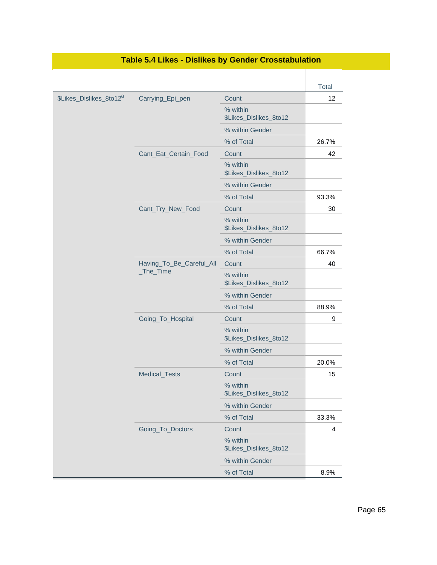|                                     |                          |                                    | <b>Total</b> |
|-------------------------------------|--------------------------|------------------------------------|--------------|
| \$Likes_Dislikes_8to12 <sup>a</sup> | Carrying_Epi_pen         | Count                              | 12           |
|                                     |                          | % within<br>\$Likes_Dislikes_8to12 |              |
|                                     |                          | % within Gender                    |              |
|                                     |                          | % of Total                         | 26.7%        |
|                                     | Cant_Eat_Certain_Food    | Count                              | 42           |
|                                     |                          | % within<br>\$Likes_Dislikes_8to12 |              |
|                                     |                          | % within Gender                    |              |
|                                     |                          | % of Total                         | 93.3%        |
|                                     | Cant_Try_New_Food        | Count                              | 30           |
|                                     |                          | % within<br>\$Likes_Dislikes_8to12 |              |
|                                     |                          | % within Gender                    |              |
|                                     |                          | % of Total                         | 66.7%        |
|                                     | Having_To_Be_Careful_All | Count                              | 40           |
|                                     | _The_Time                | % within<br>\$Likes_Dislikes_8to12 |              |
|                                     |                          | % within Gender                    |              |
|                                     |                          | % of Total                         | 88.9%        |
|                                     | Going_To_Hospital        | Count                              | 9            |
|                                     |                          | % within<br>\$Likes_Dislikes_8to12 |              |
|                                     |                          | % within Gender                    |              |
|                                     |                          | % of Total                         | 20.0%        |
|                                     | Medical_Tests            | Count                              | 15           |
|                                     |                          | % within<br>\$Likes_Dislikes_8to12 |              |
|                                     |                          | % within Gender                    |              |
|                                     |                          | % of Total                         | 33.3%        |
|                                     | Going_To_Doctors         | Count                              | 4            |
|                                     |                          | % within<br>\$Likes_Dislikes_8to12 |              |
|                                     |                          | % within Gender                    |              |
|                                     |                          | % of Total                         | 8.9%         |

### **Table 5.4 Likes - Dislikes by Gender Crosstabulation**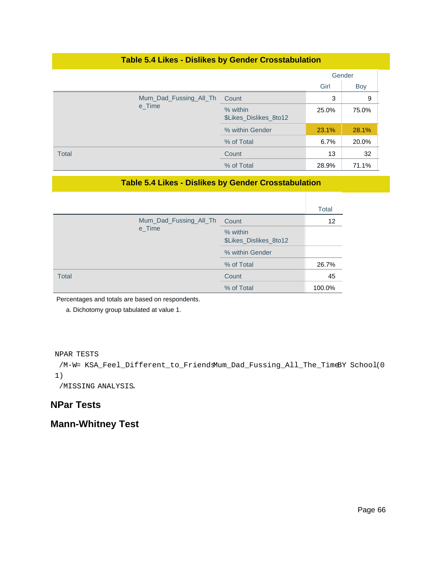#### **Table 5.4 Likes - Dislikes by Gender Crosstabulation**

|                        |                 |                                    |       | Gender     |
|------------------------|-----------------|------------------------------------|-------|------------|
|                        |                 |                                    | Girl  | <b>Boy</b> |
| Mum_Dad_Fussing_All_Th |                 | Count                              | 3     | 9          |
|                        | e_Time          | % within<br>\$Likes_Dislikes_8to12 | 25.0% | 75.0%      |
|                        | % within Gender | 23.1%                              | 28.1% |            |
|                        |                 | % of Total                         | 6.7%  | 20.0%      |
| <b>Total</b>           |                 | Count                              | 13    | 32         |
|                        |                 | % of Total                         | 28.9% | 71.1%      |

#### **Table 5.4 Likes - Dislikes by Gender Crosstabulation**

|       |                        |                                    | Total  |
|-------|------------------------|------------------------------------|--------|
|       | Mum_Dad_Fussing_All_Th | Count                              | 12     |
|       | e_Time                 | % within<br>\$Likes_Dislikes_8to12 |        |
|       | % within Gender        |                                    |        |
|       |                        | % of Total                         | 26.7%  |
| Total |                        | Count                              | 45     |
|       |                        | % of Total                         | 100.0% |

Percentages and totals are based on respondents.

a. Dichotomy group tabulated at value 1.

NPAR TESTS

```
 /M-W= KSA_Feel_Different_to_FriendsMum_Dad_Fussing_All_The_TimeBY School(0
1)
```
/MISSING ANALYSIS.

#### **NPar Tests**

### **Mann-Whitney Test**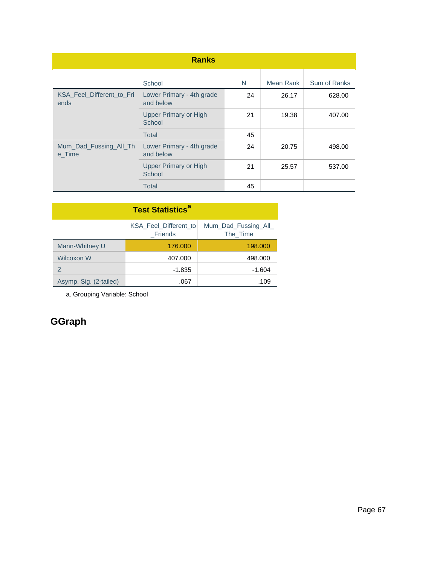| <b>Ranks</b>                      |                                        |    |           |              |  |  |
|-----------------------------------|----------------------------------------|----|-----------|--------------|--|--|
|                                   | School                                 | N  | Mean Rank | Sum of Ranks |  |  |
| KSA_Feel_Different_to_Fri<br>ends | Lower Primary - 4th grade<br>and below | 24 | 26.17     | 628.00       |  |  |
|                                   | <b>Upper Primary or High</b><br>School | 21 | 19.38     | 407.00       |  |  |
|                                   | <b>Total</b>                           | 45 |           |              |  |  |
| Mum_Dad_Fussing_All_Th<br>e Time  | Lower Primary - 4th grade<br>and below | 24 | 20.75     | 498.00       |  |  |
|                                   | <b>Upper Primary or High</b><br>School | 21 | 25.57     | 537.00       |  |  |
|                                   | Total                                  | 45 |           |              |  |  |

| <b>Test Statistics<sup>a</sup></b> |                                  |                                 |  |  |  |
|------------------------------------|----------------------------------|---------------------------------|--|--|--|
|                                    | KSA Feel Different to<br>Friends | Mum Dad Fussing All<br>The Time |  |  |  |
| Mann-Whitney U                     | 176,000                          | 198,000                         |  |  |  |
| Wilcoxon W                         | 407.000                          | 498,000                         |  |  |  |
| 7                                  | -1.835                           | $-1.604$                        |  |  |  |
| Asymp. Sig. (2-tailed)             | .067                             | .109                            |  |  |  |

a. Grouping Variable: School

# **GGraph**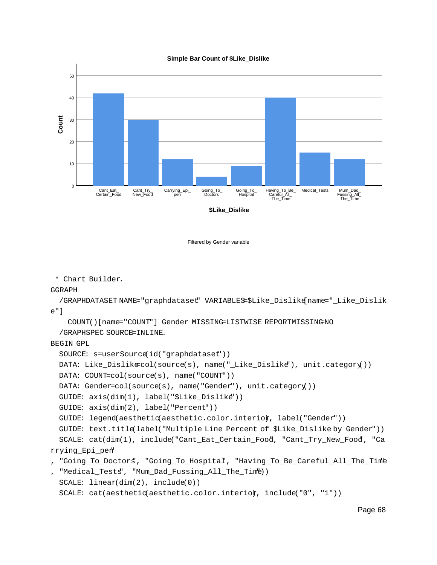

Filtered by Gender variable

\* Chart Builder.

#### GGRAPH

```
 /GRAPHDATASET NAME="graphdataset" VARIABLES=$Like_Dislike[name="_Like_Dislik
e"]
```
 COUNT()[name="COUNT"] Gender MISSING=LISTWISE REPORTMISSING=NO /GRAPHSPEC SOURCE=INLINE.

#### BEGIN GPL

```
 SOURCE: s=userSource(id("graphdataset"))
```

```
 DATA: Like_Dislike=col(source(s), name("_Like_Dislike"), unit.category())
```

```
 DATA: COUNT=col(source(s), name("COUNT"))
```

```
 DATA: Gender=col(source(s), name("Gender"), unit.category())
```

```
 GUIDE: axis(dim(1), label("$Like_Dislike"))
```

```
 GUIDE: axis(dim(2), label("Percent"))
```
GUIDE: legend(aesthetic(aesthetic.color.interior, label("Gender"))

```
 GUIDE: text.title(label("Multiple Line Percent of $Like_Dislike by Gender"))
  SCALE: cat(dim(1), include("Cant_Eat_Certain_Food, "Cant_Try_New_Food, "Ca
rrying_Epi_pen"
```

```
, "Going_To_Doctors", "Going_To_Hospital", "Having_To_Be_Careful_All_The_Time"
```

```
"Medical Tests", "Mum Dad Fussing All The Time))
 SCALE: linear(dim(2), include(0))
```

```
SCALE: cat(aesthetic(aesthetic.color.interior, include("0", "1"))
```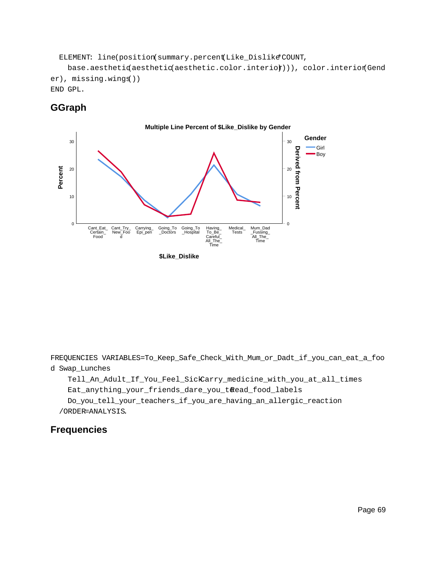ELEMENT: line(position(summary.percent(Like\_Dislike\*COUNT,

base.aesthetiqaesthetic(aesthetic.color.interior))), color.interior(Gend er), missing.wings())

END GPL.

### **GGraph**



FREQUENCIES VARIABLES=To\_Keep\_Safe\_Check\_With\_Mum\_or\_Dadt\_if\_you\_can\_eat\_a\_foo d Swap\_Lunches

 Tell\_An\_Adult\_If\_You\_Feel\_SickCarry\_medicine\_with\_you\_at\_all\_times Eat\_anything\_your\_friends\_dare\_you\_t@ead\_food\_labels Do\_you\_tell\_your\_teachers\_if\_you\_are\_having\_an\_allergic\_reaction /ORDER=ANALYSIS.

## **Frequencies**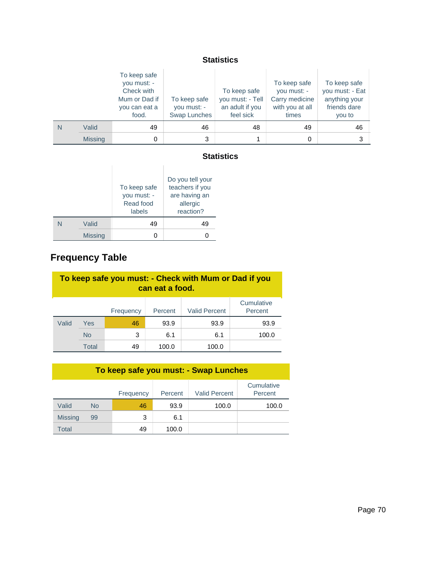#### **Statistics**

|   |                | To keep safe<br>you must: -<br>Check with<br>Mum or Dad if<br>you can eat a<br>food. | To keep safe<br>you must: -<br>Swap Lunches | To keep safe<br>you must: - Tell<br>an adult if you<br>feel sick | To keep safe<br>you must: -<br>Carry medicine<br>with you at all<br>times | To keep safe<br>you must: - Eat<br>anything your<br>friends dare<br>you to |
|---|----------------|--------------------------------------------------------------------------------------|---------------------------------------------|------------------------------------------------------------------|---------------------------------------------------------------------------|----------------------------------------------------------------------------|
| N | Valid          | 49                                                                                   | 46                                          | 48                                                               | 49                                                                        | 46                                                                         |
|   | <b>Missing</b> |                                                                                      | 3                                           |                                                                  |                                                                           | 3                                                                          |

#### **Statistics**

|                | To keep safe<br>you must: -<br>Read food<br>labels | Do you tell your<br>teachers if you<br>are having an<br>allergic<br>reaction? |
|----------------|----------------------------------------------------|-------------------------------------------------------------------------------|
| Valid          | 49                                                 | 49                                                                            |
| <b>Missing</b> |                                                    |                                                                               |

# **Frequency Table**

| To keep safe you must: - Check with Mum or Dad if you<br>can eat a food. |           |           |         |                      |                       |
|--------------------------------------------------------------------------|-----------|-----------|---------|----------------------|-----------------------|
|                                                                          |           | Frequency | Percent | <b>Valid Percent</b> | Cumulative<br>Percent |
| Valid                                                                    | Yes       | 46        | 93.9    | 93.9                 | 93.9                  |
|                                                                          | <b>No</b> | 3         | 6.1     | 6.1                  | 100.0                 |
|                                                                          | Total     | 49        | 100.0   | 100.0                |                       |

| To keep safe you must: - Swap Lunches |     |           |         |                      |                       |
|---------------------------------------|-----|-----------|---------|----------------------|-----------------------|
|                                       |     | Frequency | Percent | <b>Valid Percent</b> | Cumulative<br>Percent |
| Valid                                 | No. | 46        | 93.9    | 100.0                | 100.0                 |
| <b>Missing</b>                        | 99  | 3         | 6.1     |                      |                       |
| Total                                 |     | 49        | 100.0   |                      |                       |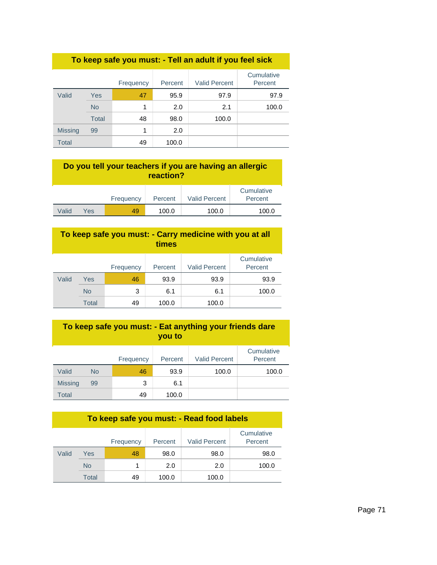| To keep safe you must: - Tell an adult if you feel sick |              |           |         |                      |                       |  |
|---------------------------------------------------------|--------------|-----------|---------|----------------------|-----------------------|--|
|                                                         |              | Frequency | Percent | <b>Valid Percent</b> | Cumulative<br>Percent |  |
| Valid                                                   | Yes          | 47        | 95.9    | 97.9                 | 97.9                  |  |
|                                                         | <b>No</b>    | 1         | 2.0     | 2.1                  | 100.0                 |  |
|                                                         | <b>Total</b> | 48        | 98.0    | 100.0                |                       |  |
| <b>Missing</b>                                          | 99           | 1         | 2.0     |                      |                       |  |
| Total                                                   |              | 49        | 100.0   |                      |                       |  |

| Do you tell your teachers if you are having an allergic<br>reaction? |     |           |         |                      |                       |
|----------------------------------------------------------------------|-----|-----------|---------|----------------------|-----------------------|
|                                                                      |     | Frequency | Percent | <b>Valid Percent</b> | Cumulative<br>Percent |
| Valid                                                                | Yes | 49        | 100.0   | 100.0                | 100.0                 |

| To keep safe you must: - Carry medicine with you at all<br>times |              |           |         |                      |                       |
|------------------------------------------------------------------|--------------|-----------|---------|----------------------|-----------------------|
|                                                                  |              | Frequency | Percent | <b>Valid Percent</b> | Cumulative<br>Percent |
| Valid                                                            | Yes          | 46        | 93.9    | 93.9                 | 93.9                  |
|                                                                  | <b>No</b>    | 3         | 6.1     | 6.1                  | 100.0                 |
|                                                                  | <b>Total</b> | 49        | 100.0   | 100.0                |                       |

| To keep safe you must: - Eat anything your friends dare<br>you to |           |           |         |                      |                       |
|-------------------------------------------------------------------|-----------|-----------|---------|----------------------|-----------------------|
|                                                                   |           | Frequency | Percent | <b>Valid Percent</b> | Cumulative<br>Percent |
| Valid                                                             | <b>No</b> | 46        | 93.9    | 100.0                | 100.0                 |
| <b>Missing</b>                                                    | 99        | 3         | 6.1     |                      |                       |
| Total                                                             |           | 49        | 100.0   |                      |                       |

## **To keep safe you must: - Read food labels**

|       |           | Frequency | Percent | <b>Valid Percent</b> | Cumulative<br>Percent |
|-------|-----------|-----------|---------|----------------------|-----------------------|
| Valid | Yes       | 48        | 98.0    | 98.0                 | 98.0                  |
|       | <b>No</b> |           | 2.0     | 2.0                  | 100.0                 |
|       | Total     | 49        | 100.0   | 100.0                |                       |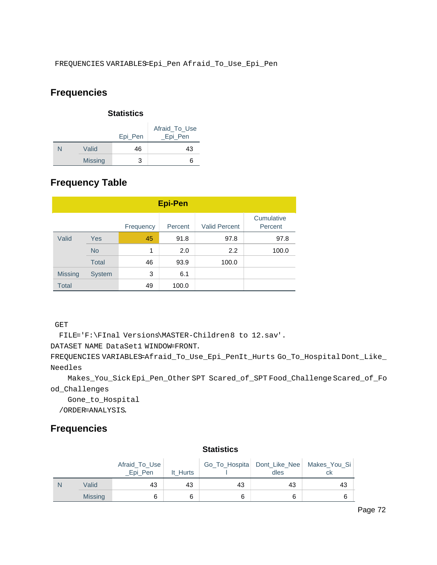## **Frequencies**

| <b>Statistics</b> |                |         |                           |  |  |
|-------------------|----------------|---------|---------------------------|--|--|
|                   |                | Epi_Pen | Afraid To Use<br>_Epi_Pen |  |  |
|                   | Valid          | 46      | 43                        |  |  |
|                   | <b>Missing</b> | з       | 6                         |  |  |

## **Frequency Table**

| <b>Epi-Pen</b> |               |           |         |                      |                       |  |
|----------------|---------------|-----------|---------|----------------------|-----------------------|--|
|                |               | Frequency | Percent | <b>Valid Percent</b> | Cumulative<br>Percent |  |
| Valid          | <b>Yes</b>    | 45        | 91.8    | 97.8                 | 97.8                  |  |
|                | <b>No</b>     | 1         | 2.0     | 2.2                  | 100.0                 |  |
|                | <b>Total</b>  | 46        | 93.9    | 100.0                |                       |  |
| <b>Missing</b> | <b>System</b> | 3         | 6.1     |                      |                       |  |
| <b>Total</b>   |               | 49        | 100.0   |                      |                       |  |

GET

FILE='F:\FInal Versions\MASTER-Children8 to 12.sav'.

DATASET NAME DataSet1 WINDOW=FRONT.

FREQUENCIES VARIABLES=Afraid\_To\_Use\_Epi\_PenIt\_Hurts Go\_To\_Hospital Dont\_Like\_ Needles

 Makes\_You\_Sick Epi\_Pen\_Other SPT Scared\_of\_SPT Food\_Challenge Scared\_of\_Fo od\_Challenges

Gone\_to\_Hospital

/ORDER=ANALYSIS.

## **Frequencies**

|   | olausuvs       |                          |          |    |      |                                                |
|---|----------------|--------------------------|----------|----|------|------------------------------------------------|
|   |                | Afraid To Use<br>Epi Pen | It Hurts |    | dles | Go_To_Hospita Dont_Like_Nee Makes_You_Si<br>сk |
| N | Valid          | 43                       | 43       | 43 | 43   | 43                                             |
|   | <b>Missing</b> | 6                        | 6        |    | 6    |                                                |

### **Statistics**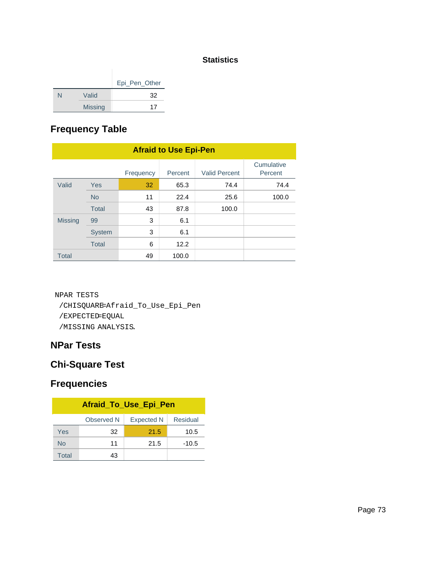#### **Statistics**

|   |                | Epi_Pen_Other |
|---|----------------|---------------|
| N | Valid          | 32            |
|   | <b>Missing</b> | 17            |

# **Frequency Table**

| <b>Afraid to Use Epi-Pen</b> |               |           |         |                      |                       |  |
|------------------------------|---------------|-----------|---------|----------------------|-----------------------|--|
|                              |               | Frequency | Percent | <b>Valid Percent</b> | Cumulative<br>Percent |  |
| Valid                        | Yes           | 32        | 65.3    | 74.4                 | 74.4                  |  |
|                              | <b>No</b>     | 11        | 22.4    | 25.6                 | 100.0                 |  |
|                              | <b>Total</b>  | 43        | 87.8    | 100.0                |                       |  |
| <b>Missing</b>               | 99            | 3         | 6.1     |                      |                       |  |
|                              | <b>System</b> | 3         | 6.1     |                      |                       |  |
|                              | <b>Total</b>  | 6         | 12.2    |                      |                       |  |
| <b>Total</b>                 |               | 49        | 100.0   |                      |                       |  |

NPAR TESTS /CHISQUARE=Afraid\_To\_Use\_Epi\_Pen /EXPECTED=EQUAL /MISSING ANALYSIS.

## **NPar Tests**

# **Chi-Square Test**

| Afraid_To_Use_Epi_Pen                       |    |      |         |  |  |  |
|---------------------------------------------|----|------|---------|--|--|--|
| Residual<br>Observed N<br><b>Expected N</b> |    |      |         |  |  |  |
| Yes                                         | 32 | 21.5 | 10.5    |  |  |  |
| No                                          | 11 | 21.5 | $-10.5$ |  |  |  |
| Total                                       | 43 |      |         |  |  |  |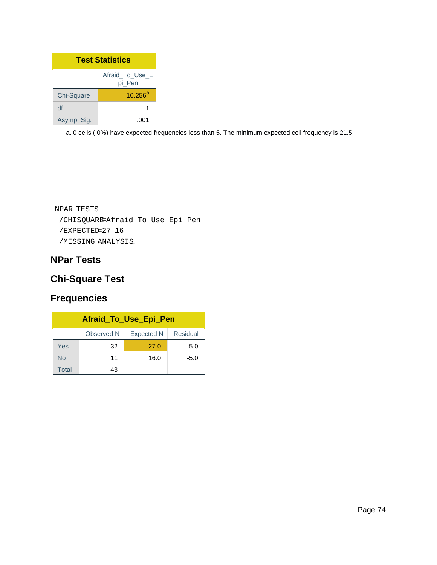| <b>Test Statistics</b> |                           |  |  |
|------------------------|---------------------------|--|--|
|                        | Afraid To Use E<br>pi Pen |  |  |
| Chi-Square             | $10.256^{a}$              |  |  |
| df                     | 1                         |  |  |
| Asymp. Sig.            |                           |  |  |

```
NPAR TESTS
 /CHISQUARE=Afraid_To_Use_Epi_Pen
 /EXPECTED=27 16
 /MISSING ANALYSIS.
```
## **NPar Tests**

## **Chi-Square Test**

| Afraid_To_Use_Epi_Pen                       |    |      |        |  |  |  |  |
|---------------------------------------------|----|------|--------|--|--|--|--|
| Residual<br>Observed N<br><b>Expected N</b> |    |      |        |  |  |  |  |
| Yes                                         | 32 | 27.0 | 5.0    |  |  |  |  |
| <b>No</b>                                   | 11 | 16.0 | $-5.0$ |  |  |  |  |
| Total                                       | 43 |      |        |  |  |  |  |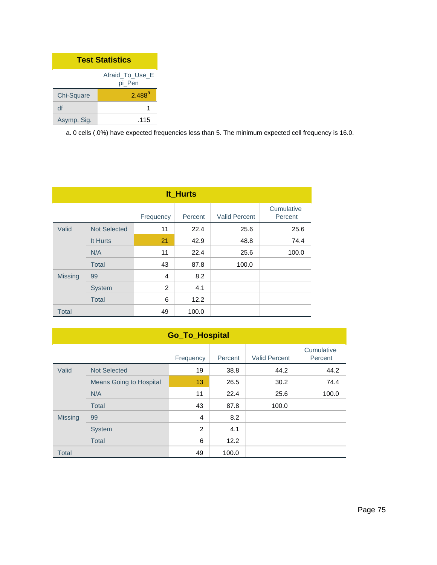| <b>Test Statistics</b>    |                      |  |  |  |
|---------------------------|----------------------|--|--|--|
| Afraid To Use E<br>pi Pen |                      |  |  |  |
| Chi-Square                | $2.488$ <sup>a</sup> |  |  |  |
| df                        |                      |  |  |  |
| Asymp. Sig.               | .115                 |  |  |  |

| It_Hurts       |                     |           |         |                      |                       |  |  |
|----------------|---------------------|-----------|---------|----------------------|-----------------------|--|--|
|                |                     | Frequency | Percent | <b>Valid Percent</b> | Cumulative<br>Percent |  |  |
| Valid          | <b>Not Selected</b> | 11        | 22.4    | 25.6                 | 25.6                  |  |  |
|                | It Hurts            | 21        | 42.9    | 48.8                 | 74.4                  |  |  |
|                | N/A                 | 11        | 22.4    | 25.6                 | 100.0                 |  |  |
|                | <b>Total</b>        | 43        | 87.8    | 100.0                |                       |  |  |
| <b>Missing</b> | 99                  | 4         | 8.2     |                      |                       |  |  |
|                | <b>System</b>       | 2         | 4.1     |                      |                       |  |  |
|                | <b>Total</b>        | 6         | 12.2    |                      |                       |  |  |
| <b>Total</b>   |                     | 49        | 100.0   |                      |                       |  |  |

|                | <b>Go_To_Hospital</b>          |           |         |                      |                       |  |  |
|----------------|--------------------------------|-----------|---------|----------------------|-----------------------|--|--|
|                |                                | Frequency | Percent | <b>Valid Percent</b> | Cumulative<br>Percent |  |  |
| Valid          | <b>Not Selected</b>            | 19        | 38.8    | 44.2                 | 44.2                  |  |  |
|                | <b>Means Going to Hospital</b> | 13        | 26.5    | 30.2                 | 74.4                  |  |  |
|                | N/A                            | 11        | 22.4    | 25.6                 | 100.0                 |  |  |
|                | Total                          | 43        | 87.8    | 100.0                |                       |  |  |
| <b>Missing</b> | 99                             | 4         | 8.2     |                      |                       |  |  |
|                | <b>System</b>                  | 2         | 4.1     |                      |                       |  |  |
|                | <b>Total</b>                   | 6         | 12.2    |                      |                       |  |  |
| <b>Total</b>   |                                | 49        | 100.0   |                      |                       |  |  |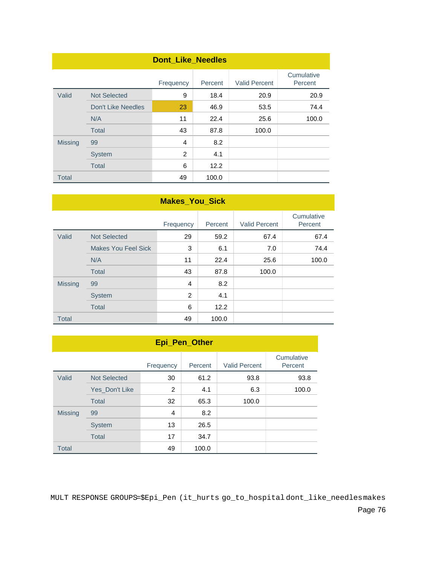| <b>Dont_Like_Needles</b> |                     |           |         |                      |                       |  |  |
|--------------------------|---------------------|-----------|---------|----------------------|-----------------------|--|--|
|                          |                     | Frequency | Percent | <b>Valid Percent</b> | Cumulative<br>Percent |  |  |
| Valid                    | <b>Not Selected</b> | 9         | 18.4    | 20.9                 | 20.9                  |  |  |
|                          | Don't Like Needles  | 23        | 46.9    | 53.5                 | 74.4                  |  |  |
|                          | N/A                 | 11        | 22.4    | 25.6                 | 100.0                 |  |  |
|                          | <b>Total</b>        | 43        | 87.8    | 100.0                |                       |  |  |
| <b>Missing</b>           | 99                  | 4         | 8.2     |                      |                       |  |  |
|                          | <b>System</b>       | 2         | 4.1     |                      |                       |  |  |
|                          | <b>Total</b>        | 6         | 12.2    |                      |                       |  |  |
| <b>Total</b>             |                     | 49        | 100.0   |                      |                       |  |  |

|                | <b>Makes_You_Sick</b>      |           |         |                      |                       |  |  |  |
|----------------|----------------------------|-----------|---------|----------------------|-----------------------|--|--|--|
|                |                            | Frequency | Percent | <b>Valid Percent</b> | Cumulative<br>Percent |  |  |  |
| Valid          | <b>Not Selected</b>        | 29        | 59.2    | 67.4                 | 67.4                  |  |  |  |
|                | <b>Makes You Feel Sick</b> | 3         | 6.1     | 7.0                  | 74.4                  |  |  |  |
|                | N/A                        | 11        | 22.4    | 25.6                 | 100.0                 |  |  |  |
|                | <b>Total</b>               | 43        | 87.8    | 100.0                |                       |  |  |  |
| <b>Missing</b> | 99                         | 4         | 8.2     |                      |                       |  |  |  |
|                | <b>System</b>              | 2         | 4.1     |                      |                       |  |  |  |
|                | <b>Total</b>               | 6         | 12.2    |                      |                       |  |  |  |
| <b>Total</b>   |                            | 49        | 100.0   |                      |                       |  |  |  |

| Epi_Pen_Other  |                     |           |         |                      |                       |  |  |
|----------------|---------------------|-----------|---------|----------------------|-----------------------|--|--|
|                |                     | Frequency | Percent | <b>Valid Percent</b> | Cumulative<br>Percent |  |  |
| Valid          | <b>Not Selected</b> | 30        | 61.2    | 93.8                 | 93.8                  |  |  |
|                | Yes_Don't Like      | 2         | 4.1     | 6.3                  | 100.0                 |  |  |
|                | Total               | 32        | 65.3    | 100.0                |                       |  |  |
| <b>Missing</b> | 99                  | 4         | 8.2     |                      |                       |  |  |
|                | <b>System</b>       | 13        | 26.5    |                      |                       |  |  |
|                | <b>Total</b>        | 17        | 34.7    |                      |                       |  |  |
| <b>Total</b>   |                     | 49        | 100.0   |                      |                       |  |  |

MULT RESPONSE GROUPS=\$Epi\_Pen (it\_hurts go\_to\_hospital dont\_like\_needlesmakes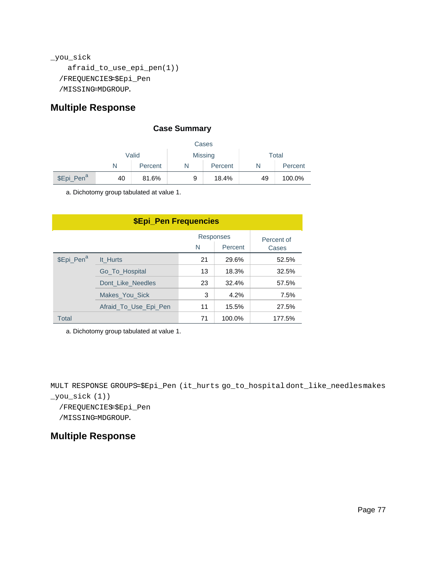```
_you_sick
    afraid_to_use_epi_pen(1))
  /FREQUENCIES=$Epi_Pen
  /MISSING=MDGROUP.
```
#### **Multiple Response**

#### **Case Summary**

|                        | Cases                            |       |   |         |    |         |
|------------------------|----------------------------------|-------|---|---------|----|---------|
|                        | Valid<br><b>Missing</b><br>Total |       |   |         |    |         |
| Percent                |                                  |       | N | Percent |    | Percent |
| \$Epi_Pen <sup>a</sup> | 40                               | 81.6% | 9 | 18.4%   | 49 | 100.0%  |

a. Dichotomy group tabulated at value 1.

| <b>\$Epi_Pen Frequencies</b> |                       |    |        |        |  |
|------------------------------|-----------------------|----|--------|--------|--|
|                              | Percent of<br>Cases   |    |        |        |  |
| \$Epi_Pen <sup>a</sup>       | It Hurts              | 21 | 29.6%  | 52.5%  |  |
|                              | Go To Hospital        | 13 | 18.3%  | 32.5%  |  |
|                              | Dont Like Needles     | 23 | 32.4%  | 57.5%  |  |
|                              | Makes You Sick        | 3  | 4.2%   | 7.5%   |  |
|                              | Afraid_To_Use_Epi_Pen | 11 | 15.5%  | 27.5%  |  |
| Total                        |                       | 71 | 100.0% | 177.5% |  |

a. Dichotomy group tabulated at value 1.

MULT RESPONSE GROUPS=\$Epi\_Pen (it\_hurts go\_to\_hospital dont\_like\_needlesmakes \_you\_sick (1))

/FREQUENCIES=\$Epi\_Pen

/MISSING=MDGROUP.

#### **Multiple Response**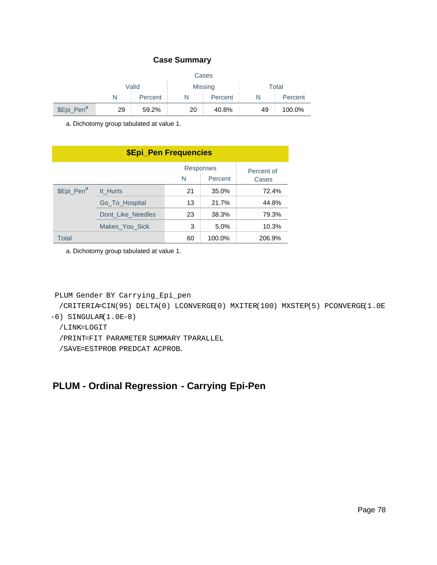#### **Case Summary**

|                        | Cases |                         |    |         |       |         |
|------------------------|-------|-------------------------|----|---------|-------|---------|
|                        |       | Valid<br><b>Missing</b> |    |         | Total |         |
|                        |       | Percent                 | N  | Percent | N     | Percent |
| \$Epi_Pen <sup>a</sup> | 29    | 59.2%                   | 20 | 40.8%   | 49    | 100.0%  |

a. Dichotomy group tabulated at value 1.

| <b>\$Epi_Pen Frequencies</b> |                   |    |         |        |  |  |
|------------------------------|-------------------|----|---------|--------|--|--|
|                              | Percent of        |    |         |        |  |  |
|                              |                   | N  | Percent | Cases  |  |  |
| \$Epi_Pen <sup>a</sup>       | It Hurts          | 21 | 35.0%   | 72.4%  |  |  |
|                              | Go_To_Hospital    | 13 | 21.7%   | 44.8%  |  |  |
|                              | Dont Like Needles | 23 | 38.3%   | 79.3%  |  |  |
|                              | Makes You Sick    | 3  | 5.0%    | 10.3%  |  |  |
| Total                        |                   | 60 | 100.0%  | 206.9% |  |  |

a. Dichotomy group tabulated at value 1.

```
PLUM Gender BY Carrying_Epi_pen
```
 /CRITERIA=CIN(95) DELTA(0) LCONVERGE(0) MXITER(100) MXSTEP(5) PCONVERGE(1.0E -6) SINGULAR(1.0E-8)

/LINK=LOGIT

/PRINT=FIT PARAMETER SUMMARY TPARALLEL

/SAVE=ESTPROB PREDCAT ACPROB.

### **PLUM - Ordinal Regression - Carrying Epi-Pen**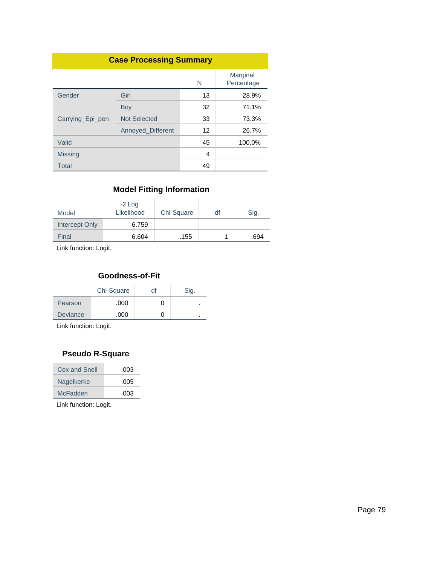| <b>Case Processing Summary</b> |                     |    |                        |  |  |
|--------------------------------|---------------------|----|------------------------|--|--|
|                                |                     | N  | Marginal<br>Percentage |  |  |
| Gender                         | Girl                | 13 | 28.9%                  |  |  |
|                                | Boy                 | 32 | 71.1%                  |  |  |
| Carrying Epi pen               | <b>Not Selected</b> | 33 | 73.3%                  |  |  |
|                                | Annoyed_Different   | 12 | 26.7%                  |  |  |
| Valid                          |                     | 45 | 100.0%                 |  |  |
| <b>Missing</b>                 |                     | 4  |                        |  |  |
| Total                          |                     | 49 |                        |  |  |

#### **Model Fitting Information**

| Model          | $-2$ Log<br>Likelihood | Chi-Square | df | Sig. |
|----------------|------------------------|------------|----|------|
| Intercept Only | 6.759                  |            |    |      |
| Final          | 6.604                  | .155       |    | .694 |

Link function: Logit.

### **Goodness-of-Fit**

|                 | Chi-Square | df | Sig. |
|-----------------|------------|----|------|
| Pearson         | .000       |    | ٠    |
| <b>Deviance</b> | .000       |    | ٠    |

Link function: Logit.

#### **Pseudo R-Square**

| Cox and Snell | .003 |
|---------------|------|
| Nagelkerke    | .005 |
| McFadden      | .003 |
|               |      |

Link function: Logit.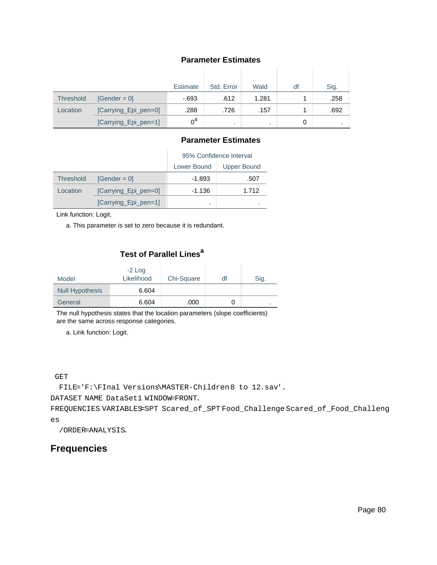#### **Parameter Estimates**

|                  |                      | Estimate | Std. Error | Wald  | df | Sig.      |
|------------------|----------------------|----------|------------|-------|----|-----------|
| <b>Threshold</b> | $[Gender = 0]$       | $-693$   | .612       | 1.281 |    | .258      |
| Location         | [Carrying_Epi_pen=0] | .288     | .726       | .157  |    | .692      |
|                  | [Carrying_Epi_pen=1] | $0^a$    |            | ٠     | 0  | $\bullet$ |

#### **Parameter Estimates**

|                  |                      | 95% Confidence Interval |                    |  |
|------------------|----------------------|-------------------------|--------------------|--|
|                  |                      | Lower Bound             | <b>Upper Bound</b> |  |
| <b>Threshold</b> | $[Gender = 0]$       | $-1.893$                | .507               |  |
| Location         | [Carrying_Epi_pen=0] | $-1.136$                | 1.712              |  |
|                  | [Carrying Epi pen=1] | ٠                       |                    |  |

Link function: Logit.

a. This parameter is set to zero because it is redundant.

### **Test of Parallel Lines<sup>a</sup>**

| Model                  | $-2$ Log<br>Likelihood | Chi-Square | df | Sig. |
|------------------------|------------------------|------------|----|------|
| <b>Null Hypothesis</b> | 6.604                  |            |    |      |
| General                | 6.604                  | .000       | O  |      |

The null hypothesis states that the location parameters (slope coefficients) are the same across response categories.

a. Link function: Logit.

#### GET

FILE='F:\FInal Versions\MASTER-Children8 to 12.sav'.

DATASET NAME DataSet1 WINDOW=FRONT.

FREQUENCIES VARIABLES=SPT Scared\_of\_SPT Food\_Challenge Scared\_of\_Food\_Challeng es

/ORDER=ANALYSIS.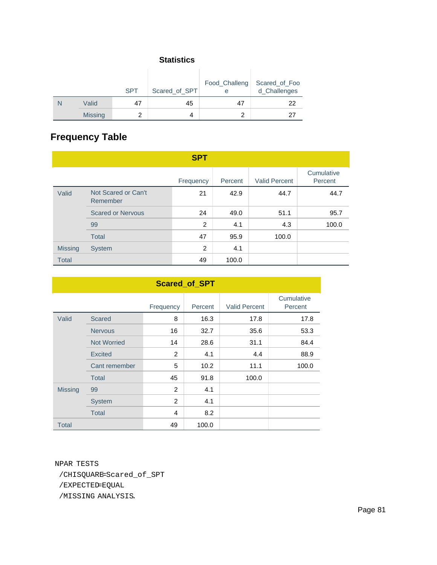#### **Statistics**

|                | <b>SPT</b> | Scared_of_SPT | е  | Food_Challeng Scared_of_Foo<br>d_Challenges |
|----------------|------------|---------------|----|---------------------------------------------|
| Valid          | 47         | 45            | 47 | 22                                          |
| <b>Missing</b> |            | 4             |    | 27                                          |

# **Frequency Table**

|                |                                 | <b>SPT</b>     |         |                      |                       |
|----------------|---------------------------------|----------------|---------|----------------------|-----------------------|
|                |                                 | Frequency      | Percent | <b>Valid Percent</b> | Cumulative<br>Percent |
| Valid          | Not Scared or Can't<br>Remember | 21             | 42.9    | 44.7                 | 44.7                  |
|                | <b>Scared or Nervous</b>        | 24             | 49.0    | 51.1                 | 95.7                  |
|                | 99                              | $\overline{2}$ | 4.1     | 4.3                  | 100.0                 |
|                | Total                           | 47             | 95.9    | 100.0                |                       |
| <b>Missing</b> | <b>System</b>                   | 2              | 4.1     |                      |                       |
| <b>Total</b>   |                                 | 49             | 100.0   |                      |                       |

| <b>Scared_of_SPT</b> |                    |                |         |                      |                       |
|----------------------|--------------------|----------------|---------|----------------------|-----------------------|
|                      |                    | Frequency      | Percent | <b>Valid Percent</b> | Cumulative<br>Percent |
| Valid                | <b>Scared</b>      | 8              | 16.3    | 17.8                 | 17.8                  |
|                      | <b>Nervous</b>     | 16             | 32.7    | 35.6                 | 53.3                  |
|                      | <b>Not Worried</b> | 14             | 28.6    | 31.1                 | 84.4                  |
|                      | Excited            | $\overline{2}$ | 4.1     | 4.4                  | 88.9                  |
|                      | Cant remember      | 5              | 10.2    | 11.1                 | 100.0                 |
|                      | Total              | 45             | 91.8    | 100.0                |                       |
| <b>Missing</b>       | 99                 | $\overline{2}$ | 4.1     |                      |                       |
|                      | <b>System</b>      | 2              | 4.1     |                      |                       |
|                      | <b>Total</b>       | 4              | 8.2     |                      |                       |
| <b>Total</b>         |                    | 49             | 100.0   |                      |                       |

NPAR TESTS /CHISQUARE=Scared\_of\_SPT /EXPECTED=EQUAL /MISSING ANALYSIS.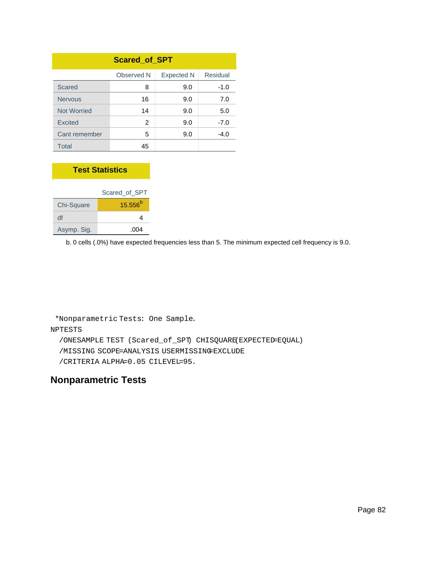| <b>Scared_of_SPT</b> |            |                   |          |
|----------------------|------------|-------------------|----------|
|                      | Observed N | <b>Expected N</b> | Residual |
| Scared               | 8          | 9.0               | $-1.0$   |
| <b>Nervous</b>       | 16         | 9.0               | 7.0      |
| <b>Not Worried</b>   | 14         | 9.0               | 5.0      |
| <b>Excited</b>       | 2          | 9.0               | $-7.0$   |
| Cant remember        | 5          | 9.0               | $-4.0$   |
| Total                | 45         |                   |          |

#### **Test Statistics**

|             | Scared of SPT |
|-------------|---------------|
| Chi-Square  | $15.556^{b}$  |
| df          |               |
| Asymp. Sig. | .004          |

b. 0 cells (.0%) have expected frequencies less than 5. The minimum expected cell frequency is 9.0.

\*Nonparametric Tests: One Sample.

#### NPTESTS

/ONESAMPLE TEST (Scared\_of\_SPT) CHISQUARE(EXPECTED=EQUAL)

/MISSING SCOPE=ANALYSIS USERMISSING=EXCLUDE

/CRITERIA ALPHA=0.05 CILEVEL=95.

#### **Nonparametric Tests**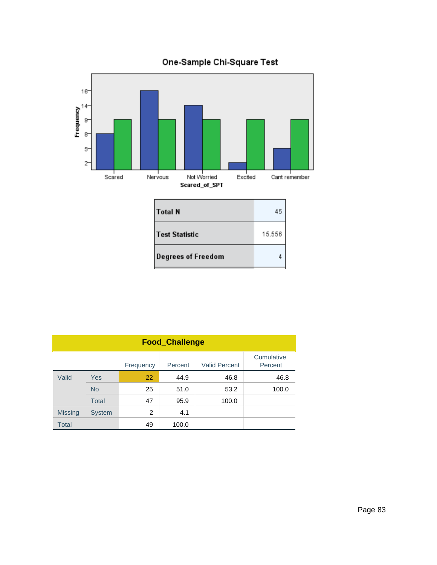

| <b>Test Statistic</b>     | 15.556 |
|---------------------------|--------|
| <b>Degrees of Freedom</b> |        |

| <b>Food_Challenge</b> |               |           |         |                      |                       |
|-----------------------|---------------|-----------|---------|----------------------|-----------------------|
|                       |               | Frequency | Percent | <b>Valid Percent</b> | Cumulative<br>Percent |
| Valid                 | <b>Yes</b>    | 22        | 44.9    | 46.8                 | 46.8                  |
|                       | <b>No</b>     | 25        | 51.0    | 53.2                 | 100.0                 |
|                       | Total         | 47        | 95.9    | 100.0                |                       |
| <b>Missing</b>        | <b>System</b> | 2         | 4.1     |                      |                       |
| <b>Total</b>          |               | 49        | 100.0   |                      |                       |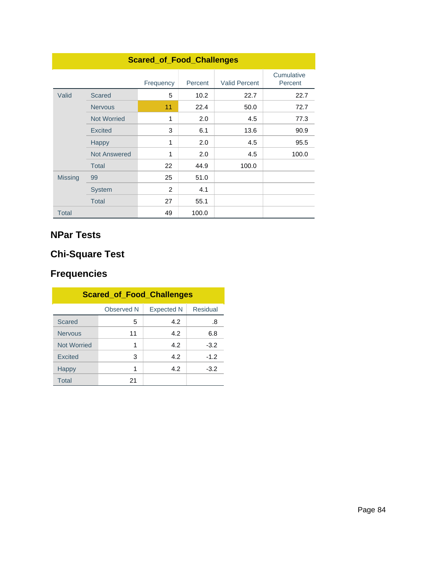| <b>Scared_of_Food_Challenges</b> |                     |                |         |                      |                       |
|----------------------------------|---------------------|----------------|---------|----------------------|-----------------------|
|                                  |                     | Frequency      | Percent | <b>Valid Percent</b> | Cumulative<br>Percent |
| Valid                            | <b>Scared</b>       | 5              | 10.2    | 22.7                 | 22.7                  |
|                                  | <b>Nervous</b>      | 11             | 22.4    | 50.0                 | 72.7                  |
|                                  | <b>Not Worried</b>  | 1              | 2.0     | 4.5                  | 77.3                  |
|                                  | <b>Excited</b>      | 3              | 6.1     | 13.6                 | 90.9                  |
|                                  | <b>Happy</b>        | 1              | 2.0     | 4.5                  | 95.5                  |
|                                  | <b>Not Answered</b> | 1              | 2.0     | 4.5                  | 100.0                 |
|                                  | <b>Total</b>        | 22             | 44.9    | 100.0                |                       |
| <b>Missing</b>                   | 99                  | 25             | 51.0    |                      |                       |
|                                  | <b>System</b>       | $\overline{2}$ | 4.1     |                      |                       |
|                                  | <b>Total</b>        | 27             | 55.1    |                      |                       |
| <b>Total</b>                     |                     | 49             | 100.0   |                      |                       |

# **NPar Tests**

# **Chi-Square Test**

| <b>Scared of Food Challenges</b>            |    |     |        |  |
|---------------------------------------------|----|-----|--------|--|
| Residual<br>Observed N<br><b>Expected N</b> |    |     |        |  |
| Scared                                      | 5  | 4.2 | .8     |  |
| <b>Nervous</b>                              | 11 | 4.2 | 6.8    |  |
| <b>Not Worried</b>                          | 1  | 4.2 | $-3.2$ |  |
| <b>Excited</b>                              | 3  | 4.2 | $-1.2$ |  |
| <b>Happy</b>                                | 1  | 4.2 | $-3.2$ |  |
| <b>Total</b>                                | 21 |     |        |  |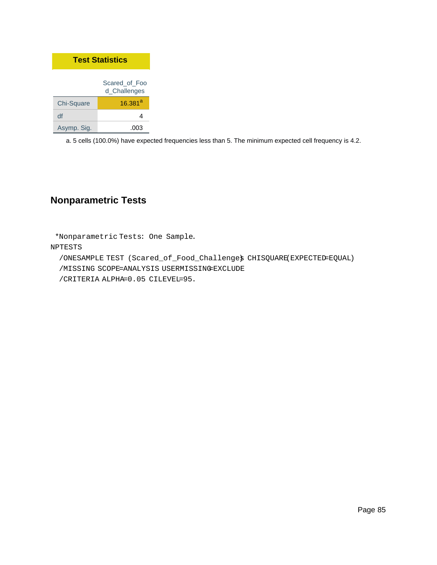| <b>Test Statistics</b>        |              |  |
|-------------------------------|--------------|--|
| Scared of Foo<br>d_Challenges |              |  |
| Chi-Square                    | $16.381^{a}$ |  |
| df                            | Δ            |  |
| Asymp. Sig.                   | .003         |  |

## **Nonparametric Tests**

\*Nonparametric Tests: One Sample.

#### NPTESTS

 /ONESAMPLE TEST (Scared\_of\_Food\_Challenges) CHISQUARE(EXPECTED=EQUAL) /MISSING SCOPE=ANALYSIS USERMISSING=EXCLUDE /CRITERIA ALPHA=0.05 CILEVEL=95.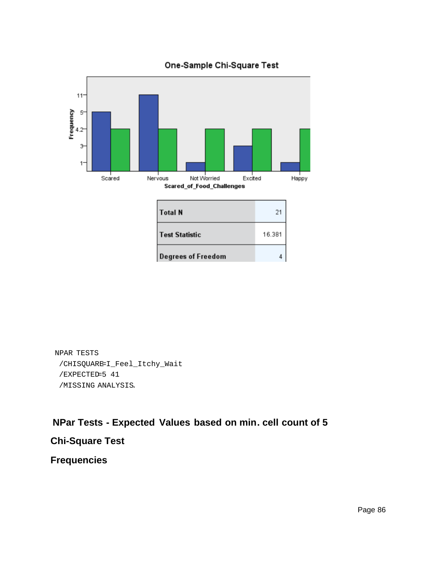

### One-Sample Chi-Square Test

```
NPAR TESTS
 /CHISQUARE=I_Feel_Itchy_Wait
 /EXPECTED=5 41
 /MISSING ANALYSIS.
```
## **NPar Tests - Expected Values based on min. cell count of 5**

# **Chi-Square Test**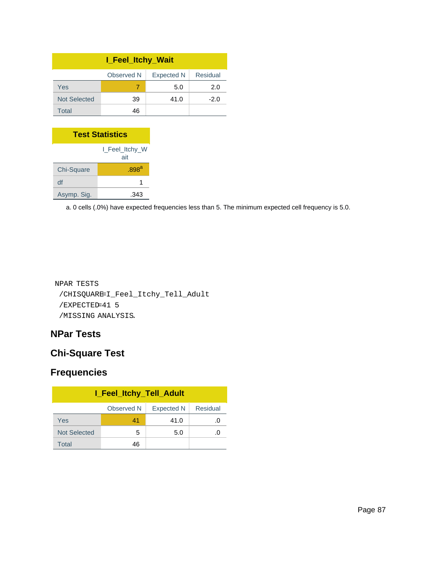| <b>I_Feel_Itchy_Wait</b>                    |    |      |        |  |
|---------------------------------------------|----|------|--------|--|
| Residual<br>Observed N<br><b>Expected N</b> |    |      |        |  |
| Yes                                         |    | 5.0  | 2.0    |  |
| <b>Not Selected</b>                         | 39 | 41.0 | $-2.0$ |  |
| Total                                       | 46 |      |        |  |

| <b>Test Statistics</b> |                     |  |
|------------------------|---------------------|--|
| I Feel Itchy W<br>ait  |                     |  |
| Chi-Square             | $.898$ <sup>a</sup> |  |
| df                     |                     |  |
| Asymp. Sig.            | -343                |  |

```
NPAR TESTS
 /CHISQUARE=I_Feel_Itchy_Tell_Adult
 /EXPECTED=41 5
 /MISSING ANALYSIS.
```
### **NPar Tests**

## **Chi-Square Test**

| I_Feel_Itchy_Tell_Adult                     |    |      |             |  |
|---------------------------------------------|----|------|-------------|--|
| Residual<br>Observed N<br><b>Expected N</b> |    |      |             |  |
| Yes                                         | 41 | 41.0 | .O          |  |
| <b>Not Selected</b>                         | 5  | 5.0  | $\cdot$ ( ) |  |
| Total                                       | 46 |      |             |  |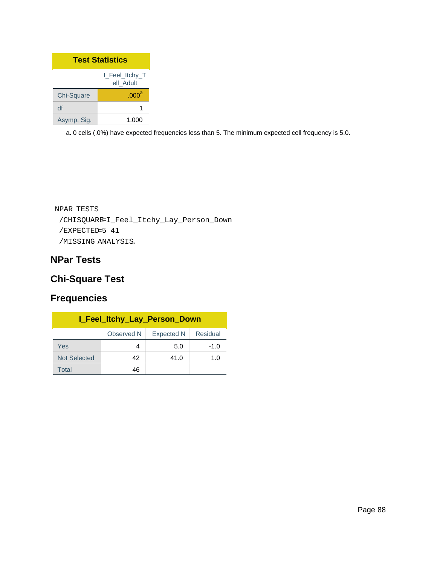| <b>Test Statistics</b>      |                   |  |
|-----------------------------|-------------------|--|
| I Feel Itchy T<br>ell Adult |                   |  |
| Chi-Square                  | .000 <sup>a</sup> |  |
| df                          |                   |  |
| Asymp. Sig.                 | 1.000             |  |

```
NPAR TESTS
 /CHISQUARE=I_Feel_Itchy_Lay_Person_Down
 /EXPECTED=5 41
 /MISSING ANALYSIS.
```
## **NPar Tests**

## **Chi-Square Test**

| <b>I_Feel_Itchy_Lay_Person_Down</b> |            |                   |             |
|-------------------------------------|------------|-------------------|-------------|
|                                     | Observed N | <b>Expected N</b> | Residual    |
| Yes                                 | 4          | 5.0               | $-1.0$      |
| <b>Not Selected</b>                 | 42         | 41.0              | 1. $\Omega$ |
| Total                               | 46         |                   |             |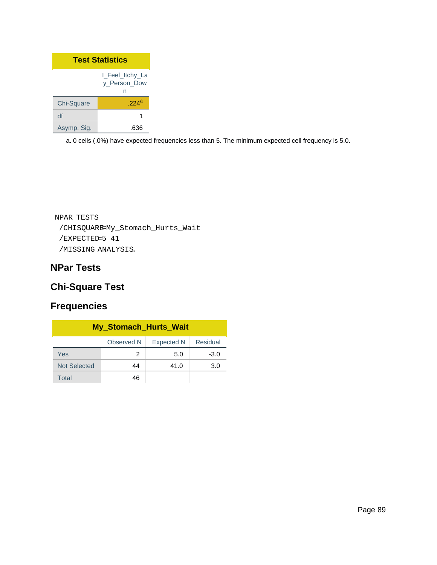| <b>Test Statistics</b> |                                      |  |
|------------------------|--------------------------------------|--|
|                        | I Feel Itchy La<br>y Person Dow<br>n |  |
| Chi-Square             | $.224$ <sup>a</sup>                  |  |
| df                     |                                      |  |
| Asymp. Sig.            |                                      |  |

```
NPAR TESTS
 /CHISQUARE=My_Stomach_Hurts_Wait
 /EXPECTED=5 41
 /MISSING ANALYSIS.
```
## **NPar Tests**

## **Chi-Square Test**

| <b>My_Stomach_Hurts_Wait</b> |            |                   |          |
|------------------------------|------------|-------------------|----------|
|                              | Observed N | <b>Expected N</b> | Residual |
| Yes                          | 2          | 5.0               | $-3.0$   |
| <b>Not Selected</b>          | 44         | 41.0              | 3.0      |
| Total                        | 46         |                   |          |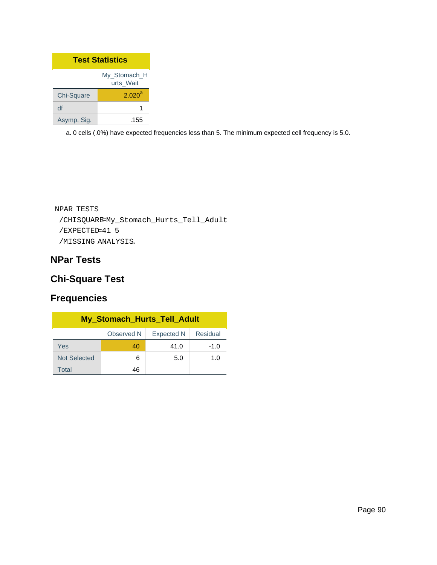| <b>Test Statistics</b>    |                    |  |
|---------------------------|--------------------|--|
| My Stomach H<br>urts Wait |                    |  |
| Chi-Square                | 2.020 <sup>a</sup> |  |
| df                        |                    |  |
| Asymp. Sig.               | .155               |  |

```
NPAR TESTS
 /CHISQUARE=My_Stomach_Hurts_Tell_Adult
 /EXPECTED=41 5
 /MISSING ANALYSIS.
```
## **NPar Tests**

## **Chi-Square Test**

| <b>My_Stomach_Hurts_Tell_Adult</b>          |    |      |             |
|---------------------------------------------|----|------|-------------|
| Residual<br>Observed N<br><b>Expected N</b> |    |      |             |
| Yes                                         | 40 | 41.0 | $-1.0$      |
| <b>Not Selected</b>                         | 6  | 5.0  | 1. $\Omega$ |
| Total                                       | 46 |      |             |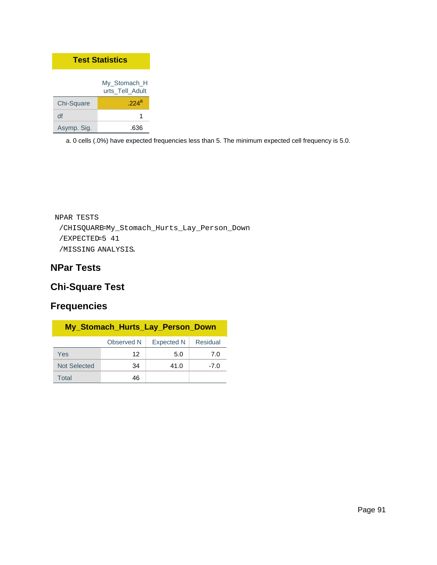| <b>Test Statistics</b> |                                 |
|------------------------|---------------------------------|
|                        | My Stomach H<br>urts Tell Adult |
| Chi-Square             | $224^a$                         |
| df                     | 1                               |
| Asymp. Sig.            | -636                            |

```
NPAR TESTS
 /CHISQUARE=My_Stomach_Hurts_Lay_Person_Down
 /EXPECTED=5 41
 /MISSING ANALYSIS.
```
## **NPar Tests**

## **Chi-Square Test**

| My_Stomach_Hurts_Lay_Person_Down |            |            |          |
|----------------------------------|------------|------------|----------|
|                                  | Observed N | Expected N | Residual |
| Yes                              | 12         | 5.0        | 7.0      |
| <b>Not Selected</b>              | 34         | 41.0       | $-7.0$   |
| Total                            | 46         |            |          |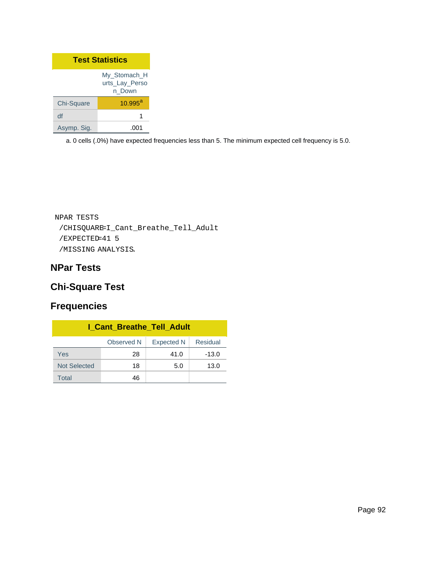| <b>Test Statistics</b> |                                          |
|------------------------|------------------------------------------|
|                        | My Stomach H<br>urts_Lay_Perso<br>n Down |
| Chi-Square             | $10.995^{a}$                             |
| df                     | 1                                        |
| Asymp. Sig.            |                                          |

```
NPAR TESTS
 /CHISQUARE=I_Cant_Breathe_Tell_Adult
 /EXPECTED=41 5
 /MISSING ANALYSIS.
```
## **NPar Tests**

## **Chi-Square Test**

| <b>I_Cant_Breathe_Tell_Adult</b> |            |                   |          |
|----------------------------------|------------|-------------------|----------|
|                                  | Observed N | <b>Expected N</b> | Residual |
| Yes                              | 28         | 41.0              | $-13.0$  |
| <b>Not Selected</b>              | 18         | 5.0               | 13.0     |
| Total                            | 46         |                   |          |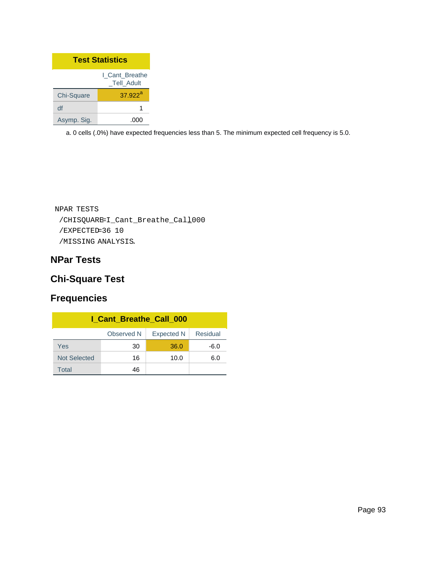| <b>Test Statistics</b>       |                  |
|------------------------------|------------------|
| I Cant Breathe<br>Tell Adult |                  |
| Chi-Square                   | $37.922^{\rm a}$ |
| df                           |                  |
| Asymp. Sig.                  |                  |

```
NPAR TESTS
 /CHISQUARE=I_Cant_Breathe_Call_000
 /EXPECTED=36 10
 /MISSING ANALYSIS.
```
## **NPar Tests**

## **Chi-Square Test**

| I Cant Breathe Call 000 |            |                   |          |
|-------------------------|------------|-------------------|----------|
|                         | Observed N | <b>Expected N</b> | Residual |
| Yes                     | 30         | 36.0              | $-6.0$   |
| <b>Not Selected</b>     | 16         | 10.0              | 6.0      |
| Total                   | 46         |                   |          |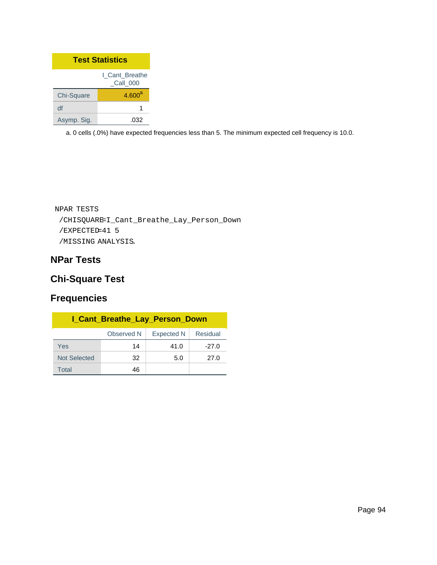| <b>Test Statistics</b>     |                    |  |
|----------------------------|--------------------|--|
| I Cant Breathe<br>Call 000 |                    |  |
| Chi-Square                 | 4.600 <sup>a</sup> |  |
| df                         |                    |  |
| Asymp. Sig.                | -032               |  |

```
NPAR TESTS
 /CHISQUARE=I_Cant_Breathe_Lay_Person_Down
 /EXPECTED=41 5
 /MISSING ANALYSIS.
```
## **NPar Tests**

## **Chi-Square Test**

| <b>I_Cant_Breathe_Lay_Person_Down</b>       |    |      |         |  |  |  |  |
|---------------------------------------------|----|------|---------|--|--|--|--|
| Observed N<br><b>Expected N</b><br>Residual |    |      |         |  |  |  |  |
| Yes                                         | 14 | 41.0 | $-27.0$ |  |  |  |  |
| <b>Not Selected</b>                         | 32 | 5.0  | 27.0    |  |  |  |  |
| Total                                       | 46 |      |         |  |  |  |  |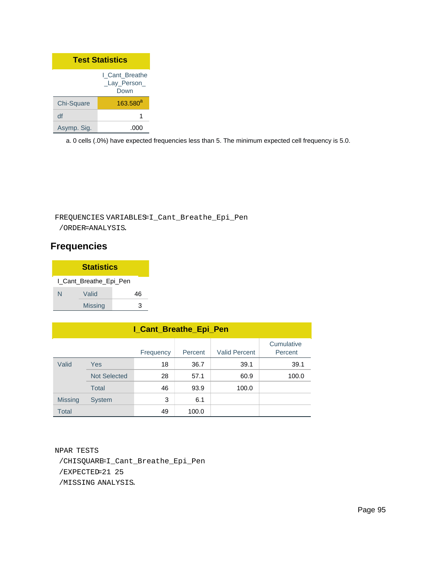| <b>Test Statistics</b> |                                        |  |  |  |
|------------------------|----------------------------------------|--|--|--|
|                        | I Cant Breathe<br>_Lay_Person_<br>Down |  |  |  |
| Chi-Square             | $163.580^{a}$                          |  |  |  |
| df                     | 1                                      |  |  |  |
| Asymp. Sig.            |                                        |  |  |  |

### FREQUENCIES VARIABLES=I\_Cant\_Breathe\_Epi\_Pen

/ORDER=ANALYSIS.

### **Frequencies**

| <b>Statistics</b> |                        |   |  |  |  |  |  |
|-------------------|------------------------|---|--|--|--|--|--|
|                   | I_Cant_Breathe_Epi_Pen |   |  |  |  |  |  |
| N                 | Valid                  |   |  |  |  |  |  |
|                   | <b>Missing</b>         | ว |  |  |  |  |  |

| <b>I_Cant_Breathe_Epi_Pen</b>                                         |                     |    |       |       |       |  |  |  |
|-----------------------------------------------------------------------|---------------------|----|-------|-------|-------|--|--|--|
| Cumulative<br><b>Valid Percent</b><br>Percent<br>Frequency<br>Percent |                     |    |       |       |       |  |  |  |
| Valid                                                                 | <b>Yes</b>          | 18 | 36.7  | 39.1  | 39.1  |  |  |  |
|                                                                       | <b>Not Selected</b> | 28 | 57.1  | 60.9  | 100.0 |  |  |  |
|                                                                       | Total               | 46 | 93.9  | 100.0 |       |  |  |  |
| <b>Missing</b>                                                        | <b>System</b>       | 3  | 6.1   |       |       |  |  |  |
| <b>Total</b>                                                          |                     | 49 | 100.0 |       |       |  |  |  |

NPAR TESTS /CHISQUARE=I\_Cant\_Breathe\_Epi\_Pen /EXPECTED=21 25 /MISSING ANALYSIS.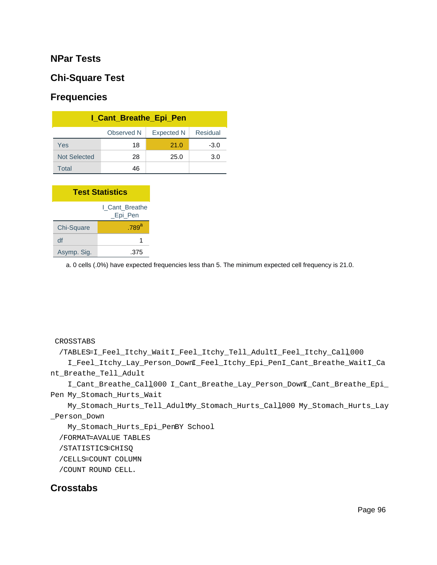#### **NPar Tests**

#### **Chi-Square Test**

### **Frequencies**

| <b>I_Cant_Breathe_Epi_Pen</b>               |    |      |        |  |  |  |  |
|---------------------------------------------|----|------|--------|--|--|--|--|
| Residual<br>Observed N<br><b>Expected N</b> |    |      |        |  |  |  |  |
| Yes                                         | 18 | 21.0 | $-3.0$ |  |  |  |  |
| <b>Not Selected</b>                         | 28 | 25.0 | 3.0    |  |  |  |  |
| Total                                       | 46 |      |        |  |  |  |  |

| <b>Test Statistics</b>    |                     |  |  |  |
|---------------------------|---------------------|--|--|--|
| I Cant Breathe<br>Epi Pen |                     |  |  |  |
| Chi-Square                | $.789$ <sup>a</sup> |  |  |  |
| df                        | 1                   |  |  |  |
| Asymp. Sig.               | .375                |  |  |  |

a. 0 cells (.0%) have expected frequencies less than 5. The minimum expected cell frequency is 21.0.

#### CROSSTABS

/TABLES=I\_Feel\_Itchy\_WaitI\_Feel\_Itchy\_Tell\_AdultI\_Feel\_Itchy\_Call\_000

 I\_Feel\_Itchy\_Lay\_Person\_DownI\_Feel\_Itchy\_Epi\_PenI\_Cant\_Breathe\_WaitI\_Ca nt\_Breathe\_Tell\_Adult

 I\_Cant\_Breathe\_Call\_000 I\_Cant\_Breathe\_Lay\_Person\_DownI\_Cant\_Breathe\_Epi\_ Pen My\_Stomach\_Hurts\_Wait

 My\_Stomach\_Hurts\_Tell\_AdultMy\_Stomach\_Hurts\_Call\_000 My\_Stomach\_Hurts\_Lay \_Person\_Down

My\_Stomach\_Hurts\_Epi\_PenBY School

/FORMAT=AVALUE TABLES

/STATISTICS=CHISQ

/CELLS=COUNT COLUMN

/COUNT ROUND CELL.

#### **Crosstabs**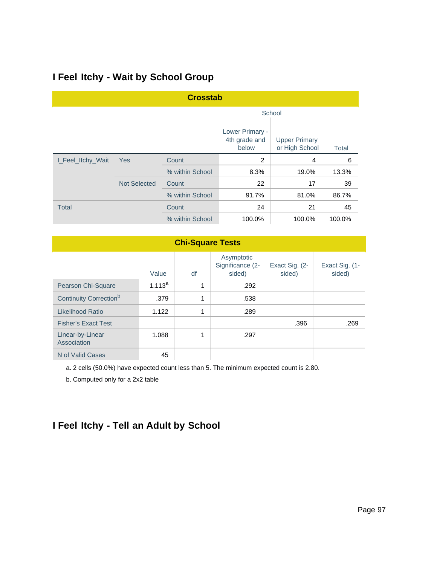## **I Feel Itchy - Wait by School Group**

| <b>Crosstab</b>          |                     |                 |                                           |                                        |        |  |
|--------------------------|---------------------|-----------------|-------------------------------------------|----------------------------------------|--------|--|
|                          |                     |                 |                                           | School                                 |        |  |
|                          |                     |                 | Lower Primary -<br>4th grade and<br>below | <b>Upper Primary</b><br>or High School | Total  |  |
| I_Feel_Itchy_Wait<br>Yes |                     | Count           | 2                                         | 4                                      | 6      |  |
|                          |                     | % within School | 8.3%                                      | 19.0%                                  | 13.3%  |  |
|                          | <b>Not Selected</b> | Count           | 22                                        | 17                                     | 39     |  |
|                          |                     | % within School | 91.7%                                     | 81.0%                                  | 86.7%  |  |
| <b>Total</b>             |                     | Count           | 24                                        | 21                                     | 45     |  |
|                          |                     | % within School | 100.0%                                    | 100.0%                                 | 100.0% |  |

#### **Chi-Square Tests**

|                                    | Value       | df | Asymptotic<br>Significance (2-<br>sided) | Exact Sig. (2-<br>sided) | Exact Sig. (1-<br>sided) |
|------------------------------------|-------------|----|------------------------------------------|--------------------------|--------------------------|
| Pearson Chi-Square                 | $1.113^{a}$ | 4  | .292                                     |                          |                          |
| Continuity Correction <sup>b</sup> | .379        | 1  | .538                                     |                          |                          |
| Likelihood Ratio                   | 1.122       | 1  | .289                                     |                          |                          |
| <b>Fisher's Exact Test</b>         |             |    |                                          | .396                     | .269                     |
| Linear-by-Linear<br>Association    | 1.088       |    | .297                                     |                          |                          |
| N of Valid Cases                   | 45          |    |                                          |                          |                          |

a. 2 cells (50.0%) have expected count less than 5. The minimum expected count is 2.80.

b. Computed only for a 2x2 table

# **I Feel Itchy - Tell an Adult by School**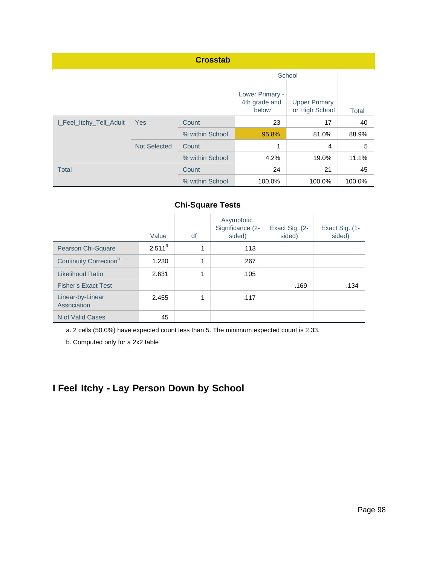| <b>Crosstab</b>         |                     |                 |                                           |                                        |        |  |  |
|-------------------------|---------------------|-----------------|-------------------------------------------|----------------------------------------|--------|--|--|
|                         |                     |                 |                                           | School                                 |        |  |  |
|                         |                     |                 | Lower Primary -<br>4th grade and<br>below | <b>Upper Primary</b><br>or High School | Total  |  |  |
| I_Feel_Itchy_Tell_Adult | Yes                 | Count           | 23                                        | 17                                     | 40     |  |  |
|                         |                     | % within School | 95.8%                                     | 81.0%                                  | 88.9%  |  |  |
|                         | <b>Not Selected</b> | Count           | 1                                         | $\overline{4}$                         | 5      |  |  |
|                         |                     | % within School | 4.2%                                      | 19.0%                                  | 11.1%  |  |  |
| <b>Total</b>            |                     | Count           | 24                                        | 21                                     | 45     |  |  |
|                         |                     | % within School | 100.0%                                    | 100.0%                                 | 100.0% |  |  |

|                                    | Value     | df | Asymptotic<br>Significance (2-<br>sided) | Exact Sig. (2-<br>sided) | Exact Sig. (1-<br>sided) |
|------------------------------------|-----------|----|------------------------------------------|--------------------------|--------------------------|
| Pearson Chi-Square                 | $2.511^a$ | 4  | .113                                     |                          |                          |
| Continuity Correction <sup>b</sup> | 1.230     | 1  | .267                                     |                          |                          |
| Likelihood Ratio                   | 2.631     | 1  | .105                                     |                          |                          |
| <b>Fisher's Exact Test</b>         |           |    |                                          | .169                     | .134                     |
| Linear-by-Linear<br>Association    | 2.455     |    | .117                                     |                          |                          |
| N of Valid Cases                   | 45        |    |                                          |                          |                          |

a. 2 cells (50.0%) have expected count less than 5. The minimum expected count is 2.33.

b. Computed only for a 2x2 table

# **I Feel Itchy - Lay Person Down by School**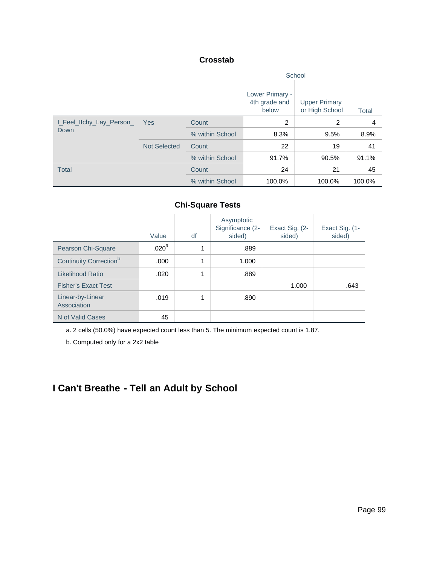#### **Crosstab**

|                          |                     |                 | Lower Primary -<br>4th grade and<br>below | <b>Upper Primary</b><br>or High School | <b>Total</b> |
|--------------------------|---------------------|-----------------|-------------------------------------------|----------------------------------------|--------------|
| I_Feel_Itchy_Lay_Person_ | Yes                 | Count           | 2                                         | 2                                      | 4            |
| Down                     |                     | % within School | 8.3%                                      | 9.5%                                   | 8.9%         |
|                          | <b>Not Selected</b> | Count           | 22                                        | 19                                     | 41           |
|                          |                     | % within School | 91.7%                                     | 90.5%                                  | 91.1%        |
| <b>Total</b>             |                     | Count           | 24                                        | 21                                     | 45           |
|                          |                     | % within School | 100.0%                                    | 100.0%                                 | 100.0%       |

#### **Chi-Square Tests**

|                                    | Value             | df | Asymptotic<br>Significance (2-<br>sided) | Exact Sig. (2-<br>sided) | Exact Sig. (1-<br>sided) |
|------------------------------------|-------------------|----|------------------------------------------|--------------------------|--------------------------|
| Pearson Chi-Square                 | .020 <sup>a</sup> | 4  | .889                                     |                          |                          |
| Continuity Correction <sup>b</sup> | .000              | 1  | 1.000                                    |                          |                          |
| Likelihood Ratio                   | .020              | 1  | .889                                     |                          |                          |
| <b>Fisher's Exact Test</b>         |                   |    |                                          | 1.000                    | .643                     |
| Linear-by-Linear<br>Association    | .019              | 4  | .890                                     |                          |                          |
| N of Valid Cases                   | 45                |    |                                          |                          |                          |

a. 2 cells (50.0%) have expected count less than 5. The minimum expected count is 1.87.

b. Computed only for a 2x2 table

# **I Can't Breathe - Tell an Adult by School**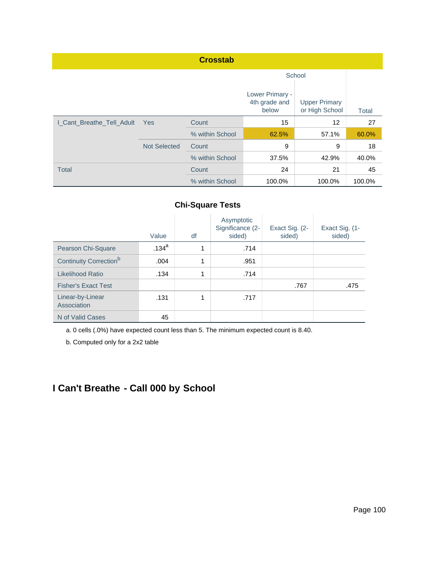|                           |                     | <b>Crosstab</b> |                                           |                                        |              |
|---------------------------|---------------------|-----------------|-------------------------------------------|----------------------------------------|--------------|
|                           |                     |                 |                                           |                                        |              |
|                           |                     |                 | Lower Primary -<br>4th grade and<br>below | <b>Upper Primary</b><br>or High School | <b>Total</b> |
| I_Cant_Breathe_Tell_Adult | <b>Yes</b>          | Count           | 15                                        | 12                                     | 27           |
|                           |                     | % within School | 62.5%                                     | 57.1%                                  | 60.0%        |
|                           | <b>Not Selected</b> | Count           | 9                                         | 9                                      | 18           |
|                           |                     | % within School | 37.5%                                     | 42.9%                                  | 40.0%        |
| <b>Total</b>              |                     | Count           | 24                                        | 21                                     | 45           |
|                           |                     | % within School | 100.0%                                    | 100.0%                                 | 100.0%       |

|                                    | Value             | df | Asymptotic<br>Significance (2-<br>sided) | Exact Sig. (2-<br>sided) | Exact Sig. (1-<br>sided) |
|------------------------------------|-------------------|----|------------------------------------------|--------------------------|--------------------------|
| Pearson Chi-Square                 | .134 <sup>a</sup> | 4  | .714                                     |                          |                          |
| Continuity Correction <sup>b</sup> | .004              | 1  | .951                                     |                          |                          |
| Likelihood Ratio                   | .134              | 1  | .714                                     |                          |                          |
| <b>Fisher's Exact Test</b>         |                   |    |                                          | .767                     | .475                     |
| Linear-by-Linear<br>Association    | .131              | 1  | .717                                     |                          |                          |
| N of Valid Cases                   | 45                |    |                                          |                          |                          |

a. 0 cells (.0%) have expected count less than 5. The minimum expected count is 8.40.

b. Computed only for a 2x2 table

# **I Can't Breathe - Call 000 by School**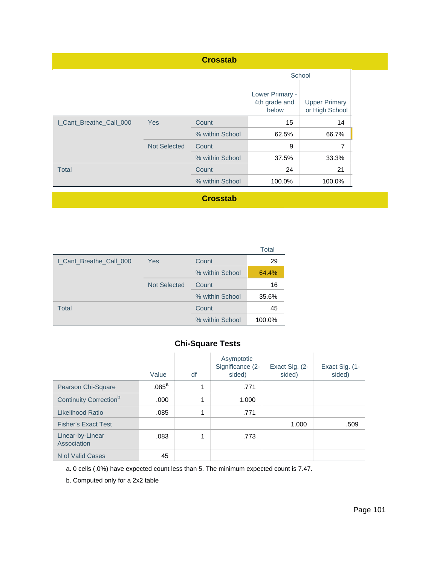| <b>Crosstab</b>         |                     |                 |                                           |                                        |  |  |  |  |
|-------------------------|---------------------|-----------------|-------------------------------------------|----------------------------------------|--|--|--|--|
|                         |                     |                 | School                                    |                                        |  |  |  |  |
|                         |                     |                 | Lower Primary -<br>4th grade and<br>below | <b>Upper Primary</b><br>or High School |  |  |  |  |
| I Cant Breathe Call 000 | <b>Yes</b>          |                 | 15                                        | 14                                     |  |  |  |  |
|                         |                     | % within School | 62.5%                                     | 66.7%                                  |  |  |  |  |
|                         | <b>Not Selected</b> | Count           | 9                                         | 7                                      |  |  |  |  |
|                         |                     | % within School | 37.5%                                     | 33.3%                                  |  |  |  |  |
| <b>Total</b>            |                     | Count           | 24                                        | 21                                     |  |  |  |  |
|                         |                     | % within School | 100.0%                                    | 100.0%                                 |  |  |  |  |

#### **Crosstab**

|                         |                     |                 | <b>Total</b> |
|-------------------------|---------------------|-----------------|--------------|
| I_Cant_Breathe_Call_000 | Yes                 | Count           | 29           |
|                         |                     | % within School | 64.4%        |
|                         | <b>Not Selected</b> | Count           | 16           |
|                         |                     | % within School | 35.6%        |
| <b>Total</b>            |                     | Count           | 45           |
|                         |                     | % within School | 100.0%       |

## **Chi-Square Tests**

|                                    | Value             | df | Asymptotic<br>Significance (2-<br>sided) | Exact Sig. (2-<br>sided) | Exact Sig. (1-<br>sided) |
|------------------------------------|-------------------|----|------------------------------------------|--------------------------|--------------------------|
| Pearson Chi-Square                 | .085 <sup>a</sup> | 4  | .771                                     |                          |                          |
| Continuity Correction <sup>b</sup> | .000              | 1  | 1.000                                    |                          |                          |
| Likelihood Ratio                   | .085              | 4  | .771                                     |                          |                          |
| <b>Fisher's Exact Test</b>         |                   |    |                                          | 1.000                    | .509                     |
| Linear-by-Linear<br>Association    | .083              | 4  | .773                                     |                          |                          |
| N of Valid Cases                   | 45                |    |                                          |                          |                          |

a. 0 cells (.0%) have expected count less than 5. The minimum expected count is 7.47.

b. Computed only for a 2x2 table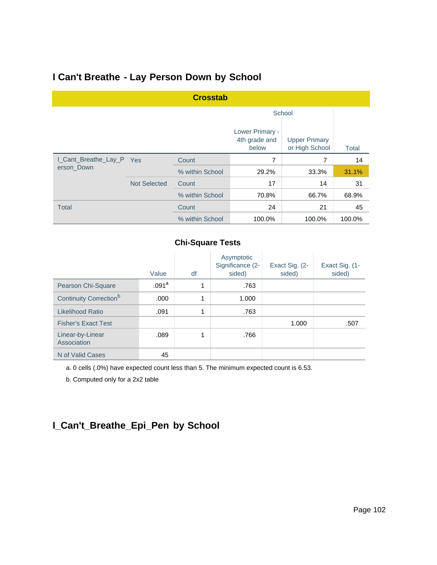## **I Can't Breathe - Lay Person Down by School**

| <b>Crosstab</b>          |                     |                 |                                           |                                        |        |  |  |  |
|--------------------------|---------------------|-----------------|-------------------------------------------|----------------------------------------|--------|--|--|--|
|                          |                     |                 | School                                    |                                        |        |  |  |  |
|                          |                     |                 | Lower Primary -<br>4th grade and<br>below | <b>Upper Primary</b><br>or High School | Total  |  |  |  |
| I_Cant_Breathe_Lay_P Yes |                     | Count           | 7                                         | 7                                      | 14     |  |  |  |
| erson Down               |                     | % within School | 29.2%                                     | 33.3%                                  | 31.1%  |  |  |  |
|                          | <b>Not Selected</b> | Count           | 17                                        | 14                                     | 31     |  |  |  |
|                          |                     | % within School | 70.8%                                     | 66.7%                                  | 68.9%  |  |  |  |
| <b>Total</b>             |                     | Count           | 24                                        | 21                                     | 45     |  |  |  |
|                          |                     | % within School | 100.0%                                    | 100.0%                                 | 100.0% |  |  |  |

#### **Chi-Square Tests**

|                                    | Value             | df | Asymptotic<br>Significance (2-<br>sided) | Exact Sig. (2-<br>sided) | Exact Sig. (1-<br>sided) |
|------------------------------------|-------------------|----|------------------------------------------|--------------------------|--------------------------|
| Pearson Chi-Square                 | .091 <sup>a</sup> | 1  | .763                                     |                          |                          |
| Continuity Correction <sup>b</sup> | .000              | 1  | 1.000                                    |                          |                          |
| Likelihood Ratio                   | .091              | 1  | .763                                     |                          |                          |
| <b>Fisher's Exact Test</b>         |                   |    |                                          | 1.000                    | .507                     |
| Linear-by-Linear<br>Association    | .089              |    | .766                                     |                          |                          |
| N of Valid Cases                   | 45                |    |                                          |                          |                          |

a. 0 cells (.0%) have expected count less than 5. The minimum expected count is 6.53.

b. Computed only for a 2x2 table

# **I\_Can't\_Breathe\_Epi\_Pen by School**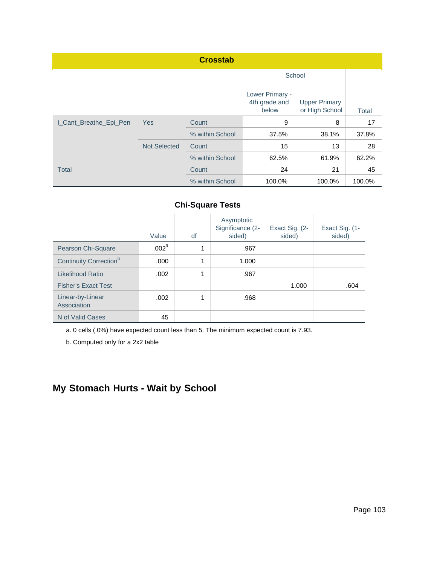| <b>Crosstab</b>        |                     |                 |                                           |                                        |        |  |  |  |
|------------------------|---------------------|-----------------|-------------------------------------------|----------------------------------------|--------|--|--|--|
|                        |                     |                 | School                                    |                                        |        |  |  |  |
|                        |                     |                 | Lower Primary -<br>4th grade and<br>below | <b>Upper Primary</b><br>or High School | Total  |  |  |  |
| I_Cant_Breathe_Epi_Pen | Yes                 |                 | 9                                         | 8                                      | 17     |  |  |  |
|                        |                     | % within School | 37.5%                                     | 38.1%                                  | 37.8%  |  |  |  |
|                        | <b>Not Selected</b> | Count           | 15                                        | 13                                     | 28     |  |  |  |
|                        |                     | % within School | 62.5%                                     | 61.9%                                  | 62.2%  |  |  |  |
| <b>Total</b>           |                     | Count           | 24                                        | 21                                     | 45     |  |  |  |
|                        |                     | % within School | 100.0%                                    | 100.0%                                 | 100.0% |  |  |  |

|                                    | Value             | df | Asymptotic<br>Significance (2-<br>sided) | Exact Sig. (2-<br>sided) | Exact Sig. (1-<br>sided) |
|------------------------------------|-------------------|----|------------------------------------------|--------------------------|--------------------------|
| Pearson Chi-Square                 | .002 <sup>a</sup> | 4  | .967                                     |                          |                          |
| Continuity Correction <sup>b</sup> | .000              | 1  | 1.000                                    |                          |                          |
| Likelihood Ratio                   | .002              | 1  | .967                                     |                          |                          |
| <b>Fisher's Exact Test</b>         |                   |    |                                          | 1.000                    | .604                     |
| Linear-by-Linear<br>Association    | .002              | 4  | .968                                     |                          |                          |
| N of Valid Cases                   | 45                |    |                                          |                          |                          |

a. 0 cells (.0%) have expected count less than 5. The minimum expected count is 7.93.

b. Computed only for a 2x2 table

# **My Stomach Hurts - Wait by School**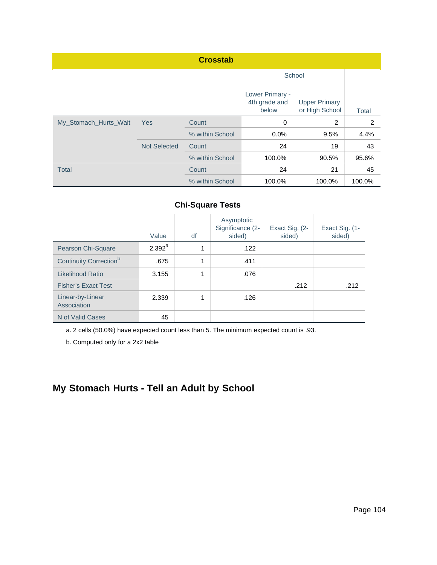|                       |                     | <b>Crosstab</b> |                                           |                                        |        |
|-----------------------|---------------------|-----------------|-------------------------------------------|----------------------------------------|--------|
|                       |                     |                 | School                                    |                                        |        |
|                       |                     |                 | Lower Primary -<br>4th grade and<br>below | <b>Upper Primary</b><br>or High School | Total  |
| My_Stomach_Hurts_Wait | <b>Yes</b>          | Count           | $\mathbf 0$                               | 2                                      | 2      |
|                       |                     | % within School | $0.0\%$                                   | 9.5%                                   | 4.4%   |
|                       | <b>Not Selected</b> | Count           | 24                                        | 19                                     | 43     |
|                       |                     | % within School | 100.0%                                    | 90.5%                                  | 95.6%  |
| <b>Total</b>          |                     | Count           | 24                                        | 21                                     | 45     |
|                       |                     | % within School | 100.0%                                    | 100.0%                                 | 100.0% |

|                                    | Value       | df | Asymptotic<br>Significance (2-<br>sided) | Exact Sig. (2-<br>sided) | Exact Sig. (1-<br>sided) |
|------------------------------------|-------------|----|------------------------------------------|--------------------------|--------------------------|
| Pearson Chi-Square                 | $2.392^{a}$ | 4  | .122                                     |                          |                          |
| Continuity Correction <sup>b</sup> | .675        | 1  | .411                                     |                          |                          |
| Likelihood Ratio                   | 3.155       | 1  | .076                                     |                          |                          |
| <b>Fisher's Exact Test</b>         |             |    |                                          | .212                     | .212                     |
| Linear-by-Linear<br>Association    | 2.339       | 1  | .126                                     |                          |                          |
| N of Valid Cases                   | 45          |    |                                          |                          |                          |

a. 2 cells (50.0%) have expected count less than 5. The minimum expected count is .93.

b. Computed only for a 2x2 table

# **My Stomach Hurts - Tell an Adult by School**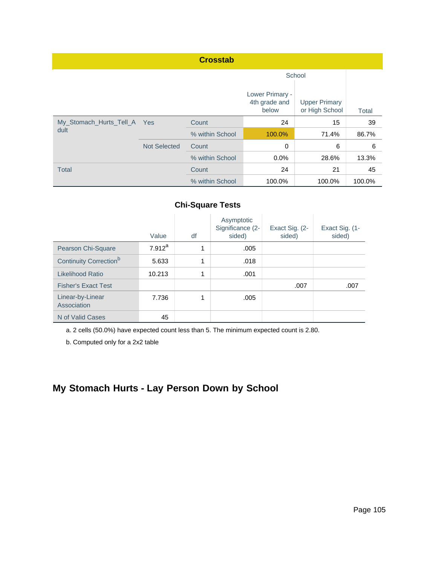|                             |                     | <b>Crosstab</b> |                                           |                                        |              |
|-----------------------------|---------------------|-----------------|-------------------------------------------|----------------------------------------|--------------|
|                             |                     | School          |                                           |                                        |              |
|                             |                     |                 | Lower Primary -<br>4th grade and<br>below | <b>Upper Primary</b><br>or High School | <b>Total</b> |
| My_Stomach_Hurts_Tell_A Yes |                     | Count           | 24                                        | 15                                     | 39           |
| dult                        |                     | % within School | 100.0%                                    | 71.4%                                  | 86.7%        |
|                             | <b>Not Selected</b> | Count           | 0                                         | 6                                      | 6            |
|                             |                     | % within School | 0.0%                                      | 28.6%                                  | 13.3%        |
| <b>Total</b>                |                     | Count           | 24                                        | 21                                     | 45           |
|                             |                     | % within School | 100.0%                                    | 100.0%                                 | 100.0%       |

|                                    | Value     | df | Asymptotic<br>Significance (2-<br>sided) | Exact Sig. (2-<br>sided) | Exact Sig. (1-<br>sided) |
|------------------------------------|-----------|----|------------------------------------------|--------------------------|--------------------------|
| Pearson Chi-Square                 | $7.912^a$ | 4  | .005                                     |                          |                          |
| Continuity Correction <sup>b</sup> | 5.633     | 1  | .018                                     |                          |                          |
| Likelihood Ratio                   | 10.213    | 1  | .001                                     |                          |                          |
| <b>Fisher's Exact Test</b>         |           |    |                                          | .007                     | .007                     |
| Linear-by-Linear<br>Association    | 7.736     |    | .005                                     |                          |                          |
| N of Valid Cases                   | 45        |    |                                          |                          |                          |

a. 2 cells (50.0%) have expected count less than 5. The minimum expected count is 2.80.

b. Computed only for a 2x2 table

# **My Stomach Hurts - Lay Person Down by School**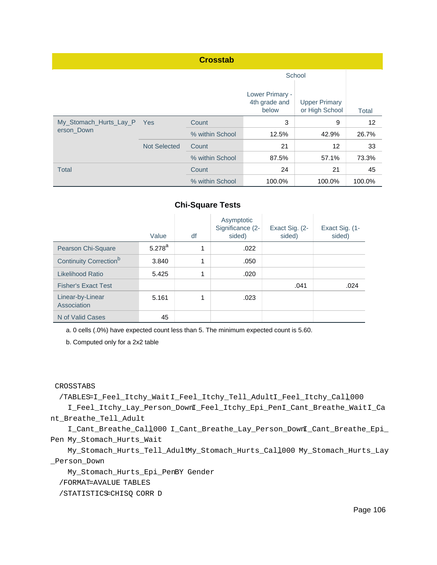| <b>Crosstab</b>                      |                     |                 |                                           |                                        |        |  |  |
|--------------------------------------|---------------------|-----------------|-------------------------------------------|----------------------------------------|--------|--|--|
|                                      |                     |                 | School                                    |                                        |        |  |  |
|                                      |                     |                 | Lower Primary -<br>4th grade and<br>below | <b>Upper Primary</b><br>or High School | Total  |  |  |
| My_Stomach_Hurts_Lay_P<br>erson_Down | <b>Yes</b>          | Count           | 3                                         | 9                                      | 12     |  |  |
|                                      |                     | % within School | 12.5%                                     | 42.9%                                  | 26.7%  |  |  |
|                                      | <b>Not Selected</b> | Count           | 21                                        | $12 \overline{ }$                      | 33     |  |  |
|                                      |                     | % within School | 87.5%                                     | 57.1%                                  | 73.3%  |  |  |
| <b>Total</b>                         |                     | Count           | 24                                        | 21                                     | 45     |  |  |
|                                      |                     | % within School | 100.0%                                    | 100.0%                                 | 100.0% |  |  |

|                                    | Value       | df | Asymptotic<br>Significance (2-<br>sided) | Exact Sig. (2-<br>sided) | Exact Sig. (1-<br>sided) |
|------------------------------------|-------------|----|------------------------------------------|--------------------------|--------------------------|
| Pearson Chi-Square                 | $5.278^{a}$ | 1  | .022                                     |                          |                          |
| Continuity Correction <sup>b</sup> | 3.840       | 1  | .050                                     |                          |                          |
| Likelihood Ratio                   | 5.425       | 1  | .020                                     |                          |                          |
| <b>Fisher's Exact Test</b>         |             |    |                                          | .041                     | .024                     |
| Linear-by-Linear<br>Association    | 5.161       | 4  | .023                                     |                          |                          |
| N of Valid Cases                   | 45          |    |                                          |                          |                          |

a. 0 cells (.0%) have expected count less than 5. The minimum expected count is 5.60.

b. Computed only for a 2x2 table

CROSSTABS

 /TABLES=I\_Feel\_Itchy\_WaitI\_Feel\_Itchy\_Tell\_AdultI\_Feel\_Itchy\_Call\_000 I\_Feel\_Itchy\_Lay\_Person\_DownI\_Feel\_Itchy\_Epi\_PenI\_Cant\_Breathe\_WaitI\_Ca nt\_Breathe\_Tell\_Adult

 I\_Cant\_Breathe\_Call\_000 I\_Cant\_Breathe\_Lay\_Person\_DownI\_Cant\_Breathe\_Epi\_ Pen My\_Stomach\_Hurts\_Wait

 My\_Stomach\_Hurts\_Tell\_AdultMy\_Stomach\_Hurts\_Call\_000 My\_Stomach\_Hurts\_Lay \_Person\_Down

My\_Stomach\_Hurts\_Epi\_PenBY Gender

/FORMAT=AVALUE TABLES

/STATISTICS=CHISQ CORR D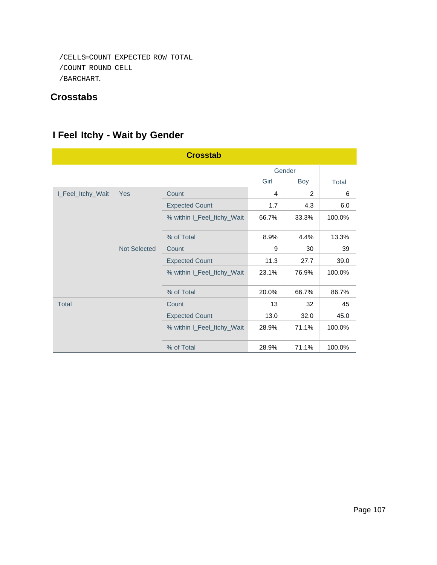```
 /CELLS=COUNT EXPECTED ROW TOTAL
/COUNT ROUND CELL
/BARCHART.
```
## **Crosstabs**

# **I Feel Itchy - Wait by Gender**

| <b>Crosstab</b>   |                     |                            |       |               |              |  |  |
|-------------------|---------------------|----------------------------|-------|---------------|--------------|--|--|
|                   |                     |                            |       |               |              |  |  |
|                   |                     |                            | Girl  | <b>Boy</b>    | <b>Total</b> |  |  |
| I_Feel_Itchy_Wait | Yes                 | Count                      | 4     | $\mathcal{P}$ | 6            |  |  |
|                   |                     | <b>Expected Count</b>      | 1.7   | 4.3           | 6.0          |  |  |
|                   |                     | % within I_Feel_Itchy_Wait | 66.7% | 33.3%         | 100.0%       |  |  |
|                   |                     | % of Total                 | 8.9%  | 4.4%          | 13.3%        |  |  |
|                   | <b>Not Selected</b> | Count                      | 9     | 30            | 39           |  |  |
|                   |                     | <b>Expected Count</b>      | 11.3  | 27.7          | 39.0         |  |  |
|                   |                     | % within I_Feel_Itchy_Wait | 23.1% | 76.9%         | 100.0%       |  |  |
|                   |                     | % of Total                 | 20.0% | 66.7%         | 86.7%        |  |  |
| <b>Total</b>      |                     | Count                      | 13    | 32            | 45           |  |  |
|                   |                     | <b>Expected Count</b>      | 13.0  | 32.0          | 45.0         |  |  |
|                   |                     | % within I_Feel_Itchy_Wait | 28.9% | 71.1%         | 100.0%       |  |  |
|                   |                     | % of Total                 | 28.9% | 71.1%         | 100.0%       |  |  |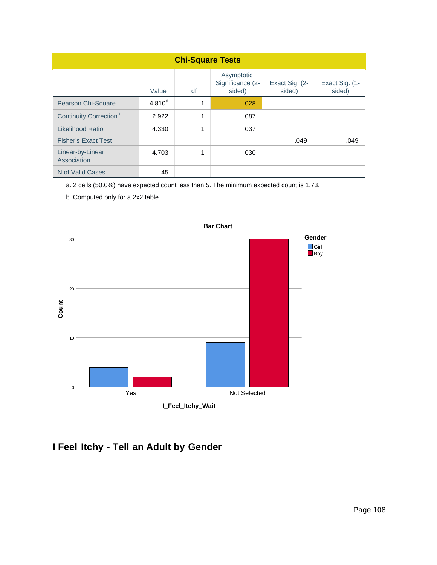| <b>Chi-Square Tests</b>            |             |    |                                          |                          |                          |  |  |
|------------------------------------|-------------|----|------------------------------------------|--------------------------|--------------------------|--|--|
|                                    | Value       | df | Asymptotic<br>Significance (2-<br>sided) | Exact Sig. (2-<br>sided) | Exact Sig. (1-<br>sided) |  |  |
| Pearson Chi-Square                 | $4.810^{a}$ | 1  | .028                                     |                          |                          |  |  |
| Continuity Correction <sup>b</sup> | 2.922       | 1  | .087                                     |                          |                          |  |  |
| Likelihood Ratio                   | 4.330       | 1  | .037                                     |                          |                          |  |  |
| <b>Fisher's Exact Test</b>         |             |    |                                          | .049                     | .049                     |  |  |
| Linear-by-Linear<br>Association    | 4.703       | 1  | .030                                     |                          |                          |  |  |
| N of Valid Cases                   | 45          |    |                                          |                          |                          |  |  |

a. 2 cells (50.0%) have expected count less than 5. The minimum expected count is 1.73.

b. Computed only for a 2x2 table



# **I Feel Itchy - Tell an Adult by Gender**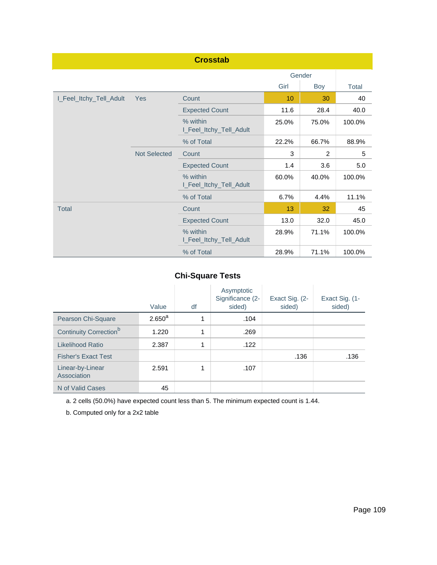| <b>Crosstab</b>         |                     |                                     |       |                |        |  |  |
|-------------------------|---------------------|-------------------------------------|-------|----------------|--------|--|--|
|                         |                     |                                     |       | Gender         |        |  |  |
|                         |                     |                                     | Girl  | Boy            | Total  |  |  |
| I_Feel_Itchy_Tell_Adult | <b>Yes</b>          | Count                               | 10    | 30             | 40     |  |  |
|                         |                     | <b>Expected Count</b>               | 11.6  | 28.4           | 40.0   |  |  |
|                         |                     | % within<br>I_Feel_Itchy_Tell_Adult | 25.0% | 75.0%          | 100.0% |  |  |
|                         |                     | % of Total                          | 22.2% | 66.7%          | 88.9%  |  |  |
|                         | <b>Not Selected</b> | Count                               | 3     | $\overline{2}$ | 5      |  |  |
|                         |                     | <b>Expected Count</b>               | 1.4   | 3.6            | 5.0    |  |  |
|                         |                     | % within<br>I_Feel_Itchy_Tell_Adult | 60.0% | 40.0%          | 100.0% |  |  |
|                         |                     | % of Total                          | 6.7%  | 4.4%           | 11.1%  |  |  |
| <b>Total</b>            |                     | Count                               | 13    | 32             | 45     |  |  |
|                         |                     | <b>Expected Count</b>               | 13.0  | 32.0           | 45.0   |  |  |
|                         |                     | % within<br>I_Feel_Itchy_Tell_Adult | 28.9% | 71.1%          | 100.0% |  |  |
|                         |                     | % of Total                          | 28.9% | 71.1%          | 100.0% |  |  |

|                                    | Value       | df | Asymptotic<br>Significance (2-<br>sided) | Exact Sig. (2-<br>sided) | Exact Sig. (1-<br>sided) |
|------------------------------------|-------------|----|------------------------------------------|--------------------------|--------------------------|
| Pearson Chi-Square                 | $2.650^{a}$ | 1  | .104                                     |                          |                          |
| Continuity Correction <sup>b</sup> | 1.220       | 1  | .269                                     |                          |                          |
| Likelihood Ratio                   | 2.387       | 1  | .122                                     |                          |                          |
| <b>Fisher's Exact Test</b>         |             |    |                                          | .136                     | .136                     |
| Linear-by-Linear<br>Association    | 2.591       |    | .107                                     |                          |                          |
| N of Valid Cases                   | 45          |    |                                          |                          |                          |

a. 2 cells (50.0%) have expected count less than 5. The minimum expected count is 1.44.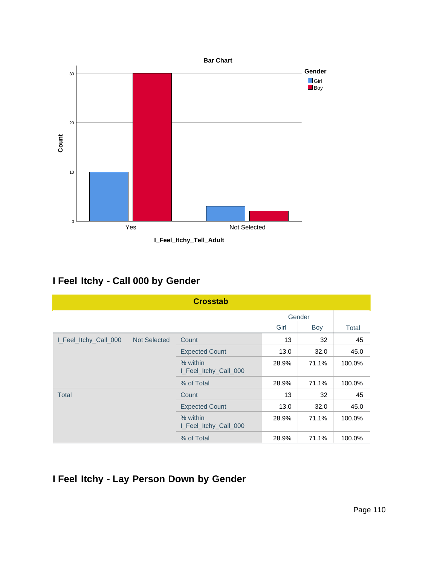

## **I Feel Itchy - Call 000 by Gender**

| <b>Crosstab</b>       |                     |                                   |       |        |        |  |  |  |  |
|-----------------------|---------------------|-----------------------------------|-------|--------|--------|--|--|--|--|
|                       |                     |                                   |       | Gender |        |  |  |  |  |
|                       |                     |                                   | Girl  | Boy    | Total  |  |  |  |  |
| I_Feel_Itchy_Call_000 | <b>Not Selected</b> | Count                             | 13    | 32     | 45     |  |  |  |  |
|                       |                     | <b>Expected Count</b>             | 13.0  | 32.0   | 45.0   |  |  |  |  |
|                       |                     | % within<br>I_Feel_Itchy_Call_000 | 28.9% | 71.1%  | 100.0% |  |  |  |  |
|                       |                     | % of Total                        | 28.9% | 71.1%  | 100.0% |  |  |  |  |
| Total                 |                     | Count                             | 13    | 32     | 45     |  |  |  |  |
|                       |                     | <b>Expected Count</b>             | 13.0  | 32.0   | 45.0   |  |  |  |  |
|                       |                     | % within<br>I_Feel_Itchy_Call_000 | 28.9% | 71.1%  | 100.0% |  |  |  |  |
|                       |                     | % of Total                        | 28.9% | 71.1%  | 100.0% |  |  |  |  |

## **I Feel Itchy - Lay Person Down by Gender**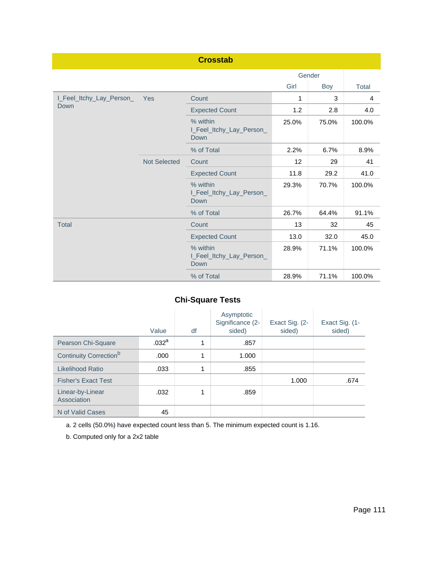|                          |              | <b>Crosstab</b>                              |       |        |        |
|--------------------------|--------------|----------------------------------------------|-------|--------|--------|
|                          |              |                                              |       | Gender |        |
|                          |              |                                              | Girl  | Boy    | Total  |
| I_Feel_Itchy_Lay_Person_ | Yes          | Count                                        | 1     | 3      | 4      |
| Down                     |              | <b>Expected Count</b>                        | 1.2   | 2.8    | 4.0    |
|                          |              | % within<br>I_Feel_Itchy_Lay_Person_<br>Down | 25.0% | 75.0%  | 100.0% |
|                          |              | % of Total                                   | 2.2%  | 6.7%   | 8.9%   |
|                          | Not Selected | Count                                        | 12    | 29     | 41     |
|                          |              | <b>Expected Count</b>                        | 11.8  | 29.2   | 41.0   |
|                          |              | % within<br>I_Feel_Itchy_Lay_Person_<br>Down | 29.3% | 70.7%  | 100.0% |
|                          |              | % of Total                                   | 26.7% | 64.4%  | 91.1%  |
| <b>Total</b>             |              | Count                                        | 13    | 32     | 45     |
|                          |              | <b>Expected Count</b>                        | 13.0  | 32.0   | 45.0   |
|                          |              | % within<br>I_Feel_Itchy_Lay_Person_<br>Down | 28.9% | 71.1%  | 100.0% |
|                          |              | % of Total                                   | 28.9% | 71.1%  | 100.0% |

|                                    | Value             | df | Asymptotic<br>Significance (2-<br>sided) | Exact Sig. (2-<br>sided) | Exact Sig. (1-<br>sided) |
|------------------------------------|-------------------|----|------------------------------------------|--------------------------|--------------------------|
| Pearson Chi-Square                 | .032 <sup>a</sup> | 1  | .857                                     |                          |                          |
| Continuity Correction <sup>b</sup> | .000              | 1  | 1.000                                    |                          |                          |
| Likelihood Ratio                   | .033              | 1  | .855                                     |                          |                          |
| <b>Fisher's Exact Test</b>         |                   |    |                                          | 1.000                    | .674                     |
| Linear-by-Linear<br>Association    | .032              | 1  | .859                                     |                          |                          |
| N of Valid Cases                   | 45                |    |                                          |                          |                          |

a. 2 cells (50.0%) have expected count less than 5. The minimum expected count is 1.16.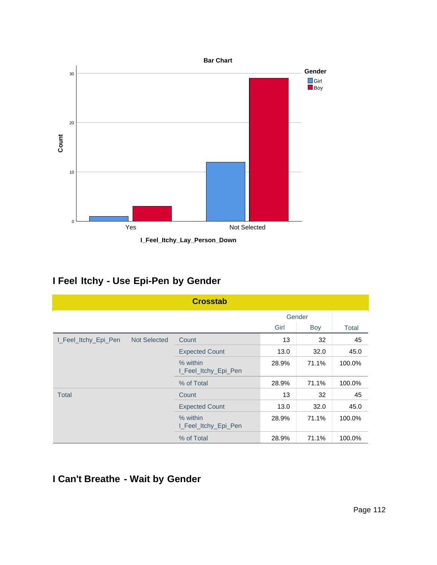

**I\_Feel\_Itchy\_Lay\_Person\_Down**

## **I Feel Itchy - Use Epi-Pen by Gender**

|                      |                     | <b>Crosstab</b>                  |       |        |        |
|----------------------|---------------------|----------------------------------|-------|--------|--------|
|                      |                     |                                  |       | Gender |        |
|                      |                     |                                  | Girl  | Boy    | Total  |
| I_Feel_Itchy_Epi_Pen | <b>Not Selected</b> | Count                            | 13    | 32     | 45     |
|                      |                     | <b>Expected Count</b>            | 13.0  | 32.0   | 45.0   |
|                      |                     | % within<br>I_Feel_Itchy_Epi_Pen | 28.9% | 71.1%  | 100.0% |
|                      |                     | % of Total                       | 28.9% | 71.1%  | 100.0% |
| Total                |                     | Count                            | 13    | 32     | 45     |
|                      |                     | <b>Expected Count</b>            | 13.0  | 32.0   | 45.0   |
|                      |                     | % within<br>I_Feel_Itchy_Epi_Pen | 28.9% | 71.1%  | 100.0% |
|                      |                     | % of Total                       | 28.9% | 71.1%  | 100.0% |

## **I Can't Breathe - Wait by Gender**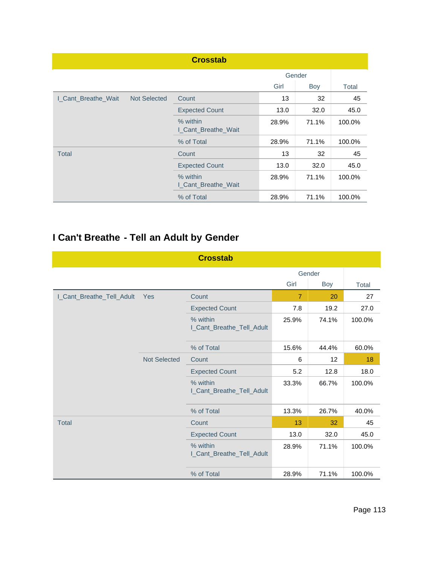|                     |                     | <b>Crosstab</b>                 |        |       |        |
|---------------------|---------------------|---------------------------------|--------|-------|--------|
|                     |                     |                                 | Gender |       |        |
|                     |                     |                                 | Girl   | Boy   | Total  |
| I Cant Breathe Wait | <b>Not Selected</b> | Count                           | 13     | 32    | 45     |
|                     |                     | <b>Expected Count</b>           | 13.0   | 32.0  | 45.0   |
|                     |                     | % within<br>I_Cant_Breathe_Wait | 28.9%  | 71.1% | 100.0% |
|                     |                     | % of Total                      | 28.9%  | 71.1% | 100.0% |
| <b>Total</b>        |                     | Count                           | 13     | 32    | 45     |
|                     |                     | <b>Expected Count</b>           | 13.0   | 32.0  | 45.0   |
|                     |                     | % within<br>I_Cant_Breathe_Wait | 28.9%  | 71.1% | 100.0% |
|                     |                     | % of Total                      | 28.9%  | 71.1% | 100.0% |

# **I Can't Breathe - Tell an Adult by Gender**

|                           |                     | <b>Crosstab</b>                       |                |       |        |
|---------------------------|---------------------|---------------------------------------|----------------|-------|--------|
|                           |                     |                                       | Gender         |       |        |
|                           |                     |                                       | Girl           | Boy   | Total  |
| I_Cant_Breathe_Tell_Adult | Yes                 | Count                                 | $\overline{7}$ | 20    | 27     |
|                           |                     | <b>Expected Count</b>                 | 7.8            | 19.2  | 27.0   |
|                           |                     | % within<br>I_Cant_Breathe_Tell_Adult | 25.9%          | 74.1% | 100.0% |
|                           |                     | % of Total                            | 15.6%          | 44.4% | 60.0%  |
|                           | <b>Not Selected</b> | Count                                 | 6              | 12    | 18     |
|                           |                     | <b>Expected Count</b>                 | 5.2            | 12.8  | 18.0   |
|                           |                     | % within<br>I_Cant_Breathe_Tell_Adult | 33.3%          | 66.7% | 100.0% |
|                           |                     | % of Total                            | 13.3%          | 26.7% | 40.0%  |
| <b>Total</b>              |                     | Count                                 | 13             | 32    | 45     |
|                           |                     | <b>Expected Count</b>                 | 13.0           | 32.0  | 45.0   |
|                           |                     | % within<br>I_Cant_Breathe_Tell_Adult | 28.9%          | 71.1% | 100.0% |
|                           |                     | % of Total                            | 28.9%          | 71.1% | 100.0% |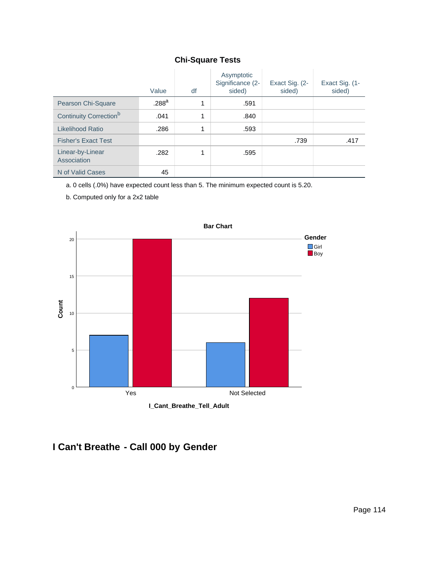|                                    | Value             | df | Asymptotic<br>Significance (2-<br>sided) | Exact Sig. (2-<br>sided) | Exact Sig. (1-<br>sided) |
|------------------------------------|-------------------|----|------------------------------------------|--------------------------|--------------------------|
| Pearson Chi-Square                 | .288 <sup>a</sup> | 1  | .591                                     |                          |                          |
| Continuity Correction <sup>b</sup> | .041              | 1  | .840                                     |                          |                          |
| Likelihood Ratio                   | .286              | 1  | .593                                     |                          |                          |
| <b>Fisher's Exact Test</b>         |                   |    |                                          | .739                     | .417                     |
| Linear-by-Linear<br>Association    | .282              |    | .595                                     |                          |                          |
| N of Valid Cases                   | 45                |    |                                          |                          |                          |

a. 0 cells (.0%) have expected count less than 5. The minimum expected count is 5.20.

b. Computed only for a 2x2 table



## **I Can't Breathe - Call 000 by Gender**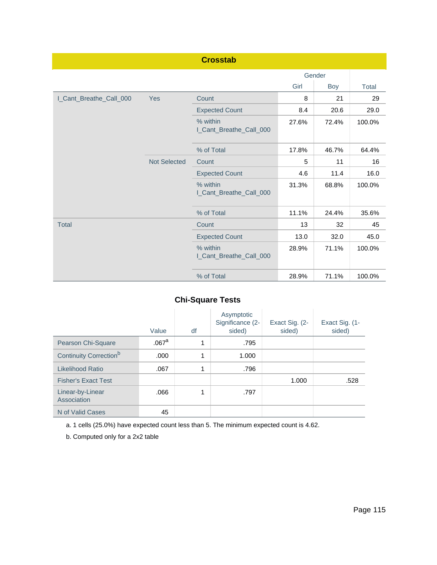|                         |                     | <b>Crosstab</b>                     |        |       |        |
|-------------------------|---------------------|-------------------------------------|--------|-------|--------|
|                         |                     |                                     | Gender |       |        |
|                         |                     |                                     | Girl   | Boy   | Total  |
| I_Cant_Breathe_Call_000 | Yes                 | Count                               | 8      | 21    | 29     |
|                         |                     | <b>Expected Count</b>               | 8.4    | 20.6  | 29.0   |
|                         |                     | % within<br>I_Cant_Breathe_Call_000 | 27.6%  | 72.4% | 100.0% |
|                         |                     | % of Total                          | 17.8%  | 46.7% | 64.4%  |
|                         | <b>Not Selected</b> | Count                               | 5      | 11    | 16     |
|                         |                     | <b>Expected Count</b>               | 4.6    | 11.4  | 16.0   |
|                         |                     | % within<br>I_Cant_Breathe_Call_000 | 31.3%  | 68.8% | 100.0% |
|                         |                     | % of Total                          | 11.1%  | 24.4% | 35.6%  |
| <b>Total</b>            |                     | Count                               | 13     | 32    | 45     |
|                         |                     | <b>Expected Count</b>               | 13.0   | 32.0  | 45.0   |
|                         |                     | % within<br>I_Cant_Breathe_Call_000 | 28.9%  | 71.1% | 100.0% |
|                         |                     | % of Total                          | 28.9%  | 71.1% | 100.0% |

|                                    | Value             | df | Asymptotic<br>Significance (2-<br>sided) | Exact Sig. (2-<br>sided) | Exact Sig. (1-<br>sided) |
|------------------------------------|-------------------|----|------------------------------------------|--------------------------|--------------------------|
| Pearson Chi-Square                 | .067 <sup>a</sup> | 1  | .795                                     |                          |                          |
| Continuity Correction <sup>b</sup> | .000              | 1  | 1.000                                    |                          |                          |
| Likelihood Ratio                   | .067              | 1  | .796                                     |                          |                          |
| <b>Fisher's Exact Test</b>         |                   |    |                                          | 1.000                    | .528                     |
| Linear-by-Linear<br>Association    | .066              | 1  | .797                                     |                          |                          |
| N of Valid Cases                   | 45                |    |                                          |                          |                          |

a. 1 cells (25.0%) have expected count less than 5. The minimum expected count is 4.62.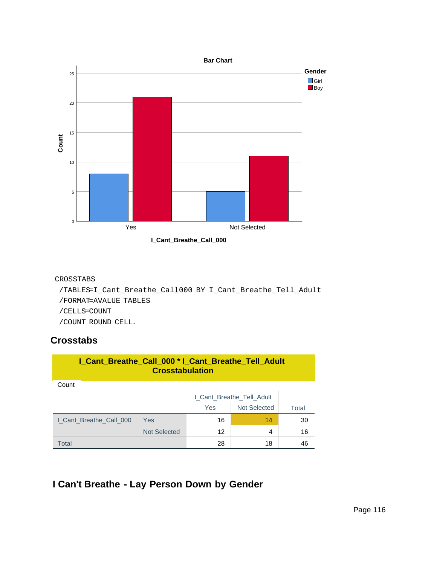

**I\_Cant\_Breathe\_Call\_000**

#### CROSSTABS

```
 /TABLES=I_Cant_Breathe_Call_000 BY I_Cant_Breathe_Tell_Adult
/FORMAT=AVALUE TABLES
/CELLS=COUNT
/COUNT ROUND CELL.
```
### **Crosstabs**

| I_Cant_Breathe_Call_000 * I_Cant_Breathe_Tell_Adult<br><b>Crosstabulation</b> |                           |            |                     |       |  |  |
|-------------------------------------------------------------------------------|---------------------------|------------|---------------------|-------|--|--|
| Count                                                                         |                           |            |                     |       |  |  |
|                                                                               | I_Cant_Breathe_Tell_Adult |            |                     |       |  |  |
|                                                                               |                           | <b>Yes</b> | <b>Not Selected</b> | Total |  |  |
| I Cant Breathe Call 000                                                       | <b>Yes</b>                | 16         | 14                  | 30    |  |  |
|                                                                               | <b>Not Selected</b>       | 12         | 4                   | 16    |  |  |
| Total                                                                         |                           | 28         | 18                  | 46    |  |  |

## **I Can't Breathe - Lay Person Down by Gender**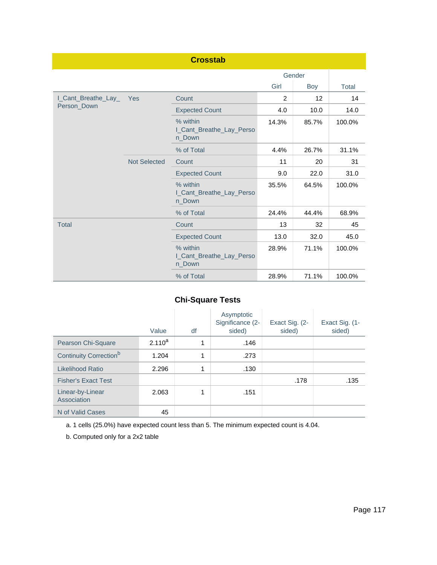|                     |                     | <b>Crosstab</b>                                |                |       |        |
|---------------------|---------------------|------------------------------------------------|----------------|-------|--------|
|                     | Gender              |                                                |                |       |        |
|                     |                     |                                                | Girl           | Boy   | Total  |
| I_Cant_Breathe_Lay_ | Yes                 | Count                                          | $\overline{2}$ | 12    | 14     |
| Person_Down         |                     | <b>Expected Count</b>                          | 4.0            | 10.0  | 14.0   |
|                     |                     | % within<br>I_Cant_Breathe_Lay_Perso<br>n Down | 14.3%          | 85.7% | 100.0% |
|                     |                     | % of Total                                     | 4.4%           | 26.7% | 31.1%  |
|                     | <b>Not Selected</b> | Count                                          | 11             | 20    | 31     |
|                     |                     | <b>Expected Count</b>                          | 9.0            | 22.0  | 31.0   |
|                     |                     | % within<br>I_Cant_Breathe_Lay_Perso<br>n_Down | 35.5%          | 64.5% | 100.0% |
|                     |                     | % of Total                                     | 24.4%          | 44.4% | 68.9%  |
| <b>Total</b>        |                     | Count                                          | 13             | 32    | 45     |
|                     |                     | <b>Expected Count</b>                          | 13.0           | 32.0  | 45.0   |
|                     |                     | % within<br>I_Cant_Breathe_Lay_Perso<br>n_Down | 28.9%          | 71.1% | 100.0% |
|                     |                     | % of Total                                     | 28.9%          | 71.1% | 100.0% |

|                                    | Value       | df | Asymptotic<br>Significance (2-<br>sided) | Exact Sig. (2-<br>sided) | Exact Sig. (1-<br>sided) |
|------------------------------------|-------------|----|------------------------------------------|--------------------------|--------------------------|
| Pearson Chi-Square                 | $2.110^{a}$ | 1  | .146                                     |                          |                          |
| Continuity Correction <sup>b</sup> | 1.204       | 1  | .273                                     |                          |                          |
| Likelihood Ratio                   | 2.296       | 1  | .130                                     |                          |                          |
| <b>Fisher's Exact Test</b>         |             |    |                                          | .178                     | .135                     |
| Linear-by-Linear<br>Association    | 2.063       | 1  | .151                                     |                          |                          |
| N of Valid Cases                   | 45          |    |                                          |                          |                          |

a. 1 cells (25.0%) have expected count less than 5. The minimum expected count is 4.04.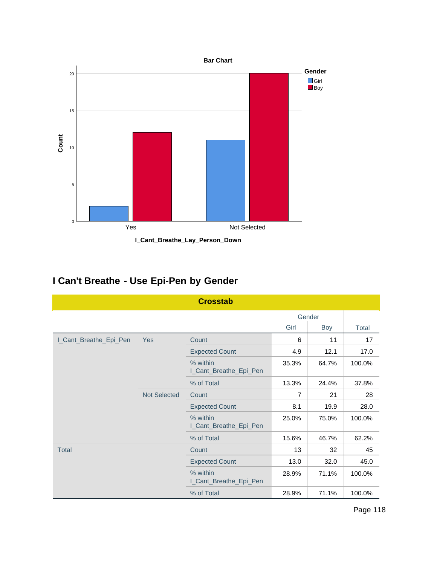

**I\_Cant\_Breathe\_Lay\_Person\_Down**

## **I Can't Breathe - Use Epi-Pen by Gender**

|                        |                     | <b>Crosstab</b>                    |                |        |              |
|------------------------|---------------------|------------------------------------|----------------|--------|--------------|
|                        |                     |                                    |                | Gender |              |
|                        |                     |                                    | Girl           | Boy    | <b>Total</b> |
| I_Cant_Breathe_Epi_Pen | <b>Yes</b>          | Count                              | 6              | 11     | 17           |
|                        |                     | <b>Expected Count</b>              | 4.9            | 12.1   | 17.0         |
|                        |                     | % within<br>I_Cant_Breathe_Epi_Pen | 35.3%          | 64.7%  | 100.0%       |
|                        |                     | % of Total                         | 13.3%          | 24.4%  | 37.8%        |
|                        | <b>Not Selected</b> | Count                              | $\overline{7}$ | 21     | 28           |
|                        |                     | <b>Expected Count</b>              | 8.1            | 19.9   | 28.0         |
|                        |                     | % within<br>I_Cant_Breathe_Epi_Pen | 25.0%          | 75.0%  | 100.0%       |
|                        |                     | % of Total                         | 15.6%          | 46.7%  | 62.2%        |
| <b>Total</b>           |                     | Count                              | 13             | 32     | 45           |
|                        |                     | <b>Expected Count</b>              | 13.0           | 32.0   | 45.0         |
|                        |                     | % within<br>I_Cant_Breathe_Epi_Pen | 28.9%          | 71.1%  | 100.0%       |
|                        |                     | % of Total                         | 28.9%          | 71.1%  | 100.0%       |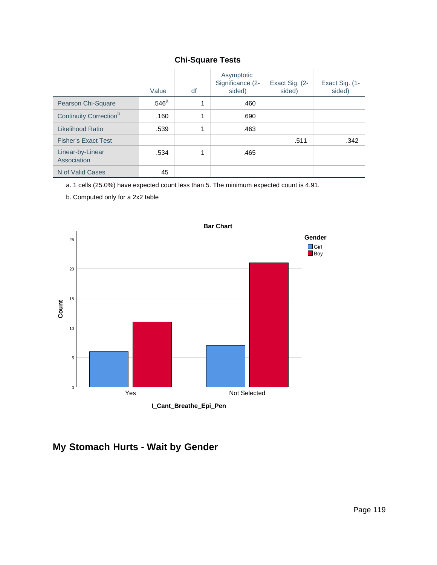|                                    | Value             | df | Asymptotic<br>Significance (2-<br>sided) | Exact Sig. (2-<br>sided) | Exact Sig. (1-<br>sided) |
|------------------------------------|-------------------|----|------------------------------------------|--------------------------|--------------------------|
| Pearson Chi-Square                 | .546 <sup>a</sup> | 4  | .460                                     |                          |                          |
| Continuity Correction <sup>b</sup> | .160              | 4  | .690                                     |                          |                          |
| Likelihood Ratio                   | .539              | 4  | .463                                     |                          |                          |
| <b>Fisher's Exact Test</b>         |                   |    |                                          | .511                     | .342                     |
| Linear-by-Linear<br>Association    | .534              |    | .465                                     |                          |                          |
| N of Valid Cases                   | 45                |    |                                          |                          |                          |

a. 1 cells (25.0%) have expected count less than 5. The minimum expected count is 4.91.

b. Computed only for a 2x2 table



## **My Stomach Hurts - Wait by Gender**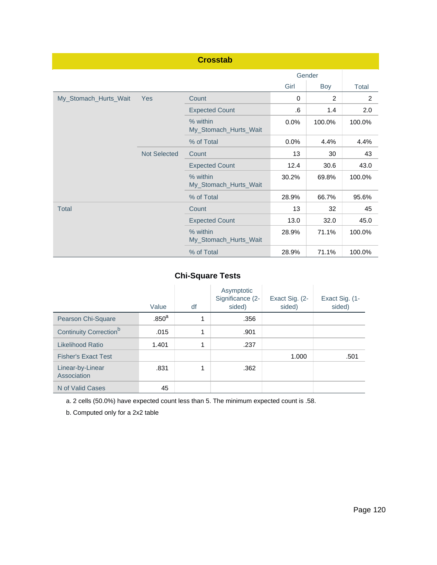|                       |                     | <b>Crosstab</b>                   |       |        |                |
|-----------------------|---------------------|-----------------------------------|-------|--------|----------------|
|                       |                     |                                   |       | Gender |                |
|                       |                     |                                   | Girl  | Boy    | Total          |
| My_Stomach_Hurts_Wait | Yes                 | Count                             | 0     | 2      | $\overline{2}$ |
|                       |                     | <b>Expected Count</b>             | .6    | 1.4    | 2.0            |
|                       |                     | % within<br>My_Stomach_Hurts_Wait | 0.0%  | 100.0% | 100.0%         |
|                       |                     | % of Total                        | 0.0%  | 4.4%   | 4.4%           |
|                       | <b>Not Selected</b> | Count                             | 13    | 30     | 43             |
|                       |                     | <b>Expected Count</b>             | 12.4  | 30.6   | 43.0           |
|                       |                     | % within<br>My_Stomach_Hurts_Wait | 30.2% | 69.8%  | 100.0%         |
|                       |                     | % of Total                        | 28.9% | 66.7%  | 95.6%          |
| <b>Total</b>          |                     | Count                             | 13    | 32     | 45             |
|                       |                     | <b>Expected Count</b>             | 13.0  | 32.0   | 45.0           |
|                       |                     | % within<br>My_Stomach_Hurts_Wait | 28.9% | 71.1%  | 100.0%         |
|                       |                     | % of Total                        | 28.9% | 71.1%  | 100.0%         |

|                                    | Value             | df | Asymptotic<br>Significance (2-<br>sided) | Exact Sig. (2-<br>sided) | Exact Sig. (1-<br>sided) |
|------------------------------------|-------------------|----|------------------------------------------|--------------------------|--------------------------|
| Pearson Chi-Square                 | .850 <sup>a</sup> | 1  | .356                                     |                          |                          |
| Continuity Correction <sup>b</sup> | .015              | 1  | .901                                     |                          |                          |
| Likelihood Ratio                   | 1.401             | 1  | .237                                     |                          |                          |
| <b>Fisher's Exact Test</b>         |                   |    |                                          | 1.000                    | .501                     |
| Linear-by-Linear<br>Association    | .831              | 1  | .362                                     |                          |                          |
| N of Valid Cases                   | 45                |    |                                          |                          |                          |

a. 2 cells (50.0%) have expected count less than 5. The minimum expected count is .58.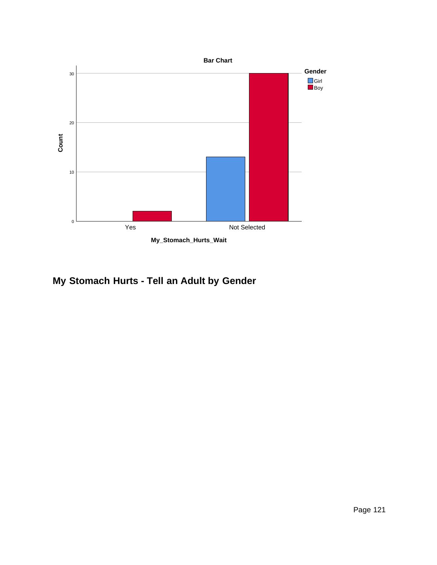

**My Stomach Hurts - Tell an Adult by Gender**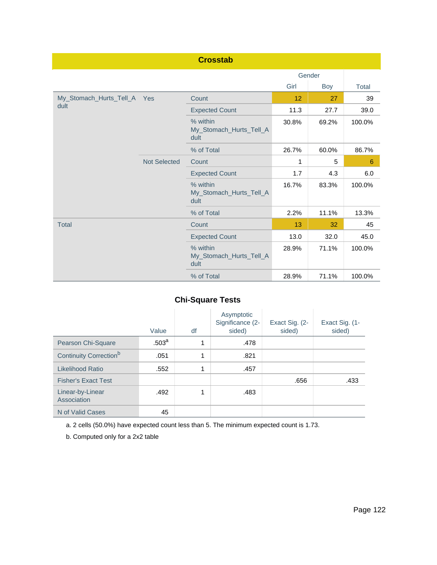|                             |                     | <b>Crosstab</b>                             |       |        |        |
|-----------------------------|---------------------|---------------------------------------------|-------|--------|--------|
|                             |                     |                                             |       | Gender |        |
|                             |                     |                                             | Girl  | Boy    | Total  |
| My_Stomach_Hurts_Tell_A Yes |                     | Count                                       | 12    | 27     | 39     |
| dult                        |                     | <b>Expected Count</b>                       | 11.3  | 27.7   | 39.0   |
|                             |                     | % within<br>My_Stomach_Hurts_Tell_A<br>dult | 30.8% | 69.2%  | 100.0% |
|                             |                     | % of Total                                  | 26.7% | 60.0%  | 86.7%  |
|                             | <b>Not Selected</b> | Count                                       | 1     | 5      | 6      |
|                             |                     | <b>Expected Count</b>                       | 1.7   | 4.3    | 6.0    |
|                             |                     | % within<br>My_Stomach_Hurts_Tell_A<br>dult | 16.7% | 83.3%  | 100.0% |
|                             |                     | % of Total                                  | 2.2%  | 11.1%  | 13.3%  |
| <b>Total</b>                |                     | Count                                       | 13    | 32     | 45     |
|                             |                     | <b>Expected Count</b>                       | 13.0  | 32.0   | 45.0   |
|                             |                     | % within<br>My_Stomach_Hurts_Tell_A<br>dult | 28.9% | 71.1%  | 100.0% |
|                             |                     | % of Total                                  | 28.9% | 71.1%  | 100.0% |

|                                    | Value             | df | Asymptotic<br>Significance (2-<br>sided) | Exact Sig. (2-<br>sided) | Exact Sig. (1-<br>sided) |
|------------------------------------|-------------------|----|------------------------------------------|--------------------------|--------------------------|
| Pearson Chi-Square                 | .503 <sup>a</sup> | 1  | .478                                     |                          |                          |
| Continuity Correction <sup>b</sup> | .051              | 1  | .821                                     |                          |                          |
| Likelihood Ratio                   | .552              | 1  | .457                                     |                          |                          |
| <b>Fisher's Exact Test</b>         |                   |    |                                          | .656                     | .433                     |
| Linear-by-Linear<br>Association    | .492              | 1  | .483                                     |                          |                          |
| N of Valid Cases                   | 45                |    |                                          |                          |                          |

a. 2 cells (50.0%) have expected count less than 5. The minimum expected count is 1.73.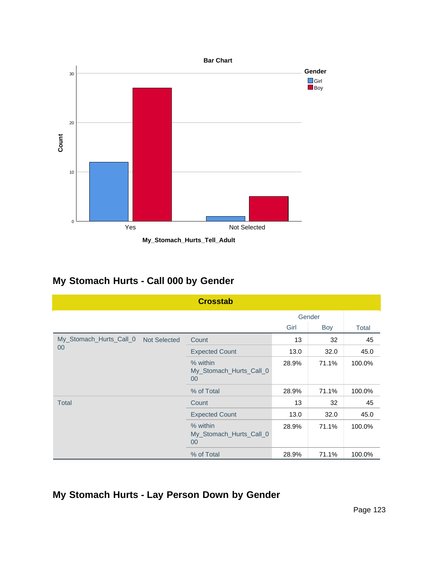

**My Stomach Hurts - Call 000 by Gender**

|                                                | <b>Crosstab</b>                               |       |        |        |
|------------------------------------------------|-----------------------------------------------|-------|--------|--------|
|                                                |                                               |       | Gender |        |
|                                                |                                               | Girl  | Boy    | Total  |
| My_Stomach_Hurts_Call_0<br><b>Not Selected</b> | Count                                         | 13    | 32     | 45     |
| 00                                             | <b>Expected Count</b>                         | 13.0  | 32.0   | 45.0   |
|                                                | % within<br>My_Stomach_Hurts_Call_0<br>$00\,$ | 28.9% | 71.1%  | 100.0% |
|                                                | % of Total                                    | 28.9% | 71.1%  | 100.0% |
| <b>Total</b>                                   | Count                                         | 13    | 32     | 45     |
|                                                | <b>Expected Count</b>                         | 13.0  | 32.0   | 45.0   |
|                                                | % within<br>My_Stomach_Hurts_Call_0<br>$00\,$ | 28.9% | 71.1%  | 100.0% |
|                                                | % of Total                                    | 28.9% | 71.1%  | 100.0% |

**My Stomach Hurts - Lay Person Down by Gender**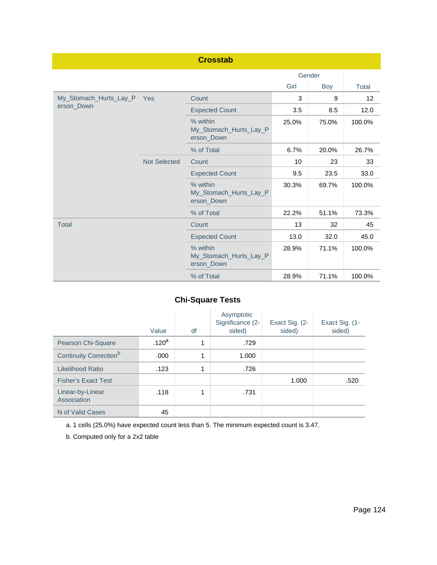|                        |                     | <b>Crosstab</b>                                  |       |        |        |
|------------------------|---------------------|--------------------------------------------------|-------|--------|--------|
|                        |                     |                                                  |       | Gender |        |
|                        |                     |                                                  | Girl  | Boy    | Total  |
| My_Stomach_Hurts_Lay_P | Yes                 | Count                                            | 3     | 9      | 12     |
| erson_Down             |                     | <b>Expected Count</b>                            | 3.5   | 8.5    | 12.0   |
|                        |                     | % within<br>My_Stomach_Hurts_Lay_P<br>erson Down | 25.0% | 75.0%  | 100.0% |
|                        |                     | % of Total                                       | 6.7%  | 20.0%  | 26.7%  |
|                        | <b>Not Selected</b> | Count                                            | 10    | 23     | 33     |
|                        |                     | <b>Expected Count</b>                            | 9.5   | 23.5   | 33.0   |
|                        |                     | % within<br>My_Stomach_Hurts_Lay_P<br>erson_Down | 30.3% | 69.7%  | 100.0% |
|                        |                     | % of Total                                       | 22.2% | 51.1%  | 73.3%  |
| <b>Total</b>           |                     | Count                                            | 13    | 32     | 45     |
|                        |                     | <b>Expected Count</b>                            | 13.0  | 32.0   | 45.0   |
|                        |                     | % within<br>My_Stomach_Hurts_Lay_P<br>erson_Down | 28.9% | 71.1%  | 100.0% |
|                        |                     | % of Total                                       | 28.9% | 71.1%  | 100.0% |

|                                    | Value             | df | Asymptotic<br>Significance (2-<br>sided) | Exact Sig. (2-<br>sided) | Exact Sig. (1-<br>sided) |
|------------------------------------|-------------------|----|------------------------------------------|--------------------------|--------------------------|
| Pearson Chi-Square                 | .120 <sup>a</sup> | 1  | .729                                     |                          |                          |
| Continuity Correction <sup>b</sup> | .000              | 1  | 1.000                                    |                          |                          |
| Likelihood Ratio                   | .123              | 1  | .726                                     |                          |                          |
| <b>Fisher's Exact Test</b>         |                   |    |                                          | 1.000                    | .520                     |
| Linear-by-Linear<br>Association    | .118              | 1  | .731                                     |                          |                          |
| N of Valid Cases                   | 45                |    |                                          |                          |                          |

a. 1 cells (25.0%) have expected count less than 5. The minimum expected count is 3.47.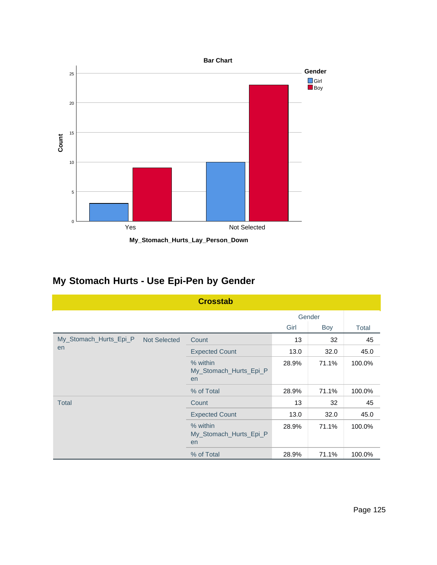



## **My Stomach Hurts - Use Epi-Pen by Gender**

|                                               | <b>Crosstab</b>                          |       |        |        |
|-----------------------------------------------|------------------------------------------|-------|--------|--------|
|                                               |                                          |       | Gender |        |
|                                               |                                          | Girl  | Boy    | Total  |
| My_Stomach_Hurts_Epi_P<br><b>Not Selected</b> | Count                                    | 13    | 32     | 45     |
| en                                            | <b>Expected Count</b>                    | 13.0  | 32.0   | 45.0   |
|                                               | % within<br>My_Stomach_Hurts_Epi_P<br>en | 28.9% | 71.1%  | 100.0% |
|                                               | % of Total                               | 28.9% | 71.1%  | 100.0% |
| <b>Total</b>                                  | Count                                    | 13    | 32     | 45     |
|                                               | <b>Expected Count</b>                    | 13.0  | 32.0   | 45.0   |
|                                               | % within<br>My_Stomach_Hurts_Epi_P<br>en | 28.9% | 71.1%  | 100.0% |
|                                               | % of Total                               | 28.9% | 71.1%  | 100.0% |